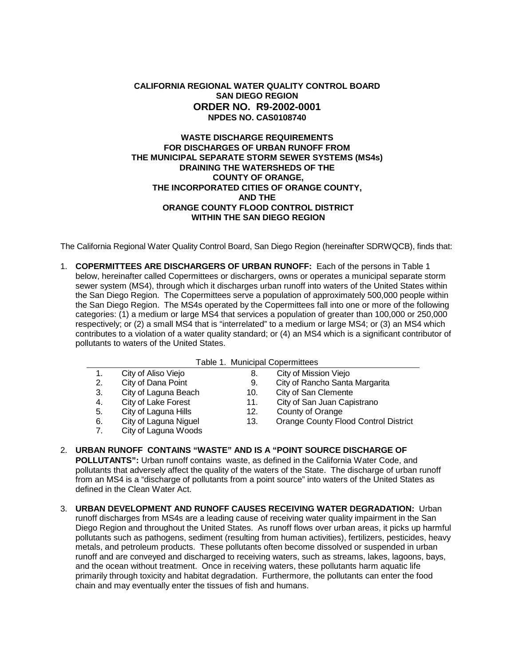# **CALIFORNIA REGIONAL WATER QUALITY CONTROL BOARD SAN DIEGO REGION ORDER NO. R9-2002-0001 NPDES NO. CAS0108740**

# **WASTE DISCHARGE REQUIREMENTS FOR DISCHARGES OF URBAN RUNOFF FROM THE MUNICIPAL SEPARATE STORM SEWER SYSTEMS (MS4s) DRAINING THE WATERSHEDS OF THE COUNTY OF ORANGE, THE INCORPORATED CITIES OF ORANGE COUNTY, AND THE ORANGE COUNTY FLOOD CONTROL DISTRICT WITHIN THE SAN DIEGO REGION**

The California Regional Water Quality Control Board, San Diego Region (hereinafter SDRWQCB), finds that:

1. **COPERMITTEES ARE DISCHARGERS OF URBAN RUNOFF:** Each of the persons in Table 1 below, hereinafter called Copermittees or dischargers, owns or operates a municipal separate storm sewer system (MS4), through which it discharges urban runoff into waters of the United States within the San Diego Region. The Copermittees serve a population of approximately 500,000 people within the San Diego Region. The MS4s operated by the Copermittees fall into one or more of the following categories: (1) a medium or large MS4 that services a population of greater than 100,000 or 250,000 respectively; or (2) a small MS4 that is "interrelated" to a medium or large MS4; or (3) an MS4 which contributes to a violation of a water quality standard; or (4) an MS4 which is a significant contributor of pollutants to waters of the United States.

|  | Table 1. Municipal Copermittees |
|--|---------------------------------|
|  |                                 |

|    |                       | rapie I. Municipal Copermittees |                                             |
|----|-----------------------|---------------------------------|---------------------------------------------|
| 1. | City of Aliso Viejo   | 8.                              | City of Mission Viejo                       |
| 2. | City of Dana Point    | 9.                              | City of Rancho Santa Margarita              |
| 3. | City of Laguna Beach  | 10.                             | City of San Clemente                        |
| 4. | City of Lake Forest   | 11.                             | City of San Juan Capistrano                 |
| 5. | City of Laguna Hills  | 12.                             | County of Orange                            |
| 6. | City of Laguna Niguel | 13.                             | <b>Orange County Flood Control District</b> |
| 7. | City of Laguna Woods  |                                 |                                             |

- 2. **URBAN RUNOFF CONTAINS "WASTE" AND IS A "POINT SOURCE DISCHARGE OF POLLUTANTS":** Urban runoff contains waste, as defined in the California Water Code, and pollutants that adversely affect the quality of the waters of the State. The discharge of urban runoff from an MS4 is a "discharge of pollutants from a point source" into waters of the United States as defined in the Clean Water Act.
- 3. **URBAN DEVELOPMENT AND RUNOFF CAUSES RECEIVING WATER DEGRADATION:** Urban runoff discharges from MS4s are a leading cause of receiving water quality impairment in the San Diego Region and throughout the United States. As runoff flows over urban areas, it picks up harmful pollutants such as pathogens, sediment (resulting from human activities), fertilizers, pesticides, heavy metals, and petroleum products. These pollutants often become dissolved or suspended in urban runoff and are conveyed and discharged to receiving waters, such as streams, lakes, lagoons, bays, and the ocean without treatment. Once in receiving waters, these pollutants harm aquatic life primarily through toxicity and habitat degradation. Furthermore, the pollutants can enter the food chain and may eventually enter the tissues of fish and humans.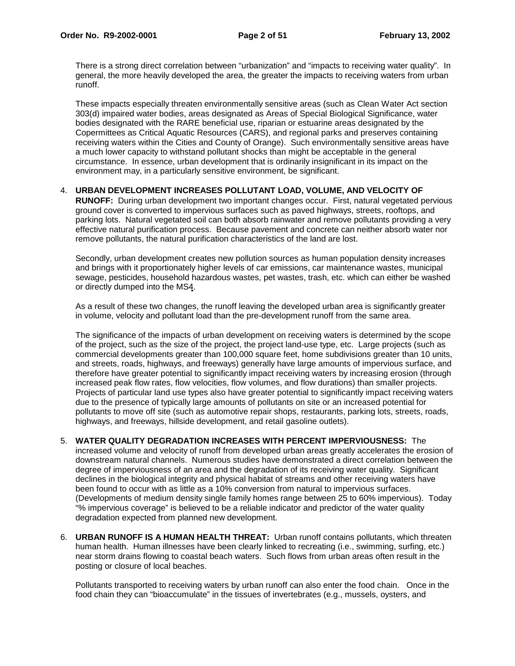There is a strong direct correlation between "urbanization" and "impacts to receiving water quality". In general, the more heavily developed the area, the greater the impacts to receiving waters from urban runoff.

These impacts especially threaten environmentally sensitive areas (such as Clean Water Act section 303(d) impaired water bodies, areas designated as Areas of Special Biological Significance, water bodies designated with the RARE beneficial use, riparian or estuarine areas designated by the Copermittees as Critical Aquatic Resources (CARS), and regional parks and preserves containing receiving waters within the Cities and County of Orange). Such environmentally sensitive areas have a much lower capacity to withstand pollutant shocks than might be acceptable in the general circumstance. In essence, urban development that is ordinarily insignificant in its impact on the environment may, in a particularly sensitive environment, be significant.

# 4. **URBAN DEVELOPMENT INCREASES POLLUTANT LOAD, VOLUME, AND VELOCITY OF**

**RUNOFF:** During urban development two important changes occur. First, natural vegetated pervious ground cover is converted to impervious surfaces such as paved highways, streets, rooftops, and parking lots. Natural vegetated soil can both absorb rainwater and remove pollutants providing a very effective natural purification process. Because pavement and concrete can neither absorb water nor remove pollutants, the natural purification characteristics of the land are lost.

Secondly, urban development creates new pollution sources as human population density increases and brings with it proportionately higher levels of car emissions, car maintenance wastes, municipal sewage, pesticides, household hazardous wastes, pet wastes, trash, etc. which can either be washed or directly dumped into the MS4.

As a result of these two changes, the runoff leaving the developed urban area is significantly greater in volume, velocity and pollutant load than the pre-development runoff from the same area.

The significance of the impacts of urban development on receiving waters is determined by the scope of the project, such as the size of the project, the project land-use type, etc. Large projects (such as commercial developments greater than 100,000 square feet, home subdivisions greater than 10 units, and streets, roads, highways, and freeways) generally have large amounts of impervious surface, and therefore have greater potential to significantly impact receiving waters by increasing erosion (through increased peak flow rates, flow velocities, flow volumes, and flow durations) than smaller projects. Projects of particular land use types also have greater potential to significantly impact receiving waters due to the presence of typically large amounts of pollutants on site or an increased potential for pollutants to move off site (such as automotive repair shops, restaurants, parking lots, streets, roads, highways, and freeways, hillside development, and retail gasoline outlets).

- 5. **WATER QUALITY DEGRADATION INCREASES WITH PERCENT IMPERVIOUSNESS:** The increased volume and velocity of runoff from developed urban areas greatly accelerates the erosion of downstream natural channels. Numerous studies have demonstrated a direct correlation between the degree of imperviousness of an area and the degradation of its receiving water quality. Significant declines in the biological integrity and physical habitat of streams and other receiving waters have been found to occur with as little as a 10% conversion from natural to impervious surfaces. (Developments of medium density single family homes range between 25 to 60% impervious). Today "% impervious coverage" is believed to be a reliable indicator and predictor of the water quality degradation expected from planned new development.
- 6. **URBAN RUNOFF IS A HUMAN HEALTH THREAT:** Urban runoff contains pollutants, which threaten human health. Human illnesses have been clearly linked to recreating (i.e., swimming, surfing, etc.) near storm drains flowing to coastal beach waters. Such flows from urban areas often result in the posting or closure of local beaches.

Pollutants transported to receiving waters by urban runoff can also enter the food chain. Once in the food chain they can "bioaccumulate" in the tissues of invertebrates (e.g., mussels, oysters, and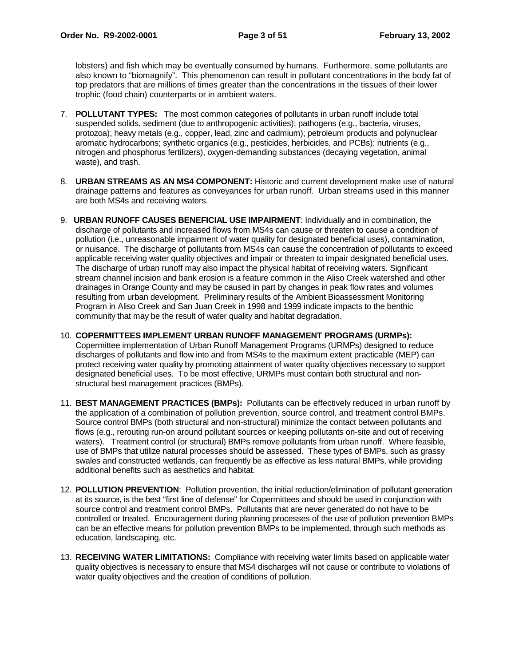lobsters) and fish which may be eventually consumed by humans. Furthermore, some pollutants are also known to "biomagnify". This phenomenon can result in pollutant concentrations in the body fat of top predators that are millions of times greater than the concentrations in the tissues of their lower trophic (food chain) counterparts or in ambient waters.

- 7. **POLLUTANT TYPES:** The most common categories of pollutants in urban runoff include total suspended solids, sediment (due to anthropogenic activities); pathogens (e.g., bacteria, viruses, protozoa); heavy metals (e.g., copper, lead, zinc and cadmium); petroleum products and polynuclear aromatic hydrocarbons; synthetic organics (e.g., pesticides, herbicides, and PCBs); nutrients (e.g., nitrogen and phosphorus fertilizers), oxygen-demanding substances (decaying vegetation, animal waste), and trash.
- 8. **URBAN STREAMS AS AN MS4 COMPONENT:** Historic and current development make use of natural drainage patterns and features as conveyances for urban runoff. Urban streams used in this manner are both MS4s and receiving waters.
- 9. **URBAN RUNOFF CAUSES BENEFICIAL USE IMPAIRMENT**: Individually and in combination, the discharge of pollutants and increased flows from MS4s can cause or threaten to cause a condition of pollution (i.e., unreasonable impairment of water quality for designated beneficial uses), contamination, or nuisance. The discharge of pollutants from MS4s can cause the concentration of pollutants to exceed applicable receiving water quality objectives and impair or threaten to impair designated beneficial uses. The discharge of urban runoff may also impact the physical habitat of receiving waters. Significant stream channel incision and bank erosion is a feature common in the Aliso Creek watershed and other drainages in Orange County and may be caused in part by changes in peak flow rates and volumes resulting from urban development. Preliminary results of the Ambient Bioassessment Monitoring Program in Aliso Creek and San Juan Creek in 1998 and 1999 indicate impacts to the benthic community that may be the result of water quality and habitat degradation.
- 10. **COPERMITTEES IMPLEMENT URBAN RUNOFF MANAGEMENT PROGRAMS (URMPs):** Copermittee implementation of Urban Runoff Management Programs (URMPs) designed to reduce discharges of pollutants and flow into and from MS4s to the maximum extent practicable (MEP) can protect receiving water quality by promoting attainment of water quality objectives necessary to support designated beneficial uses. To be most effective, URMPs must contain both structural and nonstructural best management practices (BMPs).
- 11. **BEST MANAGEMENT PRACTICES (BMPs):** Pollutants can be effectively reduced in urban runoff by the application of a combination of pollution prevention, source control, and treatment control BMPs. Source control BMPs (both structural and non-structural) minimize the contact between pollutants and flows (e.g., rerouting run-on around pollutant sources or keeping pollutants on-site and out of receiving waters). Treatment control (or structural) BMPs remove pollutants from urban runoff. Where feasible, use of BMPs that utilize natural processes should be assessed. These types of BMPs, such as grassy swales and constructed wetlands, can frequently be as effective as less natural BMPs, while providing additional benefits such as aesthetics and habitat.
- 12. **POLLUTION PREVENTION**: Pollution prevention, the initial reduction/elimination of pollutant generation at its source, is the best "first line of defense" for Copermittees and should be used in conjunction with source control and treatment control BMPs. Pollutants that are never generated do not have to be controlled or treated. Encouragement during planning processes of the use of pollution prevention BMPs can be an effective means for pollution prevention BMPs to be implemented, through such methods as education, landscaping, etc.
- 13. **RECEIVING WATER LIMITATIONS:** Compliance with receiving water limits based on applicable water quality objectives is necessary to ensure that MS4 discharges will not cause or contribute to violations of water quality objectives and the creation of conditions of pollution.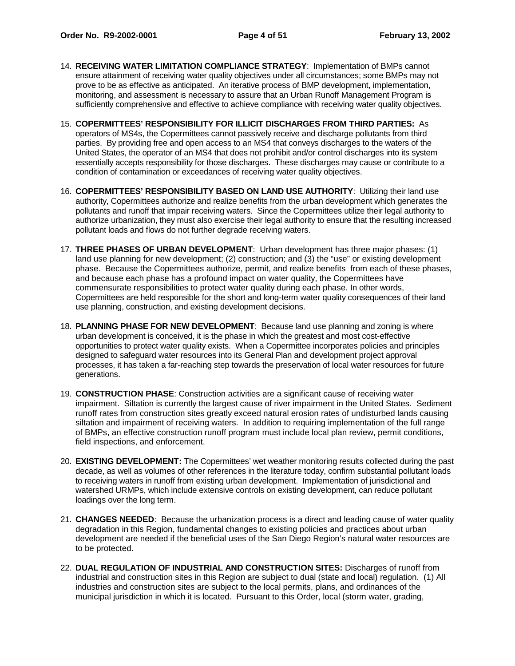- 14. **RECEIVING WATER LIMITATION COMPLIANCE STRATEGY**: Implementation of BMPs cannot ensure attainment of receiving water quality objectives under all circumstances; some BMPs may not prove to be as effective as anticipated. An iterative process of BMP development, implementation, monitoring, and assessment is necessary to assure that an Urban Runoff Management Program is sufficiently comprehensive and effective to achieve compliance with receiving water quality objectives.
- 15. **COPERMITTEES' RESPONSIBILITY FOR ILLICIT DISCHARGES FROM THIRD PARTIES:** As operators of MS4s, the Copermittees cannot passively receive and discharge pollutants from third parties. By providing free and open access to an MS4 that conveys discharges to the waters of the United States, the operator of an MS4 that does not prohibit and/or control discharges into its system essentially accepts responsibility for those discharges. These discharges may cause or contribute to a condition of contamination or exceedances of receiving water quality objectives.
- 16. **COPERMITTEES' RESPONSIBILITY BASED ON LAND USE AUTHORITY**: Utilizing their land use authority, Copermittees authorize and realize benefits from the urban development which generates the pollutants and runoff that impair receiving waters. Since the Copermittees utilize their legal authority to authorize urbanization, they must also exercise their legal authority to ensure that the resulting increased pollutant loads and flows do not further degrade receiving waters.
- 17. **THREE PHASES OF URBAN DEVELOPMENT**: Urban development has three major phases: (1) land use planning for new development; (2) construction; and (3) the "use" or existing development phase. Because the Copermittees authorize, permit, and realize benefits from each of these phases, and because each phase has a profound impact on water quality, the Copermittees have commensurate responsibilities to protect water quality during each phase. In other words, Copermittees are held responsible for the short and long-term water quality consequences of their land use planning, construction, and existing development decisions.
- 18. **PLANNING PHASE FOR NEW DEVELOPMENT**: Because land use planning and zoning is where urban development is conceived, it is the phase in which the greatest and most cost-effective opportunities to protect water quality exists. When a Copermittee incorporates policies and principles designed to safeguard water resources into its General Plan and development project approval processes, it has taken a far-reaching step towards the preservation of local water resources for future generations.
- 19. **CONSTRUCTION PHASE**: Construction activities are a significant cause of receiving water impairment. Siltation is currently the largest cause of river impairment in the United States. Sediment runoff rates from construction sites greatly exceed natural erosion rates of undisturbed lands causing siltation and impairment of receiving waters. In addition to requiring implementation of the full range of BMPs, an effective construction runoff program must include local plan review, permit conditions, field inspections, and enforcement.
- 20. **EXISTING DEVELOPMENT:** The Copermittees' wet weather monitoring results collected during the past decade, as well as volumes of other references in the literature today, confirm substantial pollutant loads to receiving waters in runoff from existing urban development. Implementation of jurisdictional and watershed URMPs, which include extensive controls on existing development, can reduce pollutant loadings over the long term.
- 21. **CHANGES NEEDED**:Because the urbanization process is a direct and leading cause of water quality degradation in this Region, fundamental changes to existing policies and practices about urban development are needed if the beneficial uses of the San Diego Region's natural water resources are to be protected.
- 22. **DUAL REGULATION OF INDUSTRIAL AND CONSTRUCTION SITES:** Discharges of runoff from industrial and construction sites in this Region are subject to dual (state and local) regulation. (1) All industries and construction sites are subject to the local permits, plans, and ordinances of the municipal jurisdiction in which it is located. Pursuant to this Order, local (storm water, grading,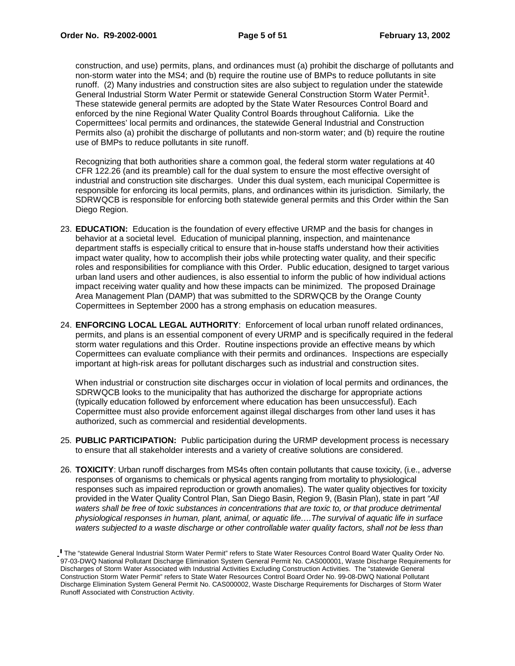construction, and use) permits, plans, and ordinances must (a) prohibit the discharge of pollutants and non-storm water into the MS4; and (b) require the routine use of BMPs to reduce pollutants in site runoff. (2) Many industries and construction sites are also subject to regulation under the statewide General Industrial Storm Water Permit or statewide General Construction Storm Water Permit<sup>1</sup>. These statewide general permits are adopted by the State Water Resources Control Board and enforced by the nine Regional Water Quality Control Boards throughout California. Like the Copermittees' local permits and ordinances, the statewide General Industrial and Construction Permits also (a) prohibit the discharge of pollutants and non-storm water; and (b) require the routine use of BMPs to reduce pollutants in site runoff.

Recognizing that both authorities share a common goal, the federal storm water regulations at 40 CFR 122.26 (and its preamble) call for the dual system to ensure the most effective oversight of industrial and construction site discharges. Under this dual system, each municipal Copermittee is responsible for enforcing its local permits, plans, and ordinances within its jurisdiction. Similarly, the SDRWQCB is responsible for enforcing both statewide general permits and this Order within the San Diego Region.

- 23. **EDUCATION:** Education is the foundation of every effective URMP and the basis for changes in behavior at a societal level. Education of municipal planning, inspection, and maintenance department staffs is especially critical to ensure that in-house staffs understand how their activities impact water quality, how to accomplish their jobs while protecting water quality, and their specific roles and responsibilities for compliance with this Order. Public education, designed to target various urban land users and other audiences, is also essential to inform the public of how individual actions impact receiving water quality and how these impacts can be minimized. The proposed Drainage Area Management Plan (DAMP) that was submitted to the SDRWQCB by the Orange County Copermittees in September 2000 has a strong emphasis on education measures.
- 24. **ENFORCING LOCAL LEGAL AUTHORITY**: Enforcement of local urban runoff related ordinances, permits, and plans is an essential component of every URMP and is specifically required in the federal storm water regulations and this Order. Routine inspections provide an effective means by which Copermittees can evaluate compliance with their permits and ordinances. Inspections are especially important at high-risk areas for pollutant discharges such as industrial and construction sites.

When industrial or construction site discharges occur in violation of local permits and ordinances, the SDRWQCB looks to the municipality that has authorized the discharge for appropriate actions (typically education followed by enforcement where education has been unsuccessful). Each Copermittee must also provide enforcement against illegal discharges from other land uses it has authorized, such as commercial and residential developments.

- 25. **PUBLIC PARTICIPATION:** Public participation during the URMP development process is necessary to ensure that all stakeholder interests and a variety of creative solutions are considered.
- 26. **TOXICITY**: Urban runoff discharges from MS4s often contain pollutants that cause toxicity, (i.e., adverse responses of organisms to chemicals or physical agents ranging from mortality to physiological responses such as impaired reproduction or growth anomalies). The water quality objectives for toxicity provided in the Water Quality Control Plan, San Diego Basin, Region 9, (Basin Plan), state in part "All waters shall be free of toxic substances in concentrations that are toxic to, or that produce detrimental physiological responses in human, plant, animal, or aquatic life….The survival of aquatic life in surface waters subjected to a waste discharge or other controllable water quality factors, shall not be less than

The "statewide General Industrial Storm Water Permit" refers to State Water Resources Control Board Water Quality Order No. 97-03-DWQ National Pollutant Discharge Elimination System General Permit No. CAS000001, Waste Discharge Requirements for Discharges of Storm Water Associated with Industrial Activities Excluding Construction Activities. The "statewide General Construction Storm Water Permit" refers to State Water Resources Control Board Order No. 99-08-DWQ National Pollutant Discharge Elimination System General Permit No. CAS000002, Waste Discharge Requirements for Discharges of Storm Water Runoff Associated with Construction Activity.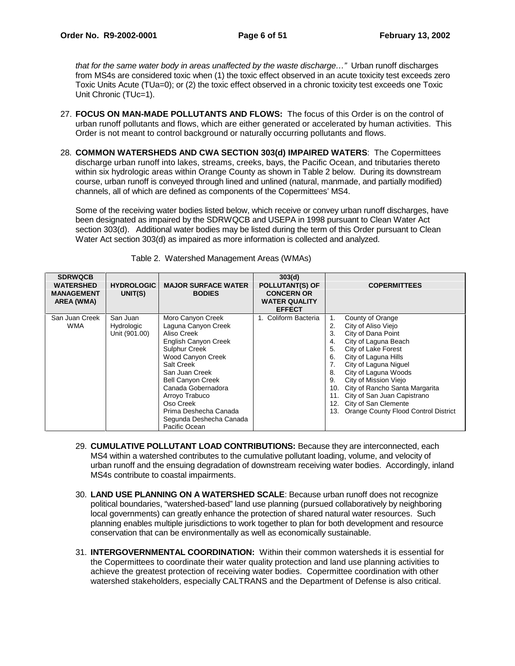that for the same water body in areas unaffected by the waste discharge…" Urban runoff discharges from MS4s are considered toxic when (1) the toxic effect observed in an acute toxicity test exceeds zero Toxic Units Acute (TUa=0); or (2) the toxic effect observed in a chronic toxicity test exceeds one Toxic Unit Chronic (TUc=1).

- 27. **FOCUS ON MAN-MADE POLLUTANTS AND FLOWS:** The focus of this Order is on the control of urban runoff pollutants and flows, which are either generated or accelerated by human activities. This Order is not meant to control background or naturally occurring pollutants and flows.
- 28. **COMMON WATERSHEDS AND CWA SECTION 303(d) IMPAIRED WATERS**: The Copermittees discharge urban runoff into lakes, streams, creeks, bays, the Pacific Ocean, and tributaries thereto within six hydrologic areas within Orange County as shown in Table 2 below. During its downstream course, urban runoff is conveyed through lined and unlined (natural, manmade, and partially modified) channels, all of which are defined as components of the Copermittees' MS4.

Some of the receiving water bodies listed below, which receive or convey urban runoff discharges, have been designated as impaired by the SDRWQCB and USEPA in 1998 pursuant to Clean Water Act section 303(d). Additional water bodies may be listed during the term of this Order pursuant to Clean Water Act section 303(d) as impaired as more information is collected and analyzed.

| <b>SDRWQCB</b><br><b>WATERSHED</b><br><b>MANAGEMENT</b><br>AREA (WMA) | <b>HYDROLOGIC</b><br>UNIT(S) | <b>MAJOR SURFACE WATER</b><br><b>BODIES</b> | 303(d)<br><b>POLLUTANT(S) OF</b><br><b>CONCERN OR</b><br><b>WATER QUALITY</b><br><b>EFFECT</b> |     | <b>COPERMITTEES</b>                  |
|-----------------------------------------------------------------------|------------------------------|---------------------------------------------|------------------------------------------------------------------------------------------------|-----|--------------------------------------|
| San Juan Creek                                                        | San Juan                     | Moro Canyon Creek                           | 1. Coliform Bacteria                                                                           | 1.  | County of Orange                     |
| <b>WMA</b>                                                            | Hydrologic                   | Laguna Canyon Creek                         |                                                                                                | 2.  | City of Aliso Viejo                  |
|                                                                       | Unit (901.00)                | Aliso Creek                                 |                                                                                                | 3.  | City of Dana Point                   |
|                                                                       |                              | English Canyon Creek                        |                                                                                                | 4.  | City of Laguna Beach                 |
|                                                                       |                              | Sulphur Creek                               |                                                                                                | 5.  | City of Lake Forest                  |
|                                                                       |                              | Wood Canyon Creek                           |                                                                                                | 6.  | City of Laguna Hills                 |
|                                                                       |                              | Salt Creek                                  |                                                                                                |     | City of Laguna Niguel                |
|                                                                       |                              | San Juan Creek                              |                                                                                                | 8.  | City of Laguna Woods                 |
|                                                                       |                              | <b>Bell Canyon Creek</b>                    |                                                                                                | 9.  | City of Mission Viejo                |
|                                                                       |                              | Canada Gobernadora                          |                                                                                                |     | 10. City of Rancho Santa Margarita   |
|                                                                       |                              | Arroyo Trabuco                              |                                                                                                |     | 11. City of San Juan Capistrano      |
|                                                                       |                              | Oso Creek                                   |                                                                                                |     | 12. City of San Clemente             |
|                                                                       |                              | Prima Deshecha Canada                       |                                                                                                | 13. | Orange County Flood Control District |
|                                                                       |                              | Segunda Deshecha Canada                     |                                                                                                |     |                                      |
|                                                                       |                              | Pacific Ocean                               |                                                                                                |     |                                      |

Table 2. Watershed Management Areas (WMAs)

- 29. **CUMULATIVE POLLUTANT LOAD CONTRIBUTIONS:** Because they are interconnected, each MS4 within a watershed contributes to the cumulative pollutant loading, volume, and velocity of urban runoff and the ensuing degradation of downstream receiving water bodies. Accordingly, inland MS4s contribute to coastal impairments.
- 30. **LAND USE PLANNING ON A WATERSHED SCALE**: Because urban runoff does not recognize political boundaries, "watershed-based" land use planning (pursued collaboratively by neighboring local governments) can greatly enhance the protection of shared natural water resources. Such planning enables multiple jurisdictions to work together to plan for both development and resource conservation that can be environmentally as well as economically sustainable.
- 31. **INTERGOVERNMENTAL COORDINATION:** Within their common watersheds it is essential for the Copermittees to coordinate their water quality protection and land use planning activities to achieve the greatest protection of receiving water bodies. Copermittee coordination with other watershed stakeholders, especially CALTRANS and the Department of Defense is also critical.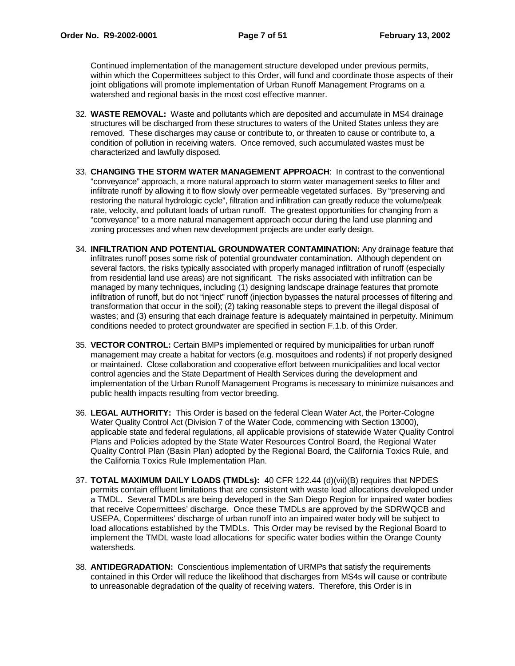Continued implementation of the management structure developed under previous permits, within which the Copermittees subject to this Order, will fund and coordinate those aspects of their joint obligations will promote implementation of Urban Runoff Management Programs on a watershed and regional basis in the most cost effective manner.

- 32. **WASTE REMOVAL:** Waste and pollutants which are deposited and accumulate in MS4 drainage structures will be discharged from these structures to waters of the United States unless they are removed. These discharges may cause or contribute to, or threaten to cause or contribute to, a condition of pollution in receiving waters. Once removed, such accumulated wastes must be characterized and lawfully disposed.
- 33. **CHANGING THE STORM WATER MANAGEMENT APPROACH**: In contrast to the conventional "conveyance" approach, a more natural approach to storm water management seeks to filter and infiltrate runoff by allowing it to flow slowly over permeable vegetated surfaces. By "preserving and restoring the natural hydrologic cycle", filtration and infiltration can greatly reduce the volume/peak rate, velocity, and pollutant loads of urban runoff. The greatest opportunities for changing from a "conveyance" to a more natural management approach occur during the land use planning and zoning processes and when new development projects are under early design.
- 34. **INFILTRATION AND POTENTIAL GROUNDWATER CONTAMINATION:** Any drainage feature that infiltrates runoff poses some risk of potential groundwater contamination. Although dependent on several factors, the risks typically associated with properly managed infiltration of runoff (especially from residential land use areas) are not significant. The risks associated with infiltration can be managed by many techniques, including (1) designing landscape drainage features that promote infiltration of runoff, but do not "inject" runoff (injection bypasses the natural processes of filtering and transformation that occur in the soil); (2) taking reasonable steps to prevent the illegal disposal of wastes; and (3) ensuring that each drainage feature is adequately maintained in perpetuity. Minimum conditions needed to protect groundwater are specified in section F.1.b. of this Order.
- 35. **VECTOR CONTROL:** Certain BMPs implemented or required by municipalities for urban runoff management may create a habitat for vectors (e.g. mosquitoes and rodents) if not properly designed or maintained. Close collaboration and cooperative effort between municipalities and local vector control agencies and the State Department of Health Services during the development and implementation of the Urban Runoff Management Programs is necessary to minimize nuisances and public health impacts resulting from vector breeding.
- 36. **LEGAL AUTHORITY:** This Order is based on the federal Clean Water Act, the Porter-Cologne Water Quality Control Act (Division 7 of the Water Code, commencing with Section 13000), applicable state and federal regulations, all applicable provisions of statewide Water Quality Control Plans and Policies adopted by the State Water Resources Control Board, the Regional Water Quality Control Plan (Basin Plan) adopted by the Regional Board, the California Toxics Rule, and the California Toxics Rule Implementation Plan.
- 37. **TOTAL MAXIMUM DAILY LOADS (TMDLs):** 40 CFR 122.44 (d)(vii)(B) requires that NPDES permits contain effluent limitations that are consistent with waste load allocations developed under a TMDL. Several TMDLs are being developed in the San Diego Region for impaired water bodies that receive Copermittees' discharge. Once these TMDLs are approved by the SDRWQCB and USEPA, Copermittees' discharge of urban runoff into an impaired water body will be subject to load allocations established by the TMDLs. This Order may be revised by the Regional Board to implement the TMDL waste load allocations for specific water bodies within the Orange County watersheds.
- 38. **ANTIDEGRADATION:** Conscientious implementation of URMPs that satisfy the requirements contained in this Order will reduce the likelihood that discharges from MS4s will cause or contribute to unreasonable degradation of the quality of receiving waters. Therefore, this Order is in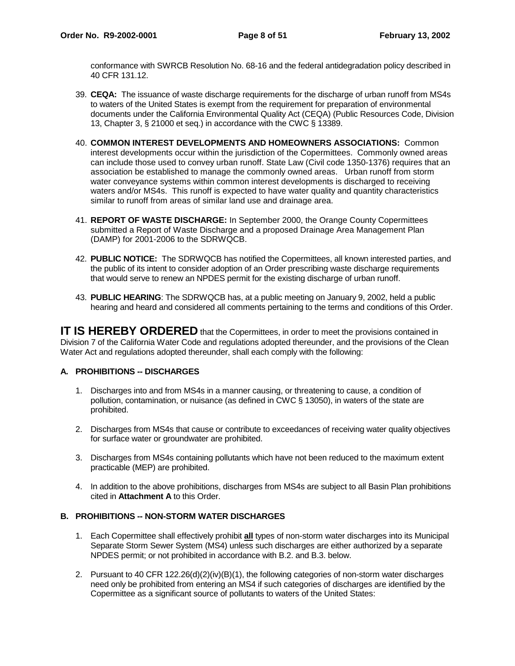conformance with SWRCB Resolution No. 68-16 and the federal antidegradation policy described in 40 CFR 131.12.

- 39. **CEQA:** The issuance of waste discharge requirements for the discharge of urban runoff from MS4s to waters of the United States is exempt from the requirement for preparation of environmental documents under the California Environmental Quality Act (CEQA) (Public Resources Code, Division 13, Chapter 3, § 21000 et seq.) in accordance with the CWC § 13389.
- 40. **COMMON INTEREST DEVELOPMENTS AND HOMEOWNERS ASSOCIATIONS:** Common interest developments occur within the jurisdiction of the Copermittees. Commonly owned areas can include those used to convey urban runoff. State Law (Civil code 1350-1376) requires that an association be established to manage the commonly owned areas. Urban runoff from storm water conveyance systems within common interest developments is discharged to receiving waters and/or MS4s. This runoff is expected to have water quality and quantity characteristics similar to runoff from areas of similar land use and drainage area.
- 41. **REPORT OF WASTE DISCHARGE:** In September 2000, the Orange County Copermittees submitted a Report of Waste Discharge and a proposed Drainage Area Management Plan (DAMP) for 2001-2006 to the SDRWQCB.
- 42. **PUBLIC NOTICE:** The SDRWQCB has notified the Copermittees, all known interested parties, and the public of its intent to consider adoption of an Order prescribing waste discharge requirements that would serve to renew an NPDES permit for the existing discharge of urban runoff.
- 43. **PUBLIC HEARING**: The SDRWQCB has, at a public meeting on January 9, 2002, held a public hearing and heard and considered all comments pertaining to the terms and conditions of this Order.

**IT IS HEREBY ORDERED** that the Copermittees, in order to meet the provisions contained in Division 7 of the California Water Code and regulations adopted thereunder, and the provisions of the Clean Water Act and regulations adopted thereunder, shall each comply with the following:

# **A. PROHIBITIONS -- DISCHARGES**

- 1. Discharges into and from MS4s in a manner causing, or threatening to cause, a condition of pollution, contamination, or nuisance (as defined in CWC § 13050), in waters of the state are prohibited.
- 2. Discharges from MS4s that cause or contribute to exceedances of receiving water quality objectives for surface water or groundwater are prohibited.
- 3. Discharges from MS4s containing pollutants which have not been reduced to the maximum extent practicable (MEP) are prohibited.
- 4. In addition to the above prohibitions, discharges from MS4s are subject to all Basin Plan prohibitions cited in **Attachment A** to this Order.

# **B. PROHIBITIONS -- NON-STORM WATER DISCHARGES**

- 1. Each Copermittee shall effectively prohibit **all** types of non-storm water discharges into its Municipal Separate Storm Sewer System (MS4) unless such discharges are either authorized by a separate NPDES permit; or not prohibited in accordance with B.2. and B.3. below.
- 2. Pursuant to 40 CFR 122.26(d)(2)(iv)(B)(1), the following categories of non-storm water discharges need only be prohibited from entering an MS4 if such categories of discharges are identified by the Copermittee as a significant source of pollutants to waters of the United States: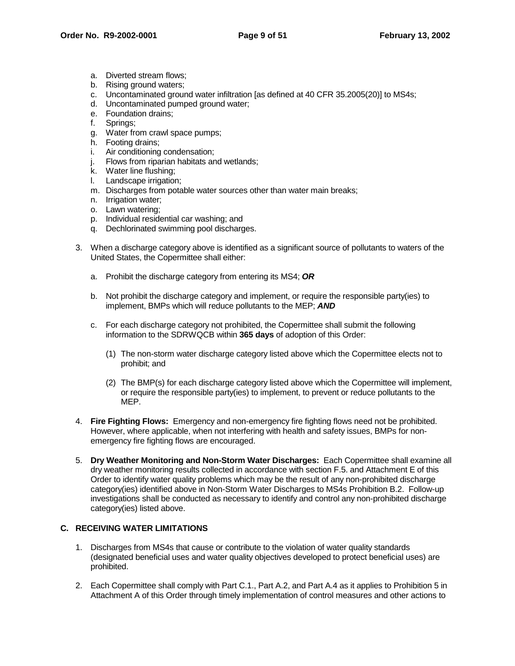- a. Diverted stream flows;
- b. Rising ground waters;
- c. Uncontaminated ground water infiltration [as defined at 40 CFR 35.2005(20)] to MS4s;
- d. Uncontaminated pumped ground water;
- e. Foundation drains;
- f. Springs;
- g. Water from crawl space pumps;
- h. Footing drains;
- i. Air conditioning condensation;
- j. Flows from riparian habitats and wetlands;
- k. Water line flushing;
- l. Landscape irrigation;
- m. Discharges from potable water sources other than water main breaks;
- n. Irrigation water;
- o. Lawn watering;
- p. Individual residential car washing; and
- q. Dechlorinated swimming pool discharges.
- 3. When a discharge category above is identified as a significant source of pollutants to waters of the United States, the Copermittee shall either:
	- a. Prohibit the discharge category from entering its MS4; **OR**
	- b. Not prohibit the discharge category and implement, or require the responsible party(ies) to implement, BMPs which will reduce pollutants to the MEP; **AND**
	- c. For each discharge category not prohibited, the Copermittee shall submit the following information to the SDRWQCB within **365 days** of adoption of this Order:
		- (1) The non-storm water discharge category listed above which the Copermittee elects not to prohibit; and
		- (2) The BMP(s) for each discharge category listed above which the Copermittee will implement, or require the responsible party(ies) to implement, to prevent or reduce pollutants to the MEP.
- 4. **Fire Fighting Flows:** Emergency and non-emergency fire fighting flows need not be prohibited. However, where applicable, when not interfering with health and safety issues, BMPs for nonemergency fire fighting flows are encouraged.
- 5. **Dry Weather Monitoring and Non-Storm Water Discharges:** Each Copermittee shall examine all dry weather monitoring results collected in accordance with section F.5. and Attachment E of this Order to identify water quality problems which may be the result of any non-prohibited discharge category(ies) identified above in Non-Storm Water Discharges to MS4s Prohibition B.2. Follow-up investigations shall be conducted as necessary to identify and control any non-prohibited discharge category(ies) listed above.

# **C. RECEIVING WATER LIMITATIONS**

- 1. Discharges from MS4s that cause or contribute to the violation of water quality standards (designated beneficial uses and water quality objectives developed to protect beneficial uses) are prohibited.
- 2. Each Copermittee shall comply with Part C.1., Part A.2, and Part A.4 as it applies to Prohibition 5 in Attachment A of this Order through timely implementation of control measures and other actions to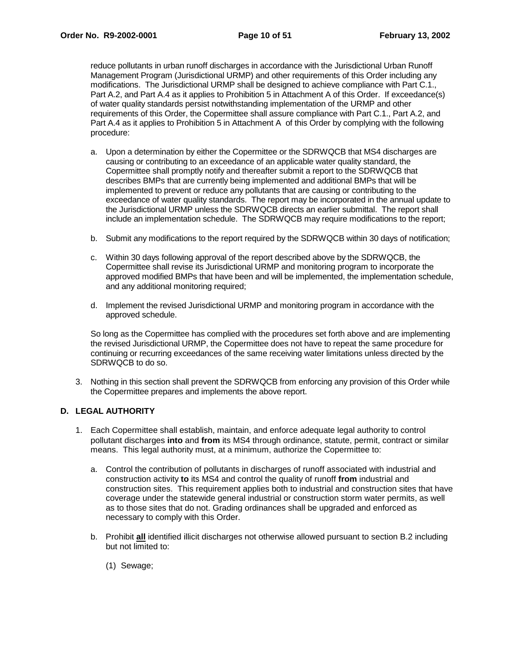reduce pollutants in urban runoff discharges in accordance with the Jurisdictional Urban Runoff Management Program (Jurisdictional URMP) and other requirements of this Order including any modifications. The Jurisdictional URMP shall be designed to achieve compliance with Part C.1., Part A.2, and Part A.4 as it applies to Prohibition 5 in Attachment A of this Order. If exceedance(s) of water quality standards persist notwithstanding implementation of the URMP and other requirements of this Order, the Copermittee shall assure compliance with Part C.1., Part A.2, and Part A.4 as it applies to Prohibition 5 in Attachment A of this Order by complying with the following procedure:

- a. Upon a determination by either the Copermittee or the SDRWQCB that MS4 discharges are causing or contributing to an exceedance of an applicable water quality standard, the Copermittee shall promptly notify and thereafter submit a report to the SDRWQCB that describes BMPs that are currently being implemented and additional BMPs that will be implemented to prevent or reduce any pollutants that are causing or contributing to the exceedance of water quality standards. The report may be incorporated in the annual update to the Jurisdictional URMP unless the SDRWQCB directs an earlier submittal. The report shall include an implementation schedule. The SDRWQCB may require modifications to the report;
- b. Submit any modifications to the report required by the SDRWQCB within 30 days of notification;
- c. Within 30 days following approval of the report described above by the SDRWQCB, the Copermittee shall revise its Jurisdictional URMP and monitoring program to incorporate the approved modified BMPs that have been and will be implemented, the implementation schedule, and any additional monitoring required;
- d. Implement the revised Jurisdictional URMP and monitoring program in accordance with the approved schedule.

So long as the Copermittee has complied with the procedures set forth above and are implementing the revised Jurisdictional URMP, the Copermittee does not have to repeat the same procedure for continuing or recurring exceedances of the same receiving water limitations unless directed by the SDRWQCB to do so.

3. Nothing in this section shall prevent the SDRWQCB from enforcing any provision of this Order while the Copermittee prepares and implements the above report.

# **D. LEGAL AUTHORITY**

- 1. Each Copermittee shall establish, maintain, and enforce adequate legal authority to control pollutant discharges **into** and **from** its MS4 through ordinance, statute, permit, contract or similar means. This legal authority must, at a minimum, authorize the Copermittee to:
	- a. Control the contribution of pollutants in discharges of runoff associated with industrial and construction activity **to** its MS4 and control the quality of runoff **from** industrial and construction sites. This requirement applies both to industrial and construction sites that have coverage under the statewide general industrial or construction storm water permits, as well as to those sites that do not. Grading ordinances shall be upgraded and enforced as necessary to comply with this Order.
	- b. Prohibit **all** identified illicit discharges not otherwise allowed pursuant to section B.2 including but not limited to:
		- (1) Sewage;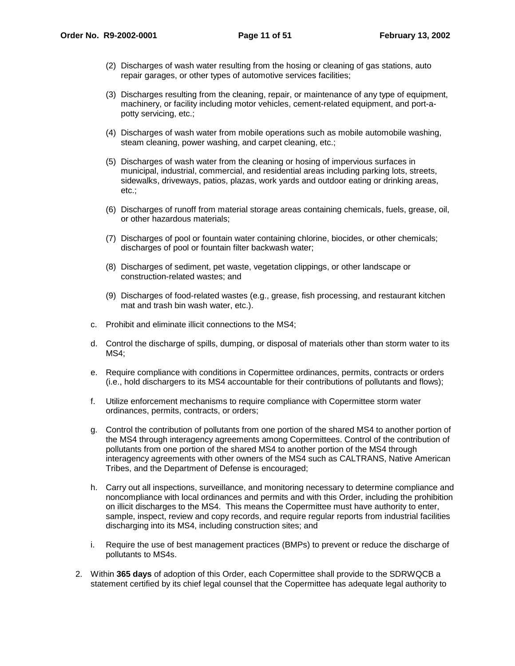- (2) Discharges of wash water resulting from the hosing or cleaning of gas stations, auto repair garages, or other types of automotive services facilities;
- (3) Discharges resulting from the cleaning, repair, or maintenance of any type of equipment, machinery, or facility including motor vehicles, cement-related equipment, and port-apotty servicing, etc.;
- (4) Discharges of wash water from mobile operations such as mobile automobile washing, steam cleaning, power washing, and carpet cleaning, etc.;
- (5) Discharges of wash water from the cleaning or hosing of impervious surfaces in municipal, industrial, commercial, and residential areas including parking lots, streets, sidewalks, driveways, patios, plazas, work yards and outdoor eating or drinking areas, etc.;
- (6) Discharges of runoff from material storage areas containing chemicals, fuels, grease, oil, or other hazardous materials;
- (7) Discharges of pool or fountain water containing chlorine, biocides, or other chemicals; discharges of pool or fountain filter backwash water;
- (8) Discharges of sediment, pet waste, vegetation clippings, or other landscape or construction-related wastes; and
- (9) Discharges of food-related wastes (e.g., grease, fish processing, and restaurant kitchen mat and trash bin wash water, etc.).
- c. Prohibit and eliminate illicit connections to the MS4;
- d. Control the discharge of spills, dumping, or disposal of materials other than storm water to its MS4;
- e. Require compliance with conditions in Copermittee ordinances, permits, contracts or orders (i.e., hold dischargers to its MS4 accountable for their contributions of pollutants and flows);
- f. Utilize enforcement mechanisms to require compliance with Copermittee storm water ordinances, permits, contracts, or orders;
- g. Control the contribution of pollutants from one portion of the shared MS4 to another portion of the MS4 through interagency agreements among Copermittees. Control of the contribution of pollutants from one portion of the shared MS4 to another portion of the MS4 through interagency agreements with other owners of the MS4 such as CALTRANS, Native American Tribes, and the Department of Defense is encouraged;
- h. Carry out all inspections, surveillance, and monitoring necessary to determine compliance and noncompliance with local ordinances and permits and with this Order, including the prohibition on illicit discharges to the MS4. This means the Copermittee must have authority to enter, sample, inspect, review and copy records, and require regular reports from industrial facilities discharging into its MS4, including construction sites; and
- i. Require the use of best management practices (BMPs) to prevent or reduce the discharge of pollutants to MS4s.
- 2. Within **365 days** of adoption of this Order, each Copermittee shall provide to the SDRWQCB a statement certified by its chief legal counsel that the Copermittee has adequate legal authority to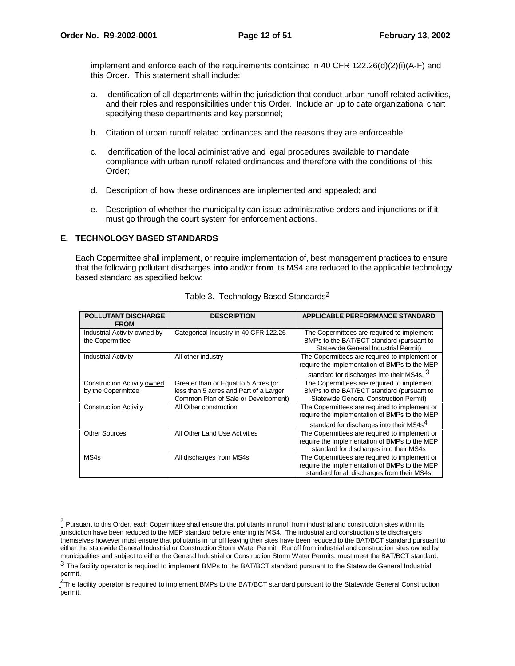implement and enforce each of the requirements contained in 40 CFR  $122.26(d)(2)(i)(A-F)$  and this Order. This statement shall include:

- a. Identification of all departments within the jurisdiction that conduct urban runoff related activities, and their roles and responsibilities under this Order. Include an up to date organizational chart specifying these departments and key personnel;
- b. Citation of urban runoff related ordinances and the reasons they are enforceable;
- c. Identification of the local administrative and legal procedures available to mandate compliance with urban runoff related ordinances and therefore with the conditions of this Order;
- d. Description of how these ordinances are implemented and appealed; and
- e. Description of whether the municipality can issue administrative orders and injunctions or if it must go through the court system for enforcement actions.

# **E. TECHNOLOGY BASED STANDARDS**

Each Copermittee shall implement, or require implementation of, best management practices to ensure that the following pollutant discharges **into** and/or **from** its MS4 are reduced to the applicable technology based standard as specified below:

| <b>POLLUTANT DISCHARGE</b><br><b>FROM</b>         | <b>DESCRIPTION</b>                                                                                                    | <b>APPLICABLE PERFORMANCE STANDARD</b>                                                                                                                 |
|---------------------------------------------------|-----------------------------------------------------------------------------------------------------------------------|--------------------------------------------------------------------------------------------------------------------------------------------------------|
| Industrial Activity owned by<br>the Copermittee   | Categorical Industry in 40 CFR 122.26                                                                                 | The Copermittees are required to implement<br>BMPs to the BAT/BCT standard (pursuant to<br>Statewide General Industrial Permit)                        |
| <b>Industrial Activity</b>                        | All other industry                                                                                                    | The Copermittees are required to implement or<br>require the implementation of BMPs to the MEP<br>standard for discharges into their MS4s. 3           |
| Construction Activity owned<br>by the Copermittee | Greater than or Equal to 5 Acres (or<br>less than 5 acres and Part of a Larger<br>Common Plan of Sale or Development) | The Copermittees are required to implement<br>BMPs to the BAT/BCT standard (pursuant to<br>Statewide General Construction Permit)                      |
| <b>Construction Activity</b>                      | All Other construction                                                                                                | The Copermittees are required to implement or<br>require the implementation of BMPs to the MEP<br>standard for discharges into their MS4s <sup>4</sup> |
| <b>Other Sources</b>                              | All Other Land Use Activities                                                                                         | The Copermittees are required to implement or<br>require the implementation of BMPs to the MEP<br>standard for discharges into their MS4s              |
| MS4s                                              | All discharges from MS4s                                                                                              | The Copermittees are required to implement or<br>require the implementation of BMPs to the MEP<br>standard for all discharges from their MS4s          |

|  |  |  | Table 3. Technology Based Standards <sup>2</sup> |
|--|--|--|--------------------------------------------------|
|--|--|--|--------------------------------------------------|

<sup>4</sup>The facility operator is required to implement BMPs to the BAT/BCT standard pursuant to the Statewide General Construction permit.

 $2$  Pursuant to this Order, each Copermittee shall ensure that pollutants in runoff from industrial and construction sites within its jurisdiction have been reduced to the MEP standard before entering its MS4. The industrial and construction site dischargers themselves however must ensure that pollutants in runoff leaving their sites have been reduced to the BAT/BCT standard pursuant to either the statewide General Industrial or Construction Storm Water Permit. Runoff from industrial and construction sites owned by municipalities and subject to either the General Industrial or Construction Storm Water Permits, must meet the BAT/BCT standard. 3 The facility operator is required to implement BMPs to the BAT/BCT standard pursuant to the Statewide General Industrial permit.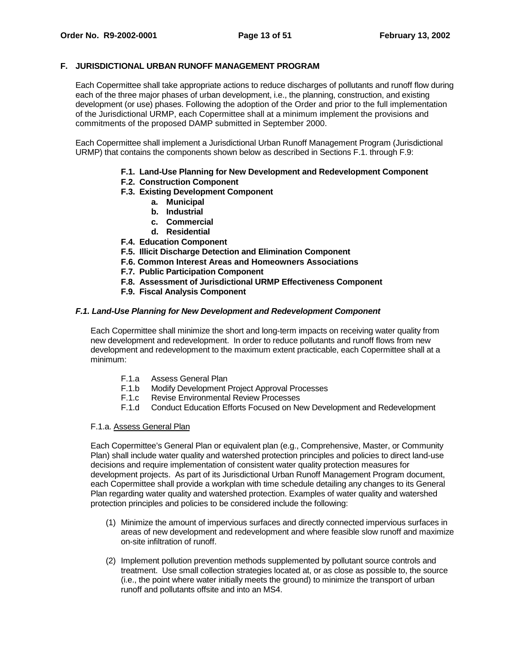# **F. JURISDICTIONAL URBAN RUNOFF MANAGEMENT PROGRAM**

Each Copermittee shall take appropriate actions to reduce discharges of pollutants and runoff flow during each of the three major phases of urban development, i.e., the planning, construction, and existing development (or use) phases. Following the adoption of the Order and prior to the full implementation of the Jurisdictional URMP, each Copermittee shall at a minimum implement the provisions and commitments of the proposed DAMP submitted in September 2000.

Each Copermittee shall implement a Jurisdictional Urban Runoff Management Program (Jurisdictional URMP) that contains the components shown below as described in Sections F.1. through F.9:

- **F.1. Land-Use Planning for New Development and Redevelopment Component**
- **F.2. Construction Component**
- **F.3. Existing Development Component**
	- **a. Municipal**
	- **b. Industrial**
	- **c. Commercial**
	- **d. Residential**
- **F.4. Education Component**
- **F.5. Illicit Discharge Detection and Elimination Component**
- **F.6. Common Interest Areas and Homeowners Associations**
- **F.7. Public Participation Component**
- **F.8. Assessment of Jurisdictional URMP Effectiveness Component**
- **F.9. Fiscal Analysis Component**

# **F.1. Land-Use Planning for New Development and Redevelopment Component**

Each Copermittee shall minimize the short and long-term impacts on receiving water quality from new development and redevelopment. In order to reduce pollutants and runoff flows from new development and redevelopment to the maximum extent practicable, each Copermittee shall at a minimum:

- F.1.a Assess General Plan
- F.1.b Modify Development Project Approval Processes
- F.1.c Revise Environmental Review Processes
- F.1.d Conduct Education Efforts Focused on New Development and Redevelopment

#### F.1.a. Assess General Plan

Each Copermittee's General Plan or equivalent plan (e.g., Comprehensive, Master, or Community Plan) shall include water quality and watershed protection principles and policies to direct land-use decisions and require implementation of consistent water quality protection measures for development projects. As part of its Jurisdictional Urban Runoff Management Program document, each Copermittee shall provide a workplan with time schedule detailing any changes to its General Plan regarding water quality and watershed protection. Examples of water quality and watershed protection principles and policies to be considered include the following:

- (1) Minimize the amount of impervious surfaces and directly connected impervious surfaces in areas of new development and redevelopment and where feasible slow runoff and maximize on-site infiltration of runoff.
- (2) Implement pollution prevention methods supplemented by pollutant source controls and treatment. Use small collection strategies located at, or as close as possible to, the source (i.e., the point where water initially meets the ground) to minimize the transport of urban runoff and pollutants offsite and into an MS4.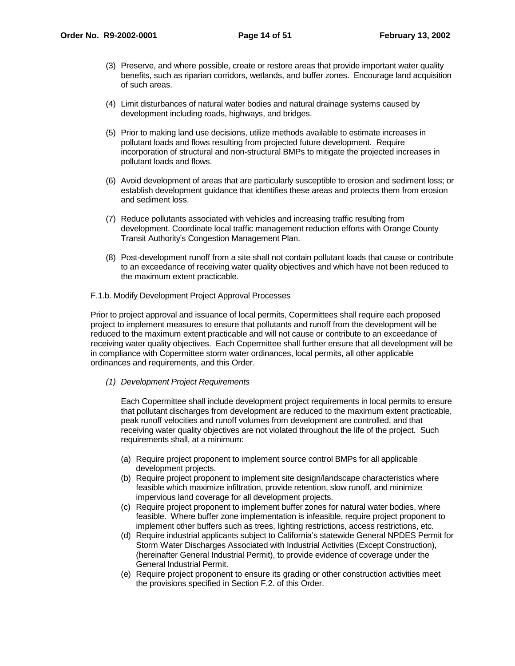- (3) Preserve, and where possible, create or restore areas that provide important water quality benefits, such as riparian corridors, wetlands, and buffer zones. Encourage land acquisition of such areas.
- (4) Limit disturbances of natural water bodies and natural drainage systems caused by development including roads, highways, and bridges.
- (5) Prior to making land use decisions, utilize methods available to estimate increases in pollutant loads and flows resulting from projected future development. Require incorporation of structural and non-structural BMPs to mitigate the projected increases in pollutant loads and flows.
- (6) Avoid development of areas that are particularly susceptible to erosion and sediment loss; or establish development guidance that identifies these areas and protects them from erosion and sediment loss.
- (7) Reduce pollutants associated with vehicles and increasing traffic resulting from development. Coordinate local traffic management reduction efforts with Orange County Transit Authority's Congestion Management Plan.
- (8) Post-development runoff from a site shall not contain pollutant loads that cause or contribute to an exceedance of receiving water quality objectives and which have not been reduced to the maximum extent practicable.

# F.1.b. Modify Development Project Approval Processes

Prior to project approval and issuance of local permits, Copermittees shall require each proposed project to implement measures to ensure that pollutants and runoff from the development will be reduced to the maximum extent practicable and will not cause or contribute to an exceedance of receiving water quality objectives. Each Copermittee shall further ensure that all development will be in compliance with Copermittee storm water ordinances, local permits, all other applicable ordinances and requirements, and this Order.

# (1) Development Project Requirements

Each Copermittee shall include development project requirements in local permits to ensure that pollutant discharges from development are reduced to the maximum extent practicable, peak runoff velocities and runoff volumes from development are controlled, and that receiving water quality objectives are not violated throughout the life of the project. Such requirements shall, at a minimum:

- (a) Require project proponent to implement source control BMPs for all applicable development projects.
- (b) Require project proponent to implement site design/landscape characteristics where feasible which maximize infiltration, provide retention, slow runoff, and minimize impervious land coverage for all development projects.
- (c) Require project proponent to implement buffer zones for natural water bodies, where feasible. Where buffer zone implementation is infeasible, require project proponent to implement other buffers such as trees, lighting restrictions, access restrictions, etc.
- (d) Require industrial applicants subject to California's statewide General NPDES Permit for Storm Water Discharges Associated with Industrial Activities (Except Construction), (hereinafter General Industrial Permit), to provide evidence of coverage under the General Industrial Permit.
- (e) Require project proponent to ensure its grading or other construction activities meet the provisions specified in Section F.2. of this Order.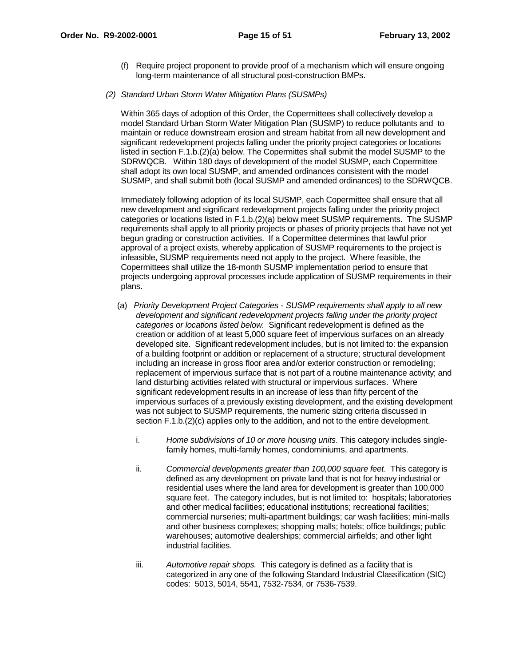(f) Require project proponent to provide proof of a mechanism which will ensure ongoing long-term maintenance of all structural post-construction BMPs.

### (2) Standard Urban Storm Water Mitigation Plans (SUSMPs)

Within 365 days of adoption of this Order, the Copermittees shall collectively develop a model Standard Urban Storm Water Mitigation Plan (SUSMP) to reduce pollutants and to maintain or reduce downstream erosion and stream habitat from all new development and significant redevelopment projects falling under the priority project categories or locations listed in section F.1.b.(2)(a) below. The Copermittes shall submit the model SUSMP to the SDRWQCB. Within 180 days of development of the model SUSMP, each Copermittee shall adopt its own local SUSMP, and amended ordinances consistent with the model SUSMP, and shall submit both (local SUSMP and amended ordinances) to the SDRWQCB.

Immediately following adoption of its local SUSMP, each Copermittee shall ensure that all new development and significant redevelopment projects falling under the priority project categories or locations listed in F.1.b.(2)(a) below meet SUSMP requirements. The SUSMP requirements shall apply to all priority projects or phases of priority projects that have not yet begun grading or construction activities. If a Copermittee determines that lawful prior approval of a project exists, whereby application of SUSMP requirements to the project is infeasible, SUSMP requirements need not apply to the project. Where feasible, the Copermittees shall utilize the 18-month SUSMP implementation period to ensure that projects undergoing approval processes include application of SUSMP requirements in their plans.

- (a) Priority Development Project Categories SUSMP requirements shall apply to all new development and significant redevelopment projects falling under the priority project categories or locations listed below. Significant redevelopment is defined as the creation or addition of at least 5,000 square feet of impervious surfaces on an already developed site. Significant redevelopment includes, but is not limited to: the expansion of a building footprint or addition or replacement of a structure; structural development including an increase in gross floor area and/or exterior construction or remodeling; replacement of impervious surface that is not part of a routine maintenance activity; and land disturbing activities related with structural or impervious surfaces. Where significant redevelopment results in an increase of less than fifty percent of the impervious surfaces of a previously existing development, and the existing development was not subject to SUSMP requirements, the numeric sizing criteria discussed in section F.1.b.(2)(c) applies only to the addition, and not to the entire development.
	- i. Home subdivisions of 10 or more housing units. This category includes singlefamily homes, multi-family homes, condominiums, and apartments.
	- ii. Commercial developments greater than 100,000 square feet. This category is defined as any development on private land that is not for heavy industrial or residential uses where the land area for development is greater than 100,000 square feet. The category includes, but is not limited to: hospitals; laboratories and other medical facilities; educational institutions; recreational facilities; commercial nurseries; multi-apartment buildings; car wash facilities; mini-malls and other business complexes; shopping malls; hotels; office buildings; public warehouses; automotive dealerships; commercial airfields; and other light industrial facilities.
	- iii. Automotive repair shops. This category is defined as a facility that is categorized in any one of the following Standard Industrial Classification (SIC) codes: 5013, 5014, 5541, 7532-7534, or 7536-7539.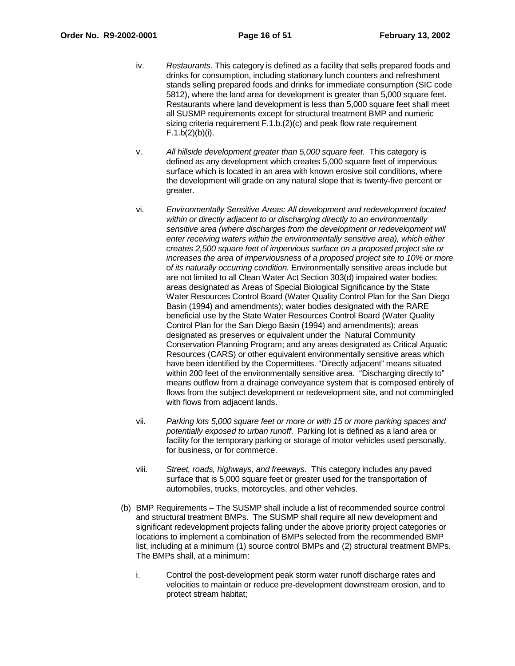- iv. Restaurants. This category is defined as a facility that sells prepared foods and drinks for consumption, including stationary lunch counters and refreshment stands selling prepared foods and drinks for immediate consumption (SIC code 5812), where the land area for development is greater than 5,000 square feet. Restaurants where land development is less than 5,000 square feet shall meet all SUSMP requirements except for structural treatment BMP and numeric sizing criteria requirement F.1.b.(2)(c) and peak flow rate requirement  $F.1.b(2)(b)(i)$ .
- v. All hillside development greater than 5,000 square feet. This category is defined as any development which creates 5,000 square feet of impervious surface which is located in an area with known erosive soil conditions, where the development will grade on any natural slope that is twenty-five percent or greater.
- vi. Environmentally Sensitive Areas: All development and redevelopment located within or directly adjacent to or discharging directly to an environmentally sensitive area (where discharges from the development or redevelopment will enter receiving waters within the environmentally sensitive area), which either creates 2,500 square feet of impervious surface on a proposed project site or increases the area of imperviousness of a proposed project site to 10% or more of its naturally occurring condition. Environmentally sensitive areas include but are not limited to all Clean Water Act Section 303(d) impaired water bodies; areas designated as Areas of Special Biological Significance by the State Water Resources Control Board (Water Quality Control Plan for the San Diego Basin (1994) and amendments); water bodies designated with the RARE beneficial use by the State Water Resources Control Board (Water Quality Control Plan for the San Diego Basin (1994) and amendments); areas designated as preserves or equivalent under the Natural Community Conservation Planning Program; and any areas designated as Critical Aquatic Resources (CARS) or other equivalent environmentally sensitive areas which have been identified by the Copermittees. "Directly adjacent" means situated within 200 feet of the environmentally sensitive area. "Discharging directly to" means outflow from a drainage conveyance system that is composed entirely of flows from the subject development or redevelopment site, and not commingled with flows from adjacent lands.
- vii. Parking lots 5,000 square feet or more or with 15 or more parking spaces and potentially exposed to urban runoff. Parking lot is defined as a land area or facility for the temporary parking or storage of motor vehicles used personally, for business, or for commerce.
- viii. Street, roads, highways, and freeways. This category includes any paved surface that is 5,000 square feet or greater used for the transportation of automobiles, trucks, motorcycles, and other vehicles.
- (b) BMP Requirements The SUSMP shall include a list of recommended source control and structural treatment BMPs. The SUSMP shall require all new development and significant redevelopment projects falling under the above priority project categories or locations to implement a combination of BMPs selected from the recommended BMP list, including at a minimum (1) source control BMPs and (2) structural treatment BMPs. The BMPs shall, at a minimum:
	- i. Control the post-development peak storm water runoff discharge rates and velocities to maintain or reduce pre-development downstream erosion, and to protect stream habitat;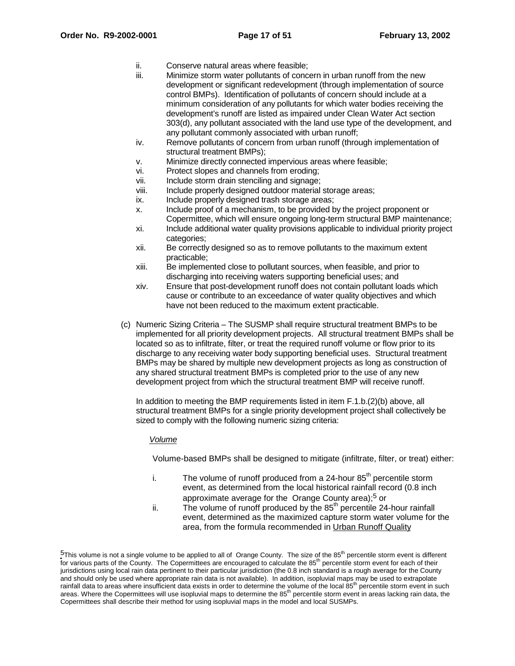- ii. Conserve natural areas where feasible;
- iii. Minimize storm water pollutants of concern in urban runoff from the new development or significant redevelopment (through implementation of source control BMPs). Identification of pollutants of concern should include at a minimum consideration of any pollutants for which water bodies receiving the development's runoff are listed as impaired under Clean Water Act section 303(d), any pollutant associated with the land use type of the development, and any pollutant commonly associated with urban runoff;
- iv. Remove pollutants of concern from urban runoff (through implementation of structural treatment BMPs);
- v. Minimize directly connected impervious areas where feasible;
- vi. Protect slopes and channels from eroding;
- vii. Include storm drain stenciling and signage;
- viii. Include properly designed outdoor material storage areas;
- ix. Include properly designed trash storage areas;
- x. Include proof of a mechanism, to be provided by the project proponent or Copermittee, which will ensure ongoing long-term structural BMP maintenance;
- xi. Include additional water quality provisions applicable to individual priority project categories;
- xii. Be correctly designed so as to remove pollutants to the maximum extent practicable;
- xiii. Be implemented close to pollutant sources, when feasible, and prior to discharging into receiving waters supporting beneficial uses; and
- xiv. Ensure that post-development runoff does not contain pollutant loads which cause or contribute to an exceedance of water quality objectives and which have not been reduced to the maximum extent practicable.
- (c) Numeric Sizing Criteria The SUSMP shall require structural treatment BMPs to be implemented for all priority development projects. All structural treatment BMPs shall be located so as to infiltrate, filter, or treat the required runoff volume or flow prior to its discharge to any receiving water body supporting beneficial uses. Structural treatment BMPs may be shared by multiple new development projects as long as construction of any shared structural treatment BMPs is completed prior to the use of any new development project from which the structural treatment BMP will receive runoff.

In addition to meeting the BMP requirements listed in item F.1.b.(2)(b) above, all structural treatment BMPs for a single priority development project shall collectively be sized to comply with the following numeric sizing criteria:

# Volume

Volume-based BMPs shall be designed to mitigate (infiltrate, filter, or treat) either:

- i. The volume of runoff produced from a 24-hour  $85<sup>th</sup>$  percentile storm event, as determined from the local historical rainfall record (0.8 inch approximate average for the Orange County area);<sup>5</sup> or
- ii. The volume of runoff produced by the  $85<sup>th</sup>$  percentile 24-hour rainfall event, determined as the maximized capture storm water volume for the area, from the formula recommended in Urban Runoff Quality

 $5$ This volume is not a single volume to be applied to all of Orange County. The size of the  $85<sup>th</sup>$  percentile storm event is different for various parts of the County. The Copermittees are encouraged to calculate the 85<sup>th</sup> percentile storm event for each of their jurisdictions using local rain data pertinent to their particular jurisdiction (the 0.8 inch standard is a rough average for the County and should only be used where appropriate rain data is not available). In addition, isopluvial maps may be used to extrapolate rainfall data to areas where insufficient data exists in order to determine the volume of the local 85<sup>th</sup> percentile storm event in such areas. Where the Copermittees will use isopluvial maps to determine the 85<sup>th</sup> percentile storm event in areas lacking rain data, the Copermittees shall describe their method for using isopluvial maps in the model and local SUSMPs.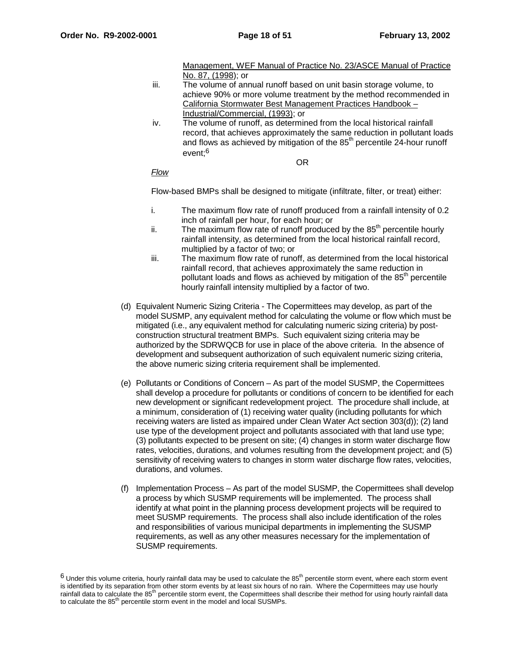Management, WEF Manual of Practice No. 23/ASCE Manual of Practice No. 87, (1998); or

- iii. The volume of annual runoff based on unit basin storage volume, to achieve 90% or more volume treatment by the method recommended in California Stormwater Best Management Practices Handbook – Industrial/Commercial, (1993); or
- iv. The volume of runoff, as determined from the local historical rainfall record, that achieves approximately the same reduction in pollutant loads and flows as achieved by mitigation of the  $85<sup>th</sup>$  percentile 24-hour runoff event;6

OR

# Flow

Flow-based BMPs shall be designed to mitigate (infiltrate, filter, or treat) either:

- i. The maximum flow rate of runoff produced from a rainfall intensity of 0.2 inch of rainfall per hour, for each hour; or
- ii. The maximum flow rate of runoff produced by the  $85<sup>th</sup>$  percentile hourly rainfall intensity, as determined from the local historical rainfall record, multiplied by a factor of two; or
- iii. The maximum flow rate of runoff, as determined from the local historical rainfall record, that achieves approximately the same reduction in pollutant loads and flows as achieved by mitigation of the 85<sup>th</sup> percentile hourly rainfall intensity multiplied by a factor of two.
- (d) Equivalent Numeric Sizing Criteria The Copermittees may develop, as part of the model SUSMP, any equivalent method for calculating the volume or flow which must be mitigated (i.e., any equivalent method for calculating numeric sizing criteria) by postconstruction structural treatment BMPs. Such equivalent sizing criteria may be authorized by the SDRWQCB for use in place of the above criteria. In the absence of development and subsequent authorization of such equivalent numeric sizing criteria, the above numeric sizing criteria requirement shall be implemented.
- (e) Pollutants or Conditions of Concern As part of the model SUSMP, the Copermittees shall develop a procedure for pollutants or conditions of concern to be identified for each new development or significant redevelopment project. The procedure shall include, at a minimum, consideration of (1) receiving water quality (including pollutants for which receiving waters are listed as impaired under Clean Water Act section 303(d)); (2) land use type of the development project and pollutants associated with that land use type; (3) pollutants expected to be present on site; (4) changes in storm water discharge flow rates, velocities, durations, and volumes resulting from the development project; and (5) sensitivity of receiving waters to changes in storm water discharge flow rates, velocities, durations, and volumes.
- (f) Implementation Process As part of the model SUSMP, the Copermittees shall develop a process by which SUSMP requirements will be implemented. The process shall identify at what point in the planning process development projects will be required to meet SUSMP requirements. The process shall also include identification of the roles and responsibilities of various municipal departments in implementing the SUSMP requirements, as well as any other measures necessary for the implementation of SUSMP requirements.

 $6$  Under this volume criteria, hourly rainfall data may be used to calculate the  $85<sup>th</sup>$  percentile storm event, where each storm event is identified by its separation from other storm events by at least six hours of no rain. Where the Copermittees may use hourly rainfall data to calculate the 85<sup>th</sup> percentile storm event, the Copermittees shall describe their method for using hourly rainfall data to calculate the  $85<sup>th</sup>$  percentile storm event in the model and local SUSMPs.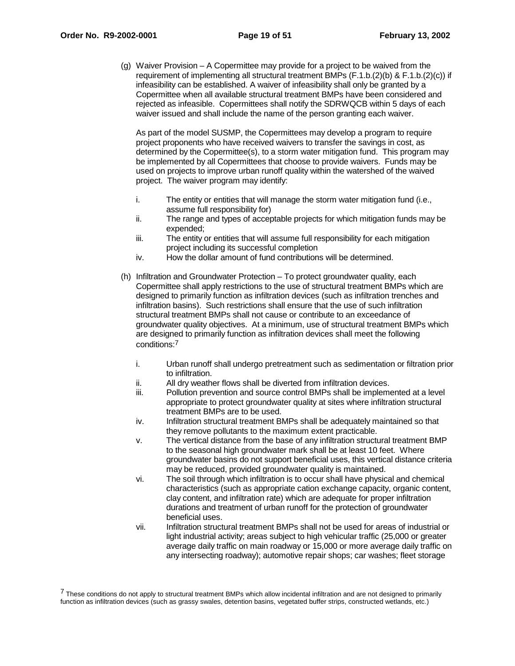(g) Waiver Provision – A Copermittee may provide for a project to be waived from the requirement of implementing all structural treatment BMPs (F.1.b.(2)(b) & F.1.b.(2)(c)) if infeasibility can be established. A waiver of infeasibility shall only be granted by a Copermittee when all available structural treatment BMPs have been considered and rejected as infeasible. Copermittees shall notify the SDRWQCB within 5 days of each waiver issued and shall include the name of the person granting each waiver.

As part of the model SUSMP, the Copermittees may develop a program to require project proponents who have received waivers to transfer the savings in cost, as determined by the Copermittee(s), to a storm water mitigation fund. This program may be implemented by all Copermittees that choose to provide waivers. Funds may be used on projects to improve urban runoff quality within the watershed of the waived project. The waiver program may identify:

- i. The entity or entities that will manage the storm water mitigation fund (i.e., assume full responsibility for)
- ii. The range and types of acceptable projects for which mitigation funds may be expended;
- iii. The entity or entities that will assume full responsibility for each mitigation project including its successful completion
- iv. How the dollar amount of fund contributions will be determined.
- (h) Infiltration and Groundwater Protection To protect groundwater quality, each Copermittee shall apply restrictions to the use of structural treatment BMPs which are designed to primarily function as infiltration devices (such as infiltration trenches and infiltration basins). Such restrictions shall ensure that the use of such infiltration structural treatment BMPs shall not cause or contribute to an exceedance of groundwater quality objectives. At a minimum, use of structural treatment BMPs which are designed to primarily function as infiltration devices shall meet the following conditions:7
	- i. Urban runoff shall undergo pretreatment such as sedimentation or filtration prior to infiltration.
	- ii. All dry weather flows shall be diverted from infiltration devices.
	- iii. Pollution prevention and source control BMPs shall be implemented at a level appropriate to protect groundwater quality at sites where infiltration structural treatment BMPs are to be used.
	- iv. Infiltration structural treatment BMPs shall be adequately maintained so that they remove pollutants to the maximum extent practicable.
	- v. The vertical distance from the base of any infiltration structural treatment BMP to the seasonal high groundwater mark shall be at least 10 feet. Where groundwater basins do not support beneficial uses, this vertical distance criteria may be reduced, provided groundwater quality is maintained.
	- vi. The soil through which infiltration is to occur shall have physical and chemical characteristics (such as appropriate cation exchange capacity, organic content, clay content, and infiltration rate) which are adequate for proper infiltration durations and treatment of urban runoff for the protection of groundwater beneficial uses.
	- vii. Infiltration structural treatment BMPs shall not be used for areas of industrial or light industrial activity; areas subject to high vehicular traffic (25,000 or greater average daily traffic on main roadway or 15,000 or more average daily traffic on any intersecting roadway); automotive repair shops; car washes; fleet storage

<sup>7</sup> These conditions do not apply to structural treatment BMPs which allow incidental infiltration and are not designed to primarily function as infiltration devices (such as grassy swales, detention basins, vegetated buffer strips, constructed wetlands, etc.)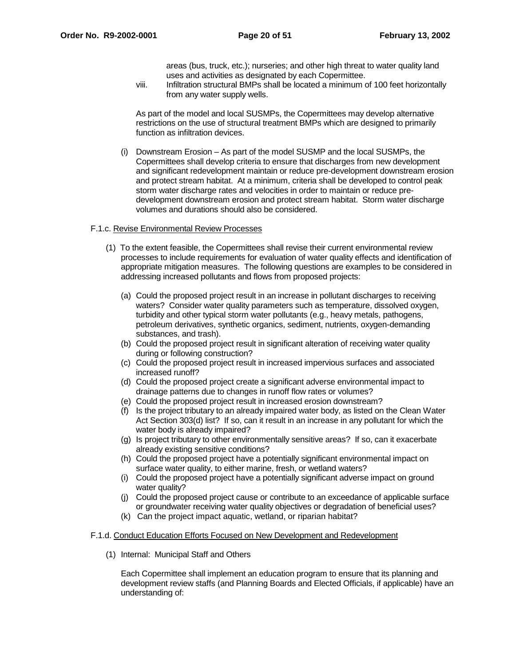areas (bus, truck, etc.); nurseries; and other high threat to water quality land uses and activities as designated by each Copermittee.

viii. Infiltration structural BMPs shall be located a minimum of 100 feet horizontally from any water supply wells.

As part of the model and local SUSMPs, the Copermittees may develop alternative restrictions on the use of structural treatment BMPs which are designed to primarily function as infiltration devices.

(i) Downstream Erosion – As part of the model SUSMP and the local SUSMPs, the Copermittees shall develop criteria to ensure that discharges from new development and significant redevelopment maintain or reduce pre-development downstream erosion and protect stream habitat. At a minimum, criteria shall be developed to control peak storm water discharge rates and velocities in order to maintain or reduce predevelopment downstream erosion and protect stream habitat. Storm water discharge volumes and durations should also be considered.

#### F.1.c. Revise Environmental Review Processes

- (1) To the extent feasible, the Copermittees shall revise their current environmental review processes to include requirements for evaluation of water quality effects and identification of appropriate mitigation measures. The following questions are examples to be considered in addressing increased pollutants and flows from proposed projects:
	- (a) Could the proposed project result in an increase in pollutant discharges to receiving waters? Consider water quality parameters such as temperature, dissolved oxygen, turbidity and other typical storm water pollutants (e.g., heavy metals, pathogens, petroleum derivatives, synthetic organics, sediment, nutrients, oxygen-demanding substances, and trash).
	- (b) Could the proposed project result in significant alteration of receiving water quality during or following construction?
	- (c) Could the proposed project result in increased impervious surfaces and associated increased runoff?
	- (d) Could the proposed project create a significant adverse environmental impact to drainage patterns due to changes in runoff flow rates or volumes?
	- (e) Could the proposed project result in increased erosion downstream?
	- (f) Is the project tributary to an already impaired water body, as listed on the Clean Water Act Section 303(d) list? If so, can it result in an increase in any pollutant for which the water body is already impaired?
	- (g) Is project tributary to other environmentally sensitive areas? If so, can it exacerbate already existing sensitive conditions?
	- (h) Could the proposed project have a potentially significant environmental impact on surface water quality, to either marine, fresh, or wetland waters?
	- (i) Could the proposed project have a potentially significant adverse impact on ground water quality?
	- (j) Could the proposed project cause or contribute to an exceedance of applicable surface or groundwater receiving water quality objectives or degradation of beneficial uses?
	- (k) Can the project impact aquatic, wetland, or riparian habitat?

#### F.1.d. Conduct Education Efforts Focused on New Development and Redevelopment

(1) Internal: Municipal Staff and Others

Each Copermittee shall implement an education program to ensure that its planning and development review staffs (and Planning Boards and Elected Officials, if applicable) have an understanding of: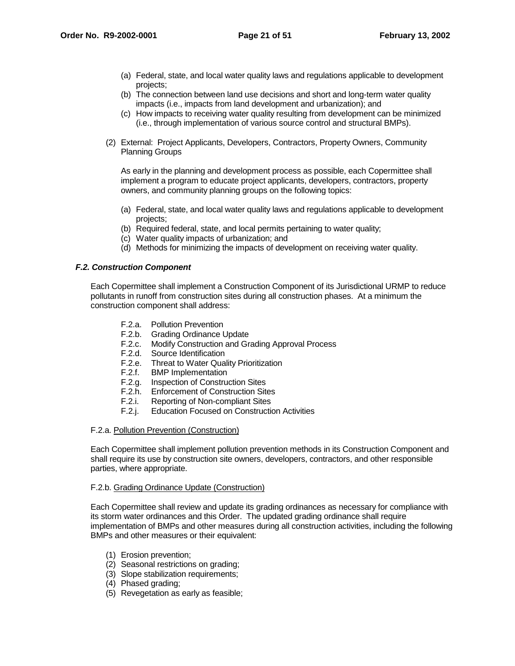- (a) Federal, state, and local water quality laws and regulations applicable to development projects;
- (b) The connection between land use decisions and short and long-term water quality impacts (i.e., impacts from land development and urbanization); and
- (c) How impacts to receiving water quality resulting from development can be minimized (i.e., through implementation of various source control and structural BMPs).
- (2) External: Project Applicants, Developers, Contractors, Property Owners, Community Planning Groups

As early in the planning and development process as possible, each Copermittee shall implement a program to educate project applicants, developers, contractors, property owners, and community planning groups on the following topics:

- (a) Federal, state, and local water quality laws and regulations applicable to development projects;
- (b) Required federal, state, and local permits pertaining to water quality;
- (c) Water quality impacts of urbanization; and
- (d) Methods for minimizing the impacts of development on receiving water quality.

# **F.2. Construction Component**

Each Copermittee shall implement a Construction Component of its Jurisdictional URMP to reduce pollutants in runoff from construction sites during all construction phases. At a minimum the construction component shall address:

- F.2.a. Pollution Prevention
- F.2.b. Grading Ordinance Update
- F.2.c. Modify Construction and Grading Approval Process
- F.2.d. Source Identification
- F.2.e. Threat to Water Quality Prioritization
- F.2.f. BMP Implementation
- F.2.g. Inspection of Construction Sites
- F.2.h. Enforcement of Construction Sites
- F.2.i. Reporting of Non-compliant Sites
- F.2.j. Education Focused on Construction Activities

# F.2.a. Pollution Prevention (Construction)

Each Copermittee shall implement pollution prevention methods in its Construction Component and shall require its use by construction site owners, developers, contractors, and other responsible parties, where appropriate.

# F.2.b. Grading Ordinance Update (Construction)

Each Copermittee shall review and update its grading ordinances as necessary for compliance with its storm water ordinances and this Order. The updated grading ordinance shall require implementation of BMPs and other measures during all construction activities, including the following BMPs and other measures or their equivalent:

- (1) Erosion prevention;
- (2) Seasonal restrictions on grading;
- (3) Slope stabilization requirements;
- (4) Phased grading;
- (5) Revegetation as early as feasible;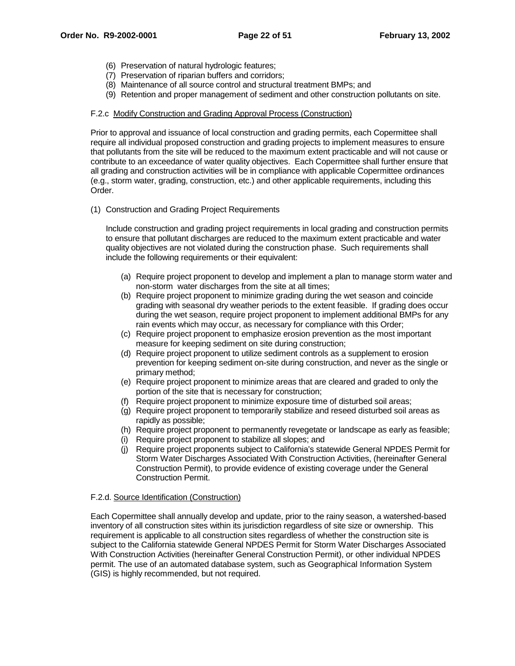- (6) Preservation of natural hydrologic features;
- (7) Preservation of riparian buffers and corridors;
- (8) Maintenance of all source control and structural treatment BMPs; and
- (9) Retention and proper management of sediment and other construction pollutants on site.

# F.2.c Modify Construction and Grading Approval Process (Construction)

Prior to approval and issuance of local construction and grading permits, each Copermittee shall require all individual proposed construction and grading projects to implement measures to ensure that pollutants from the site will be reduced to the maximum extent practicable and will not cause or contribute to an exceedance of water quality objectives. Each Copermittee shall further ensure that all grading and construction activities will be in compliance with applicable Copermittee ordinances (e.g., storm water, grading, construction, etc.) and other applicable requirements, including this Order.

(1) Construction and Grading Project Requirements

Include construction and grading project requirements in local grading and construction permits to ensure that pollutant discharges are reduced to the maximum extent practicable and water quality objectives are not violated during the construction phase. Such requirements shall include the following requirements or their equivalent:

- (a) Require project proponent to develop and implement a plan to manage storm water and non-storm water discharges from the site at all times;
- (b) Require project proponent to minimize grading during the wet season and coincide grading with seasonal dry weather periods to the extent feasible. If grading does occur during the wet season, require project proponent to implement additional BMPs for any rain events which may occur, as necessary for compliance with this Order;
- (c) Require project proponent to emphasize erosion prevention as the most important measure for keeping sediment on site during construction;
- (d) Require project proponent to utilize sediment controls as a supplement to erosion prevention for keeping sediment on-site during construction, and never as the single or primary method;
- (e) Require project proponent to minimize areas that are cleared and graded to only the portion of the site that is necessary for construction;
- (f) Require project proponent to minimize exposure time of disturbed soil areas;
- (g) Require project proponent to temporarily stabilize and reseed disturbed soil areas as rapidly as possible;
- (h) Require project proponent to permanently revegetate or landscape as early as feasible;
- (i) Require project proponent to stabilize all slopes; and
- (j) Require project proponents subject to California's statewide General NPDES Permit for Storm Water Discharges Associated With Construction Activities, (hereinafter General Construction Permit), to provide evidence of existing coverage under the General Construction Permit.

# F.2.d. Source Identification (Construction)

Each Copermittee shall annually develop and update, prior to the rainy season, a watershed-based inventory of all construction sites within its jurisdiction regardless of site size or ownership. This requirement is applicable to all construction sites regardless of whether the construction site is subject to the California statewide General NPDES Permit for Storm Water Discharges Associated With Construction Activities (hereinafter General Construction Permit), or other individual NPDES permit. The use of an automated database system, such as Geographical Information System (GIS) is highly recommended, but not required.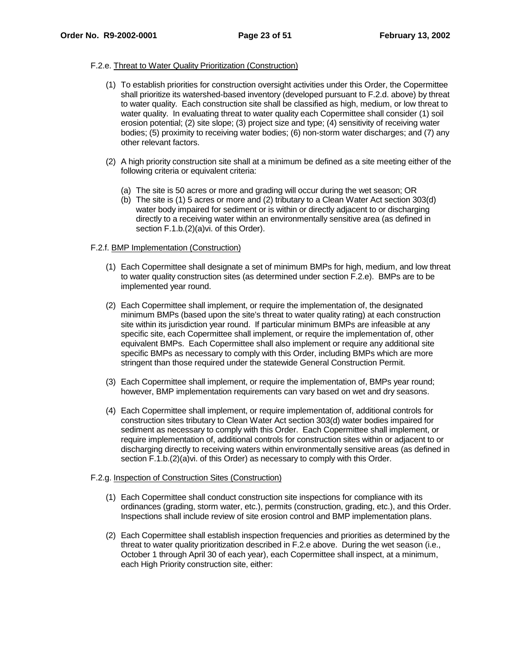# F.2.e. Threat to Water Quality Prioritization (Construction)

- (1) To establish priorities for construction oversight activities under this Order, the Copermittee shall prioritize its watershed-based inventory (developed pursuant to F.2.d. above) by threat to water quality. Each construction site shall be classified as high, medium, or low threat to water quality. In evaluating threat to water quality each Copermittee shall consider (1) soil erosion potential; (2) site slope; (3) project size and type; (4) sensitivity of receiving water bodies; (5) proximity to receiving water bodies; (6) non-storm water discharges; and (7) any other relevant factors.
- (2) A high priority construction site shall at a minimum be defined as a site meeting either of the following criteria or equivalent criteria:
	- (a) The site is 50 acres or more and grading will occur during the wet season; OR
	- (b) The site is (1) 5 acres or more and (2) tributary to a Clean Water Act section 303(d) water body impaired for sediment or is within or directly adjacent to or discharging directly to a receiving water within an environmentally sensitive area (as defined in section F.1.b.(2)(a)vi. of this Order).

# F.2.f. BMP Implementation (Construction)

- (1) Each Copermittee shall designate a set of minimum BMPs for high, medium, and low threat to water quality construction sites (as determined under section F.2.e). BMPs are to be implemented year round.
- (2) Each Copermittee shall implement, or require the implementation of, the designated minimum BMPs (based upon the site's threat to water quality rating) at each construction site within its jurisdiction year round. If particular minimum BMPs are infeasible at any specific site, each Copermittee shall implement, or require the implementation of, other equivalent BMPs. Each Copermittee shall also implement or require any additional site specific BMPs as necessary to comply with this Order, including BMPs which are more stringent than those required under the statewide General Construction Permit.
- (3) Each Copermittee shall implement, or require the implementation of, BMPs year round; however, BMP implementation requirements can vary based on wet and dry seasons.
- (4) Each Copermittee shall implement, or require implementation of, additional controls for construction sites tributary to Clean Water Act section 303(d) water bodies impaired for sediment as necessary to comply with this Order. Each Copermittee shall implement, or require implementation of, additional controls for construction sites within or adjacent to or discharging directly to receiving waters within environmentally sensitive areas (as defined in section F.1.b.(2)(a)vi. of this Order) as necessary to comply with this Order.

# F.2.g. Inspection of Construction Sites (Construction)

- (1) Each Copermittee shall conduct construction site inspections for compliance with its ordinances (grading, storm water, etc.), permits (construction, grading, etc.), and this Order. Inspections shall include review of site erosion control and BMP implementation plans.
- (2) Each Copermittee shall establish inspection frequencies and priorities as determined by the threat to water quality prioritization described in F.2.e above. During the wet season (i.e., October 1 through April 30 of each year), each Copermittee shall inspect, at a minimum, each High Priority construction site, either: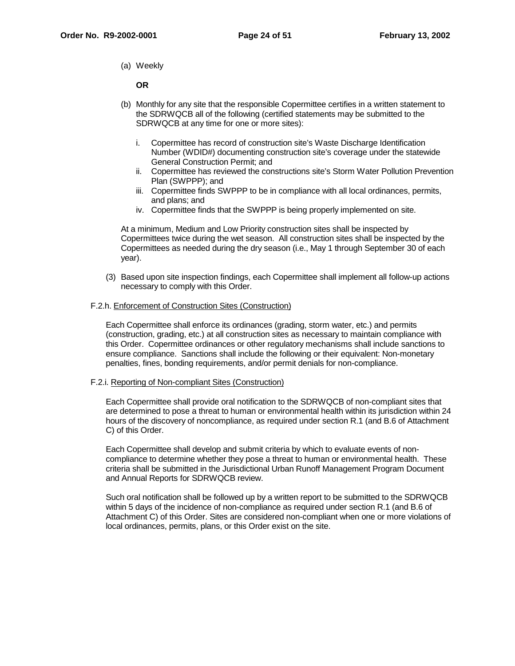(a) Weekly

**OR**

- (b) Monthly for any site that the responsible Copermittee certifies in a written statement to the SDRWQCB all of the following (certified statements may be submitted to the SDRWQCB at any time for one or more sites):
	- i. Copermittee has record of construction site's Waste Discharge Identification Number (WDID#) documenting construction site's coverage under the statewide General Construction Permit; and
	- ii. Copermittee has reviewed the constructions site's Storm Water Pollution Prevention Plan (SWPPP); and
	- iii. Copermittee finds SWPPP to be in compliance with all local ordinances, permits, and plans; and
	- iv. Copermittee finds that the SWPPP is being properly implemented on site.

At a minimum, Medium and Low Priority construction sites shall be inspected by Copermittees twice during the wet season. All construction sites shall be inspected by the Copermittees as needed during the dry season (i.e., May 1 through September 30 of each year).

(3) Based upon site inspection findings, each Copermittee shall implement all follow-up actions necessary to comply with this Order.

# F.2.h. Enforcement of Construction Sites (Construction)

Each Copermittee shall enforce its ordinances (grading, storm water, etc.) and permits (construction, grading, etc.) at all construction sites as necessary to maintain compliance with this Order. Copermittee ordinances or other regulatory mechanisms shall include sanctions to ensure compliance. Sanctions shall include the following or their equivalent: Non-monetary penalties, fines, bonding requirements, and/or permit denials for non-compliance.

# F.2.i. Reporting of Non-compliant Sites (Construction)

Each Copermittee shall provide oral notification to the SDRWQCB of non-compliant sites that are determined to pose a threat to human or environmental health within its jurisdiction within 24 hours of the discovery of noncompliance, as required under section R.1 (and B.6 of Attachment C) of this Order.

Each Copermittee shall develop and submit criteria by which to evaluate events of noncompliance to determine whether they pose a threat to human or environmental health. These criteria shall be submitted in the Jurisdictional Urban Runoff Management Program Document and Annual Reports for SDRWQCB review.

Such oral notification shall be followed up by a written report to be submitted to the SDRWQCB within 5 days of the incidence of non-compliance as required under section R.1 (and B.6 of Attachment C) of this Order. Sites are considered non-compliant when one or more violations of local ordinances, permits, plans, or this Order exist on the site.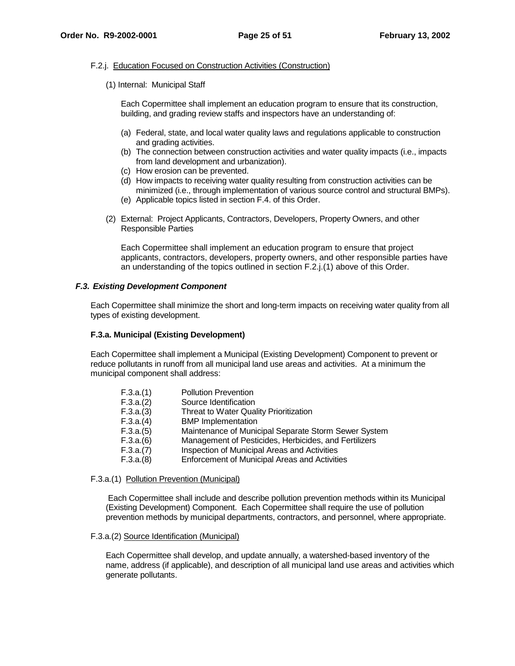# F.2.j. Education Focused on Construction Activities (Construction)

(1) Internal: Municipal Staff

Each Copermittee shall implement an education program to ensure that its construction, building, and grading review staffs and inspectors have an understanding of:

- (a) Federal, state, and local water quality laws and regulations applicable to construction and grading activities.
- (b) The connection between construction activities and water quality impacts (i.e., impacts from land development and urbanization).
- (c) How erosion can be prevented.
- (d) How impacts to receiving water quality resulting from construction activities can be minimized (i.e., through implementation of various source control and structural BMPs).
- (e) Applicable topics listed in section F.4. of this Order.
- (2) External: Project Applicants, Contractors, Developers, Property Owners, and other Responsible Parties

Each Copermittee shall implement an education program to ensure that project applicants, contractors, developers, property owners, and other responsible parties have an understanding of the topics outlined in section F.2.j.(1) above of this Order.

# **F.3. Existing Development Component**

Each Copermittee shall minimize the short and long-term impacts on receiving water quality from all types of existing development.

# **F.3.a. Municipal (Existing Development)**

Each Copermittee shall implement a Municipal (Existing Development) Component to prevent or reduce pollutants in runoff from all municipal land use areas and activities. At a minimum the municipal component shall address:

| F.3.a.(1) | <b>Pollution Prevention</b>                           |
|-----------|-------------------------------------------------------|
| F.3.a.(2) | Source Identification                                 |
| F.3.a.(3) | Threat to Water Quality Prioritization                |
| F.3.a.(4) | <b>BMP</b> Implementation                             |
| F.3.a.(5) | Maintenance of Municipal Separate Storm Sewer System  |
| F.3.a.(6) | Management of Pesticides, Herbicides, and Fertilizers |
| F.3.a.(7) | Inspection of Municipal Areas and Activities          |
| F.3.a.(8) | Enforcement of Municipal Areas and Activities         |
|           |                                                       |

F.3.a.(1) Pollution Prevention (Municipal)

 Each Copermittee shall include and describe pollution prevention methods within its Municipal (Existing Development) Component. Each Copermittee shall require the use of pollution prevention methods by municipal departments, contractors, and personnel, where appropriate.

# F.3.a.(2) Source Identification (Municipal)

Each Copermittee shall develop, and update annually, a watershed-based inventory of the name, address (if applicable), and description of all municipal land use areas and activities which generate pollutants.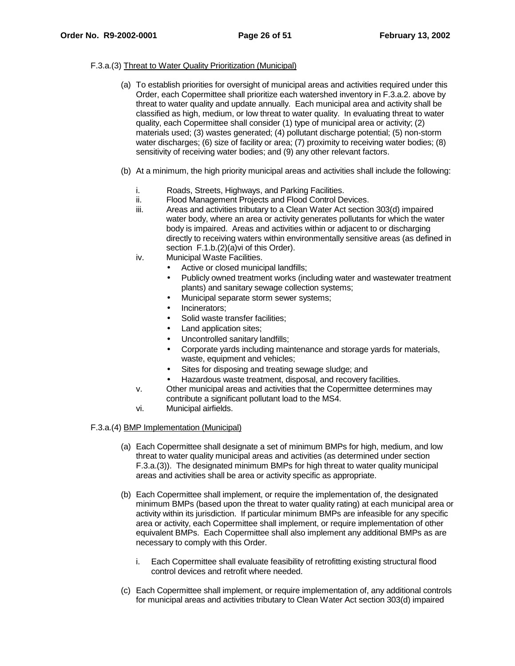# F.3.a.(3) Threat to Water Quality Prioritization (Municipal)

- (a) To establish priorities for oversight of municipal areas and activities required under this Order, each Copermittee shall prioritize each watershed inventory in F.3.a.2. above by threat to water quality and update annually. Each municipal area and activity shall be classified as high, medium, or low threat to water quality. In evaluating threat to water quality, each Copermittee shall consider (1) type of municipal area or activity; (2) materials used; (3) wastes generated; (4) pollutant discharge potential; (5) non-storm water discharges; (6) size of facility or area; (7) proximity to receiving water bodies; (8) sensitivity of receiving water bodies; and (9) any other relevant factors.
- (b) At a minimum, the high priority municipal areas and activities shall include the following:
	- i. Roads, Streets, Highways, and Parking Facilities.
	- ii. Flood Management Projects and Flood Control Devices.
	- iii. Areas and activities tributary to a Clean Water Act section 303(d) impaired water body, where an area or activity generates pollutants for which the water body is impaired. Areas and activities within or adjacent to or discharging directly to receiving waters within environmentally sensitive areas (as defined in section F.1.b.(2)(a)vi of this Order).
	- iv. Municipal Waste Facilities.
		- Active or closed municipal landfills;
		- Publicly owned treatment works (including water and wastewater treatment plants) and sanitary sewage collection systems;
		- Municipal separate storm sewer systems;
		- Incinerators;
		- Solid waste transfer facilities;
		- Land application sites;
		- Uncontrolled sanitary landfills;
		- Corporate yards including maintenance and storage yards for materials, waste, equipment and vehicles;
		- Sites for disposing and treating sewage sludge; and
		- Hazardous waste treatment, disposal, and recovery facilities.
	- v. Other municipal areas and activities that the Copermittee determines may contribute a significant pollutant load to the MS4.
	- vi. Municipal airfields.

# F.3.a.(4) BMP Implementation (Municipal)

- (a) Each Copermittee shall designate a set of minimum BMPs for high, medium, and low threat to water quality municipal areas and activities (as determined under section F.3.a.(3)). The designated minimum BMPs for high threat to water quality municipal areas and activities shall be area or activity specific as appropriate.
- (b) Each Copermittee shall implement, or require the implementation of, the designated minimum BMPs (based upon the threat to water quality rating) at each municipal area or activity within its jurisdiction. If particular minimum BMPs are infeasible for any specific area or activity, each Copermittee shall implement, or require implementation of other equivalent BMPs. Each Copermittee shall also implement any additional BMPs as are necessary to comply with this Order.
	- i. Each Copermittee shall evaluate feasibility of retrofitting existing structural flood control devices and retrofit where needed.
- (c) Each Copermittee shall implement, or require implementation of, any additional controls for municipal areas and activities tributary to Clean Water Act section 303(d) impaired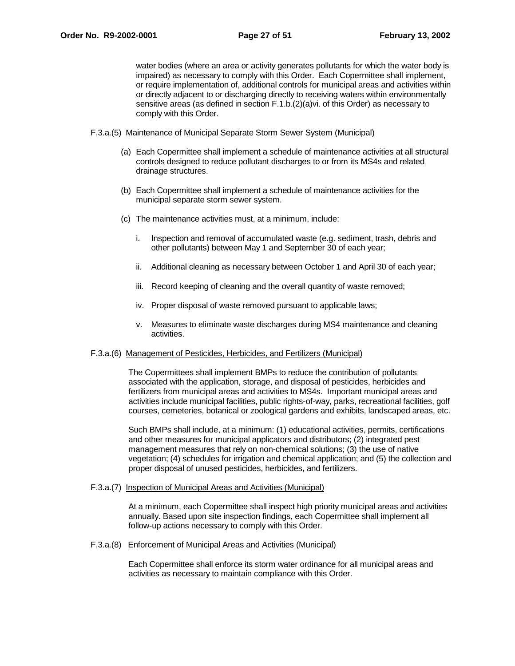water bodies (where an area or activity generates pollutants for which the water body is impaired) as necessary to comply with this Order. Each Copermittee shall implement, or require implementation of, additional controls for municipal areas and activities within or directly adjacent to or discharging directly to receiving waters within environmentally sensitive areas (as defined in section F.1.b.(2)(a)vi. of this Order) as necessary to comply with this Order.

#### F.3.a.(5) Maintenance of Municipal Separate Storm Sewer System (Municipal)

- (a) Each Copermittee shall implement a schedule of maintenance activities at all structural controls designed to reduce pollutant discharges to or from its MS4s and related drainage structures.
- (b) Each Copermittee shall implement a schedule of maintenance activities for the municipal separate storm sewer system.
- (c) The maintenance activities must, at a minimum, include:
	- i. Inspection and removal of accumulated waste (e.g. sediment, trash, debris and other pollutants) between May 1 and September 30 of each year;
	- ii. Additional cleaning as necessary between October 1 and April 30 of each year;
	- iii. Record keeping of cleaning and the overall quantity of waste removed;
	- iv. Proper disposal of waste removed pursuant to applicable laws;
	- v. Measures to eliminate waste discharges during MS4 maintenance and cleaning activities.

#### F.3.a.(6) Management of Pesticides, Herbicides, and Fertilizers (Municipal)

The Copermittees shall implement BMPs to reduce the contribution of pollutants associated with the application, storage, and disposal of pesticides, herbicides and fertilizers from municipal areas and activities to MS4s. Important municipal areas and activities include municipal facilities, public rights-of-way, parks, recreational facilities, golf courses, cemeteries, botanical or zoological gardens and exhibits, landscaped areas, etc.

Such BMPs shall include, at a minimum: (1) educational activities, permits, certifications and other measures for municipal applicators and distributors; (2) integrated pest management measures that rely on non-chemical solutions; (3) the use of native vegetation; (4) schedules for irrigation and chemical application; and (5) the collection and proper disposal of unused pesticides, herbicides, and fertilizers.

#### F.3.a.(7) Inspection of Municipal Areas and Activities (Municipal)

At a minimum, each Copermittee shall inspect high priority municipal areas and activities annually. Based upon site inspection findings, each Copermittee shall implement all follow-up actions necessary to comply with this Order.

#### F.3.a.(8) Enforcement of Municipal Areas and Activities (Municipal)

Each Copermittee shall enforce its storm water ordinance for all municipal areas and activities as necessary to maintain compliance with this Order.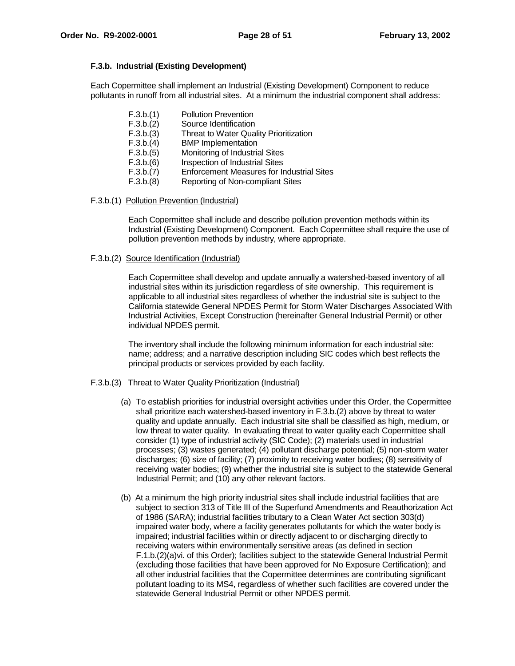# **F.3.b. Industrial (Existing Development)**

Each Copermittee shall implement an Industrial (Existing Development) Component to reduce pollutants in runoff from all industrial sites. At a minimum the industrial component shall address:

| F.3.b.(1) | <b>Pollution Prevention</b>                      |
|-----------|--------------------------------------------------|
| F.3.b.(2) | Source Identification                            |
| F.3.b.(3) | Threat to Water Quality Prioritization           |
| F.3.b.(4) | <b>BMP</b> Implementation                        |
| F.3.b.(5) | Monitoring of Industrial Sites                   |
| F.3.b.(6) | Inspection of Industrial Sites                   |
| F.3.b.(7) | <b>Enforcement Measures for Industrial Sites</b> |
| F.3.b.(8) | Reporting of Non-compliant Sites                 |

# F.3.b.(1) Pollution Prevention (Industrial)

Each Copermittee shall include and describe pollution prevention methods within its Industrial (Existing Development) Component. Each Copermittee shall require the use of pollution prevention methods by industry, where appropriate.

# F.3.b.(2) Source Identification (Industrial)

Each Copermittee shall develop and update annually a watershed-based inventory of all industrial sites within its jurisdiction regardless of site ownership. This requirement is applicable to all industrial sites regardless of whether the industrial site is subject to the California statewide General NPDES Permit for Storm Water Discharges Associated With Industrial Activities, Except Construction (hereinafter General Industrial Permit) or other individual NPDES permit.

The inventory shall include the following minimum information for each industrial site: name; address; and a narrative description including SIC codes which best reflects the principal products or services provided by each facility.

# F.3.b.(3) Threat to Water Quality Prioritization (Industrial)

- (a) To establish priorities for industrial oversight activities under this Order, the Copermittee shall prioritize each watershed-based inventory in F.3.b.(2) above by threat to water quality and update annually. Each industrial site shall be classified as high, medium, or low threat to water quality. In evaluating threat to water quality each Copermittee shall consider (1) type of industrial activity (SIC Code); (2) materials used in industrial processes; (3) wastes generated; (4) pollutant discharge potential; (5) non-storm water discharges; (6) size of facility; (7) proximity to receiving water bodies; (8) sensitivity of receiving water bodies; (9) whether the industrial site is subject to the statewide General Industrial Permit; and (10) any other relevant factors.
- (b) At a minimum the high priority industrial sites shall include industrial facilities that are subject to section 313 of Title III of the Superfund Amendments and Reauthorization Act of 1986 (SARA); industrial facilities tributary to a Clean Water Act section 303(d) impaired water body, where a facility generates pollutants for which the water body is impaired; industrial facilities within or directly adjacent to or discharging directly to receiving waters within environmentally sensitive areas (as defined in section F.1.b.(2)(a)vi. of this Order); facilities subject to the statewide General Industrial Permit (excluding those facilities that have been approved for No Exposure Certification); and all other industrial facilities that the Copermittee determines are contributing significant pollutant loading to its MS4, regardless of whether such facilities are covered under the statewide General Industrial Permit or other NPDES permit.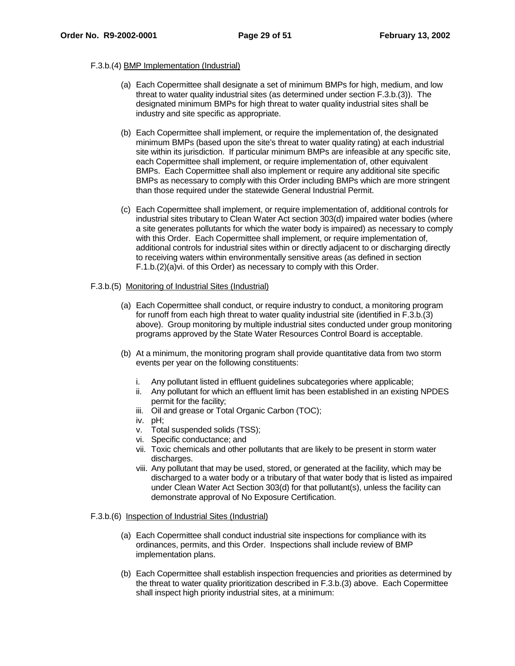# F.3.b.(4) BMP Implementation (Industrial)

- (a) Each Copermittee shall designate a set of minimum BMPs for high, medium, and low threat to water quality industrial sites (as determined under section F.3.b.(3)). The designated minimum BMPs for high threat to water quality industrial sites shall be industry and site specific as appropriate.
- (b) Each Copermittee shall implement, or require the implementation of, the designated minimum BMPs (based upon the site's threat to water quality rating) at each industrial site within its jurisdiction. If particular minimum BMPs are infeasible at any specific site, each Copermittee shall implement, or require implementation of, other equivalent BMPs. Each Copermittee shall also implement or require any additional site specific BMPs as necessary to comply with this Order including BMPs which are more stringent than those required under the statewide General Industrial Permit.
- (c) Each Copermittee shall implement, or require implementation of, additional controls for industrial sites tributary to Clean Water Act section 303(d) impaired water bodies (where a site generates pollutants for which the water body is impaired) as necessary to comply with this Order. Each Copermittee shall implement, or require implementation of, additional controls for industrial sites within or directly adjacent to or discharging directly to receiving waters within environmentally sensitive areas (as defined in section F.1.b.(2)(a)vi. of this Order) as necessary to comply with this Order.

#### F.3.b.(5) Monitoring of Industrial Sites (Industrial)

- (a) Each Copermittee shall conduct, or require industry to conduct, a monitoring program for runoff from each high threat to water quality industrial site (identified in F.3.b.(3) above). Group monitoring by multiple industrial sites conducted under group monitoring programs approved by the State Water Resources Control Board is acceptable.
- (b) At a minimum, the monitoring program shall provide quantitative data from two storm events per year on the following constituents:
	- i. Any pollutant listed in effluent guidelines subcategories where applicable;
	- ii. Any pollutant for which an effluent limit has been established in an existing NPDES permit for the facility;
	- iii. Oil and grease or Total Organic Carbon (TOC);
	- iv. pH;
	- v. Total suspended solids (TSS);
	- vi. Specific conductance; and
	- vii. Toxic chemicals and other pollutants that are likely to be present in storm water discharges.
	- viii. Any pollutant that may be used, stored, or generated at the facility, which may be discharged to a water body or a tributary of that water body that is listed as impaired under Clean Water Act Section 303(d) for that pollutant(s), unless the facility can demonstrate approval of No Exposure Certification.

# F.3.b.(6) Inspection of Industrial Sites (Industrial)

- (a) Each Copermittee shall conduct industrial site inspections for compliance with its ordinances, permits, and this Order. Inspections shall include review of BMP implementation plans.
- (b) Each Copermittee shall establish inspection frequencies and priorities as determined by the threat to water quality prioritization described in F.3.b.(3) above. Each Copermittee shall inspect high priority industrial sites, at a minimum: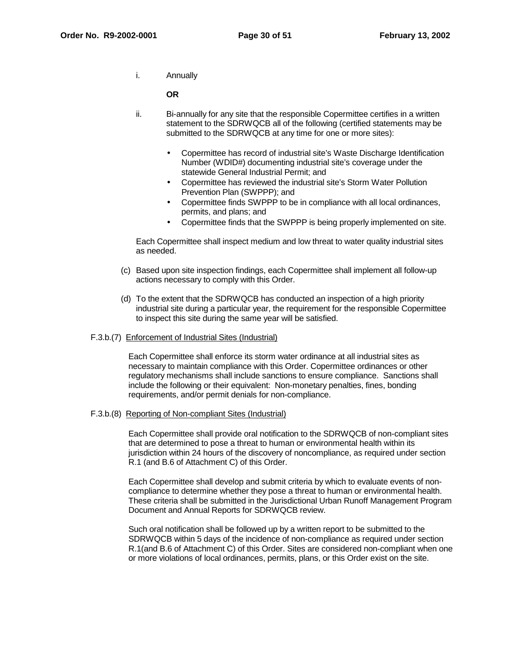i. Annually

**OR**

- ii. Bi-annually for any site that the responsible Copermittee certifies in a written statement to the SDRWQCB all of the following (certified statements may be submitted to the SDRWQCB at any time for one or more sites):
	- Copermittee has record of industrial site's Waste Discharge Identification Number (WDID#) documenting industrial site's coverage under the statewide General Industrial Permit; and
	- Copermittee has reviewed the industrial site's Storm Water Pollution Prevention Plan (SWPPP); and
	- Copermittee finds SWPPP to be in compliance with all local ordinances, permits, and plans; and
	- Copermittee finds that the SWPPP is being properly implemented on site.

Each Copermittee shall inspect medium and low threat to water quality industrial sites as needed.

- (c) Based upon site inspection findings, each Copermittee shall implement all follow-up actions necessary to comply with this Order.
- (d) To the extent that the SDRWQCB has conducted an inspection of a high priority industrial site during a particular year, the requirement for the responsible Copermittee to inspect this site during the same year will be satisfied.

### F.3.b.(7) Enforcement of Industrial Sites (Industrial)

Each Copermittee shall enforce its storm water ordinance at all industrial sites as necessary to maintain compliance with this Order. Copermittee ordinances or other regulatory mechanisms shall include sanctions to ensure compliance. Sanctions shall include the following or their equivalent: Non-monetary penalties, fines, bonding requirements, and/or permit denials for non-compliance.

F.3.b.(8) Reporting of Non-compliant Sites (Industrial)

 Each Copermittee shall provide oral notification to the SDRWQCB of non-compliant sites that are determined to pose a threat to human or environmental health within its jurisdiction within 24 hours of the discovery of noncompliance, as required under section R.1 (and B.6 of Attachment C) of this Order.

Each Copermittee shall develop and submit criteria by which to evaluate events of noncompliance to determine whether they pose a threat to human or environmental health. These criteria shall be submitted in the Jurisdictional Urban Runoff Management Program Document and Annual Reports for SDRWQCB review.

Such oral notification shall be followed up by a written report to be submitted to the SDRWQCB within 5 days of the incidence of non-compliance as required under section R.1(and B.6 of Attachment C) of this Order. Sites are considered non-compliant when one or more violations of local ordinances, permits, plans, or this Order exist on the site.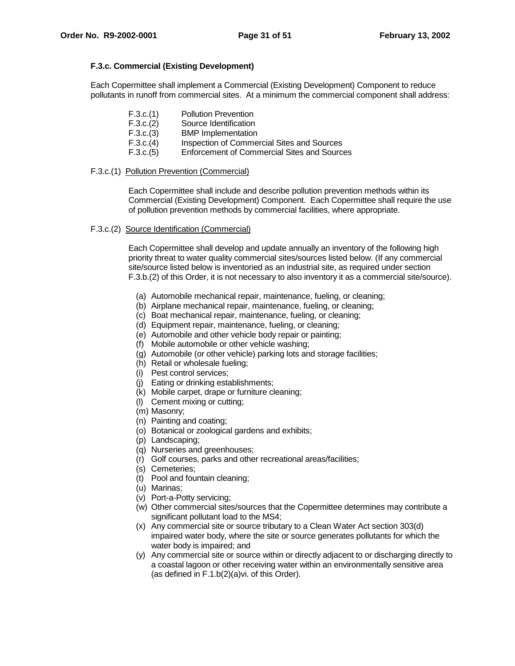# **F.3.c. Commercial (Existing Development)**

Each Copermittee shall implement a Commercial (Existing Development) Component to reduce pollutants in runoff from commercial sites. At a minimum the commercial component shall address:

| F.3.c.(1)      | <b>Pollution Prevention</b> |
|----------------|-----------------------------|
| F.3.c.(2)      | Source Identification       |
| $ \sim$ $\sim$ |                             |

- F.3.c.(3) BMP Implementation
- F.3.c.(4) Inspection of Commercial Sites and Sources
- F.3.c.(5) Enforcement of Commercial Sites and Sources

# F.3.c.(1) Pollution Prevention (Commercial)

Each Copermittee shall include and describe pollution prevention methods within its Commercial (Existing Development) Component. Each Copermittee shall require the use of pollution prevention methods by commercial facilities, where appropriate.

# F.3.c.(2) Source Identification (Commercial)

Each Copermittee shall develop and update annually an inventory of the following high priority threat to water quality commercial sites/sources listed below. (If any commercial site/source listed below is inventoried as an industrial site, as required under section F.3.b.(2) of this Order, it is not necessary to also inventory it as a commercial site/source).

- (a) Automobile mechanical repair, maintenance, fueling, or cleaning;
- (b) Airplane mechanical repair, maintenance, fueling, or cleaning;
- (c) Boat mechanical repair, maintenance, fueling, or cleaning;
- (d) Equipment repair, maintenance, fueling, or cleaning;
- (e) Automobile and other vehicle body repair or painting;
- (f) Mobile automobile or other vehicle washing;
- (g) Automobile (or other vehicle) parking lots and storage facilities;
- (h) Retail or wholesale fueling;
- (i) Pest control services;
- (j) Eating or drinking establishments;
- (k) Mobile carpet, drape or furniture cleaning;
- (l) Cement mixing or cutting;
- (m) Masonry;
- (n) Painting and coating;
- (o) Botanical or zoological gardens and exhibits;
- (p) Landscaping;
- (q) Nurseries and greenhouses;
- (r) Golf courses, parks and other recreational areas/facilities;
- (s) Cemeteries;
- (t) Pool and fountain cleaning;
- (u) Marinas;
- (v) Port-a-Potty servicing;
- (w) Other commercial sites/sources that the Copermittee determines may contribute a significant pollutant load to the MS4;
- (x) Any commercial site or source tributary to a Clean Water Act section 303(d) impaired water body, where the site or source generates pollutants for which the water body is impaired; and
- (y) Any commercial site or source within or directly adjacent to or discharging directly to a coastal lagoon or other receiving water within an environmentally sensitive area (as defined in F.1.b(2)(a)vi. of this Order).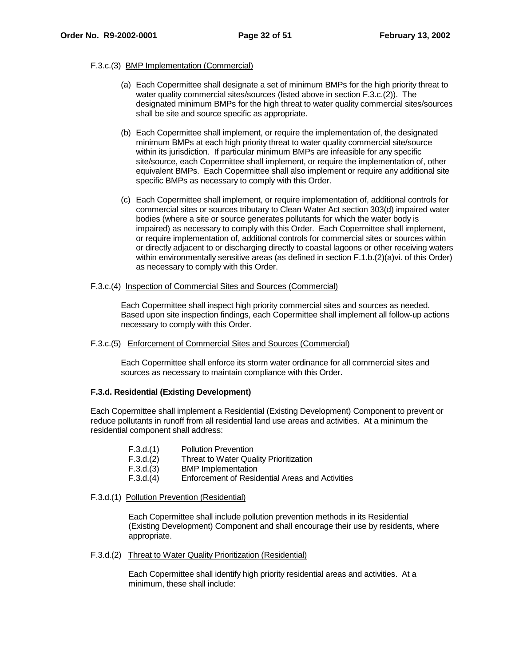# F.3.c.(3) BMP Implementation (Commercial)

- (a) Each Copermittee shall designate a set of minimum BMPs for the high priority threat to water quality commercial sites/sources (listed above in section F.3.c.(2)). The designated minimum BMPs for the high threat to water quality commercial sites/sources shall be site and source specific as appropriate.
- (b) Each Copermittee shall implement, or require the implementation of, the designated minimum BMPs at each high priority threat to water quality commercial site/source within its jurisdiction. If particular minimum BMPs are infeasible for any specific site/source, each Copermittee shall implement, or require the implementation of, other equivalent BMPs. Each Copermittee shall also implement or require any additional site specific BMPs as necessary to comply with this Order.
- (c) Each Copermittee shall implement, or require implementation of, additional controls for commercial sites or sources tributary to Clean Water Act section 303(d) impaired water bodies (where a site or source generates pollutants for which the water body is impaired) as necessary to comply with this Order. Each Copermittee shall implement, or require implementation of, additional controls for commercial sites or sources within or directly adjacent to or discharging directly to coastal lagoons or other receiving waters within environmentally sensitive areas (as defined in section F.1.b.(2)(a)vi. of this Order) as necessary to comply with this Order.

# F.3.c.(4) Inspection of Commercial Sites and Sources (Commercial)

Each Copermittee shall inspect high priority commercial sites and sources as needed. Based upon site inspection findings, each Copermittee shall implement all follow-up actions necessary to comply with this Order.

# F.3.c.(5) Enforcement of Commercial Sites and Sources (Commercial)

Each Copermittee shall enforce its storm water ordinance for all commercial sites and sources as necessary to maintain compliance with this Order.

# **F.3.d. Residential (Existing Development)**

Each Copermittee shall implement a Residential (Existing Development) Component to prevent or reduce pollutants in runoff from all residential land use areas and activities. At a minimum the residential component shall address:

| F.3.d.(1) | <b>Pollution Prevention</b>                     |
|-----------|-------------------------------------------------|
| F.3.d.(2) | Threat to Water Quality Prioritization          |
| F.3.d.(3) | <b>BMP</b> Implementation                       |
| F.3.d.(4) | Enforcement of Residential Areas and Activities |

# F.3.d.(1) Pollution Prevention (Residential)

Each Copermittee shall include pollution prevention methods in its Residential (Existing Development) Component and shall encourage their use by residents, where appropriate.

# F.3.d.(2) Threat to Water Quality Prioritization (Residential)

Each Copermittee shall identify high priority residential areas and activities. At a minimum, these shall include: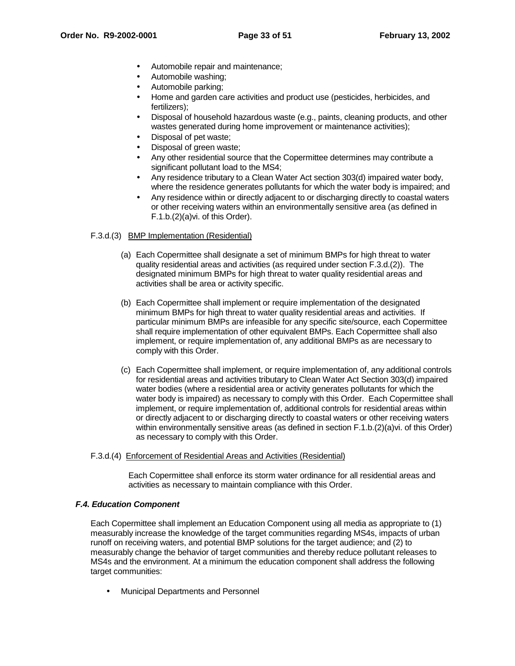- Automobile repair and maintenance;
- Automobile washing;
- Automobile parking;
- Home and garden care activities and product use (pesticides, herbicides, and fertilizers);
- Disposal of household hazardous waste (e.g., paints, cleaning products, and other wastes generated during home improvement or maintenance activities);
- Disposal of pet waste;
- Disposal of green waste;
- Any other residential source that the Copermittee determines may contribute a significant pollutant load to the MS4;
- Any residence tributary to a Clean Water Act section 303(d) impaired water body, where the residence generates pollutants for which the water body is impaired; and
- Any residence within or directly adjacent to or discharging directly to coastal waters or other receiving waters within an environmentally sensitive area (as defined in F.1.b.(2)(a)vi. of this Order).

# F.3.d.(3) BMP Implementation (Residential)

- (a) Each Copermittee shall designate a set of minimum BMPs for high threat to water quality residential areas and activities (as required under section F.3.d.(2)). The designated minimum BMPs for high threat to water quality residential areas and activities shall be area or activity specific.
- (b) Each Copermittee shall implement or require implementation of the designated minimum BMPs for high threat to water quality residential areas and activities. If particular minimum BMPs are infeasible for any specific site/source, each Copermittee shall require implementation of other equivalent BMPs. Each Copermittee shall also implement, or require implementation of, any additional BMPs as are necessary to comply with this Order.
- (c) Each Copermittee shall implement, or require implementation of, any additional controls for residential areas and activities tributary to Clean Water Act Section 303(d) impaired water bodies (where a residential area or activity generates pollutants for which the water body is impaired) as necessary to comply with this Order. Each Copermittee shall implement, or require implementation of, additional controls for residential areas within or directly adjacent to or discharging directly to coastal waters or other receiving waters within environmentally sensitive areas (as defined in section F.1.b.(2)(a)vi. of this Order) as necessary to comply with this Order.

# F.3.d.(4) Enforcement of Residential Areas and Activities (Residential)

Each Copermittee shall enforce its storm water ordinance for all residential areas and activities as necessary to maintain compliance with this Order.

# **F.4. Education Component**

Each Copermittee shall implement an Education Component using all media as appropriate to (1) measurably increase the knowledge of the target communities regarding MS4s, impacts of urban runoff on receiving waters, and potential BMP solutions for the target audience; and (2) to measurably change the behavior of target communities and thereby reduce pollutant releases to MS4s and the environment. At a minimum the education component shall address the following target communities:

• Municipal Departments and Personnel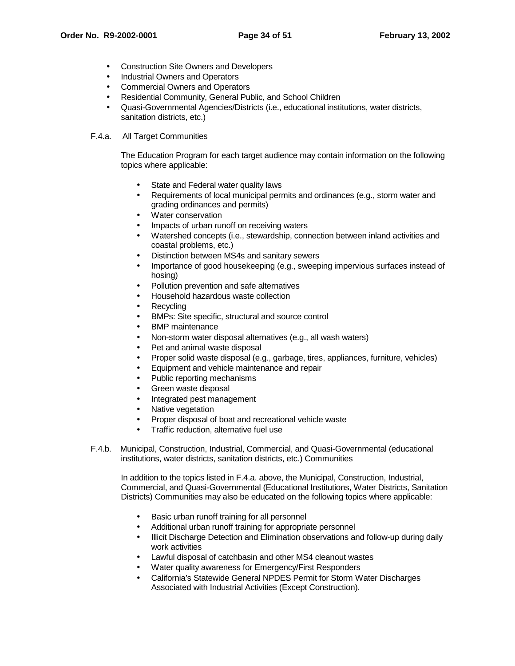- Construction Site Owners and Developers
- Industrial Owners and Operators
- Commercial Owners and Operators
- Residential Community, General Public, and School Children
- Quasi-Governmental Agencies/Districts (i.e., educational institutions, water districts, sanitation districts, etc.)

# F.4.a. All Target Communities

The Education Program for each target audience may contain information on the following topics where applicable:

- State and Federal water quality laws
- Requirements of local municipal permits and ordinances (e.g., storm water and grading ordinances and permits)
- Water conservation
- Impacts of urban runoff on receiving waters
- Watershed concepts (i.e., stewardship, connection between inland activities and coastal problems, etc.)
- Distinction between MS4s and sanitary sewers
- Importance of good housekeeping (e.g., sweeping impervious surfaces instead of hosing)
- Pollution prevention and safe alternatives
- Household hazardous waste collection
- **Recycling**
- BMPs: Site specific, structural and source control
- BMP maintenance
- Non-storm water disposal alternatives (e.g., all wash waters)
- Pet and animal waste disposal
- Proper solid waste disposal (e.g., garbage, tires, appliances, furniture, vehicles)
- Equipment and vehicle maintenance and repair
- Public reporting mechanisms
- Green waste disposal
- Integrated pest management
- Native vegetation
- Proper disposal of boat and recreational vehicle waste
- Traffic reduction, alternative fuel use
- F.4.b. Municipal, Construction, Industrial, Commercial, and Quasi-Governmental (educational institutions, water districts, sanitation districts, etc.) Communities

In addition to the topics listed in F.4.a. above, the Municipal, Construction, Industrial, Commercial, and Quasi-Governmental (Educational Institutions, Water Districts, Sanitation Districts) Communities may also be educated on the following topics where applicable:

- Basic urban runoff training for all personnel
- Additional urban runoff training for appropriate personnel
- Illicit Discharge Detection and Elimination observations and follow-up during daily work activities
- Lawful disposal of catchbasin and other MS4 cleanout wastes
- Water quality awareness for Emergency/First Responders
- California's Statewide General NPDES Permit for Storm Water Discharges Associated with Industrial Activities (Except Construction).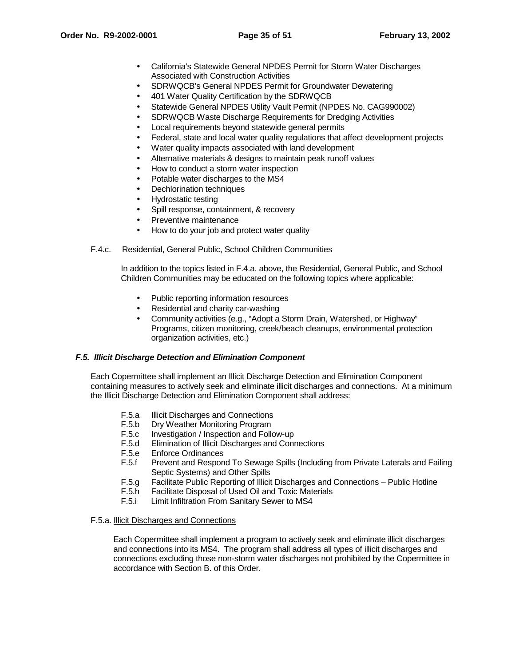- California's Statewide General NPDES Permit for Storm Water Discharges Associated with Construction Activities
- SDRWQCB's General NPDES Permit for Groundwater Dewatering
- 401 Water Quality Certification by the SDRWQCB
- Statewide General NPDES Utility Vault Permit (NPDES No. CAG990002)
- SDRWQCB Waste Discharge Requirements for Dredging Activities
- Local requirements beyond statewide general permits
- Federal, state and local water quality regulations that affect development projects
- Water quality impacts associated with land development
- Alternative materials & designs to maintain peak runoff values
- How to conduct a storm water inspection
- Potable water discharges to the MS4
- Dechlorination techniques
- Hydrostatic testing
- Spill response, containment, & recovery
- Preventive maintenance
- How to do your job and protect water quality
- F.4.c. Residential, General Public, School Children Communities

In addition to the topics listed in F.4.a. above, the Residential, General Public, and School Children Communities may be educated on the following topics where applicable:

- Public reporting information resources
- Residential and charity car-washing
- Community activities (e.g., "Adopt a Storm Drain, Watershed, or Highway" Programs, citizen monitoring, creek/beach cleanups, environmental protection organization activities, etc.)

# **F.5. Illicit Discharge Detection and Elimination Component**

Each Copermittee shall implement an Illicit Discharge Detection and Elimination Component containing measures to actively seek and eliminate illicit discharges and connections. At a minimum the Illicit Discharge Detection and Elimination Component shall address:

- F.5.a Illicit Discharges and Connections
- F.5.b Dry Weather Monitoring Program
- F.5.c Investigation / Inspection and Follow-up
- F.5.d Elimination of Illicit Discharges and Connections
- F.5.e Enforce Ordinances
- F.5.f Prevent and Respond To Sewage Spills (Including from Private Laterals and Failing Septic Systems) and Other Spills
- F.5.g Facilitate Public Reporting of Illicit Discharges and Connections Public Hotline
- F.5.h Facilitate Disposal of Used Oil and Toxic Materials
- Limit Infiltration From Sanitary Sewer to MS4

#### F.5.a. Illicit Discharges and Connections

Each Copermittee shall implement a program to actively seek and eliminate illicit discharges and connections into its MS4. The program shall address all types of illicit discharges and connections excluding those non-storm water discharges not prohibited by the Copermittee in accordance with Section B. of this Order.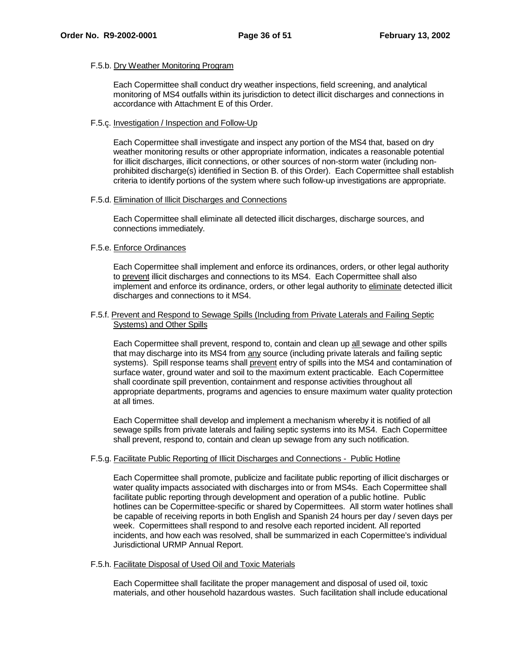### F.5.b. Dry Weather Monitoring Program

Each Copermittee shall conduct dry weather inspections, field screening, and analytical monitoring of MS4 outfalls within its jurisdiction to detect illicit discharges and connections in accordance with Attachment E of this Order.

#### F.5.c. Investigation / Inspection and Follow-Up

Each Copermittee shall investigate and inspect any portion of the MS4 that, based on dry weather monitoring results or other appropriate information, indicates a reasonable potential for illicit discharges, illicit connections, or other sources of non-storm water (including nonprohibited discharge(s) identified in Section B. of this Order). Each Copermittee shall establish criteria to identify portions of the system where such follow-up investigations are appropriate.

#### F.5.d. Elimination of Illicit Discharges and Connections

Each Copermittee shall eliminate all detected illicit discharges, discharge sources, and connections immediately.

#### F.5.e. Enforce Ordinances

Each Copermittee shall implement and enforce its ordinances, orders, or other legal authority to prevent illicit discharges and connections to its MS4. Each Copermittee shall also implement and enforce its ordinance, orders, or other legal authority to eliminate detected illicit discharges and connections to it MS4.

#### F.5.f. Prevent and Respond to Sewage Spills (Including from Private Laterals and Failing Septic Systems) and Other Spills

Each Copermittee shall prevent, respond to, contain and clean up all sewage and other spills that may discharge into its MS4 from any source (including private laterals and failing septic systems). Spill response teams shall prevent entry of spills into the MS4 and contamination of surface water, ground water and soil to the maximum extent practicable. Each Copermittee shall coordinate spill prevention, containment and response activities throughout all appropriate departments, programs and agencies to ensure maximum water quality protection at all times.

Each Copermittee shall develop and implement a mechanism whereby it is notified of all sewage spills from private laterals and failing septic systems into its MS4. Each Copermittee shall prevent, respond to, contain and clean up sewage from any such notification.

# F.5.g. Facilitate Public Reporting of Illicit Discharges and Connections - Public Hotline

Each Copermittee shall promote, publicize and facilitate public reporting of illicit discharges or water quality impacts associated with discharges into or from MS4s. Each Copermittee shall facilitate public reporting through development and operation of a public hotline. Public hotlines can be Copermittee-specific or shared by Copermittees. All storm water hotlines shall be capable of receiving reports in both English and Spanish 24 hours per day / seven days per week. Copermittees shall respond to and resolve each reported incident. All reported incidents, and how each was resolved, shall be summarized in each Copermittee's individual Jurisdictional URMP Annual Report.

# F.5.h. Facilitate Disposal of Used Oil and Toxic Materials

Each Copermittee shall facilitate the proper management and disposal of used oil, toxic materials, and other household hazardous wastes. Such facilitation shall include educational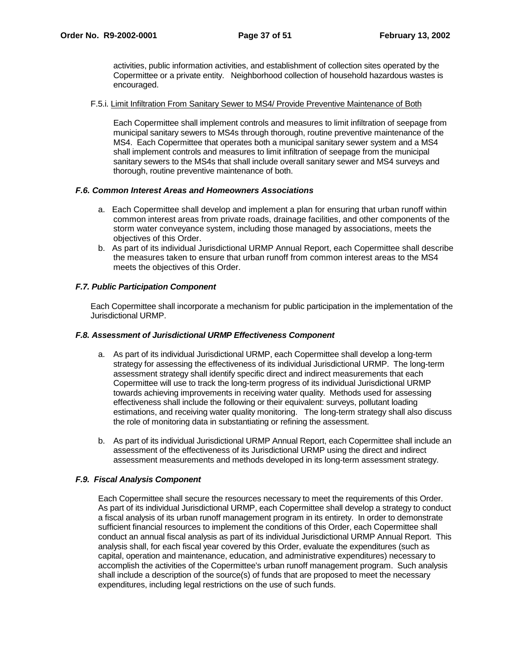activities, public information activities, and establishment of collection sites operated by the Copermittee or a private entity. Neighborhood collection of household hazardous wastes is encouraged.

#### F.5.i. Limit Infiltration From Sanitary Sewer to MS4/ Provide Preventive Maintenance of Both

Each Copermittee shall implement controls and measures to limit infiltration of seepage from municipal sanitary sewers to MS4s through thorough, routine preventive maintenance of the MS4. Each Copermittee that operates both a municipal sanitary sewer system and a MS4 shall implement controls and measures to limit infiltration of seepage from the municipal sanitary sewers to the MS4s that shall include overall sanitary sewer and MS4 surveys and thorough, routine preventive maintenance of both.

#### **F.6. Common Interest Areas and Homeowners Associations**

- a. Each Copermittee shall develop and implement a plan for ensuring that urban runoff within common interest areas from private roads, drainage facilities, and other components of the storm water conveyance system, including those managed by associations, meets the objectives of this Order.
- b. As part of its individual Jurisdictional URMP Annual Report, each Copermittee shall describe the measures taken to ensure that urban runoff from common interest areas to the MS4 meets the objectives of this Order.

# **F.7. Public Participation Component**

Each Copermittee shall incorporate a mechanism for public participation in the implementation of the Jurisdictional URMP.

#### **F.8. Assessment of Jurisdictional URMP Effectiveness Component**

- a. As part of its individual Jurisdictional URMP, each Copermittee shall develop a long-term strategy for assessing the effectiveness of its individual Jurisdictional URMP. The long-term assessment strategy shall identify specific direct and indirect measurements that each Copermittee will use to track the long-term progress of its individual Jurisdictional URMP towards achieving improvements in receiving water quality. Methods used for assessing effectiveness shall include the following or their equivalent: surveys, pollutant loading estimations, and receiving water quality monitoring. The long-term strategy shall also discuss the role of monitoring data in substantiating or refining the assessment.
- b. As part of its individual Jurisdictional URMP Annual Report, each Copermittee shall include an assessment of the effectiveness of its Jurisdictional URMP using the direct and indirect assessment measurements and methods developed in its long-term assessment strategy.

# **F.9. Fiscal Analysis Component**

Each Copermittee shall secure the resources necessary to meet the requirements of this Order. As part of its individual Jurisdictional URMP, each Copermittee shall develop a strategy to conduct a fiscal analysis of its urban runoff management program in its entirety. In order to demonstrate sufficient financial resources to implement the conditions of this Order, each Copermittee shall conduct an annual fiscal analysis as part of its individual Jurisdictional URMP Annual Report. This analysis shall, for each fiscal year covered by this Order, evaluate the expenditures (such as capital, operation and maintenance, education, and administrative expenditures) necessary to accomplish the activities of the Copermittee's urban runoff management program. Such analysis shall include a description of the source(s) of funds that are proposed to meet the necessary expenditures, including legal restrictions on the use of such funds.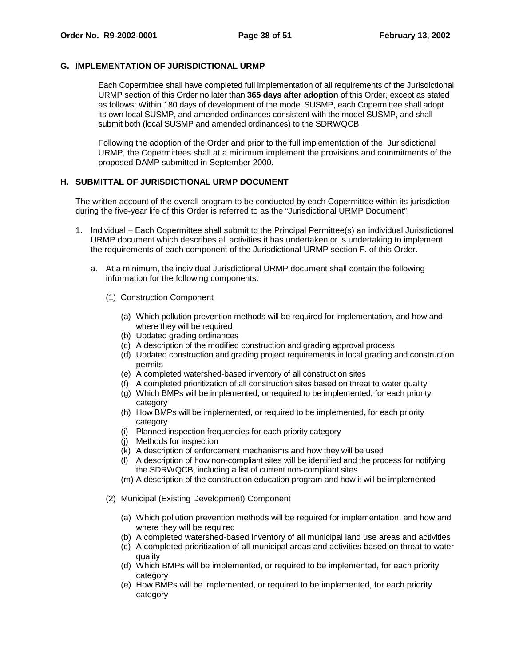#### **G. IMPLEMENTATION OF JURISDICTIONAL URMP**

Each Copermittee shall have completed full implementation of all requirements of the Jurisdictional URMP section of this Order no later than **365 days after adoption** of this Order, except as stated as follows: Within 180 days of development of the model SUSMP, each Copermittee shall adopt its own local SUSMP, and amended ordinances consistent with the model SUSMP, and shall submit both (local SUSMP and amended ordinances) to the SDRWQCB.

Following the adoption of the Order and prior to the full implementation of the Jurisdictional URMP, the Copermittees shall at a minimum implement the provisions and commitments of the proposed DAMP submitted in September 2000.

#### **H. SUBMITTAL OF JURISDICTIONAL URMP DOCUMENT**

The written account of the overall program to be conducted by each Copermittee within its jurisdiction during the five-year life of this Order is referred to as the "Jurisdictional URMP Document".

- 1. Individual Each Copermittee shall submit to the Principal Permittee(s) an individual Jurisdictional URMP document which describes all activities it has undertaken or is undertaking to implement the requirements of each component of the Jurisdictional URMP section F. of this Order.
	- a. At a minimum, the individual Jurisdictional URMP document shall contain the following information for the following components:
		- (1) Construction Component
			- (a) Which pollution prevention methods will be required for implementation, and how and where they will be required
			- (b) Updated grading ordinances
			- (c) A description of the modified construction and grading approval process
			- (d) Updated construction and grading project requirements in local grading and construction permits
			- (e) A completed watershed-based inventory of all construction sites
			- (f) A completed prioritization of all construction sites based on threat to water quality
			- (g) Which BMPs will be implemented, or required to be implemented, for each priority category
			- (h) How BMPs will be implemented, or required to be implemented, for each priority category
			- (i) Planned inspection frequencies for each priority category
			- (j) Methods for inspection
			- (k) A description of enforcement mechanisms and how they will be used
			- (l) A description of how non-compliant sites will be identified and the process for notifying the SDRWQCB, including a list of current non-compliant sites
			- (m) A description of the construction education program and how it will be implemented
		- (2) Municipal (Existing Development) Component
			- (a) Which pollution prevention methods will be required for implementation, and how and where they will be required
			- (b) A completed watershed-based inventory of all municipal land use areas and activities
			- (c) A completed prioritization of all municipal areas and activities based on threat to water quality
			- (d) Which BMPs will be implemented, or required to be implemented, for each priority category
			- (e) How BMPs will be implemented, or required to be implemented, for each priority category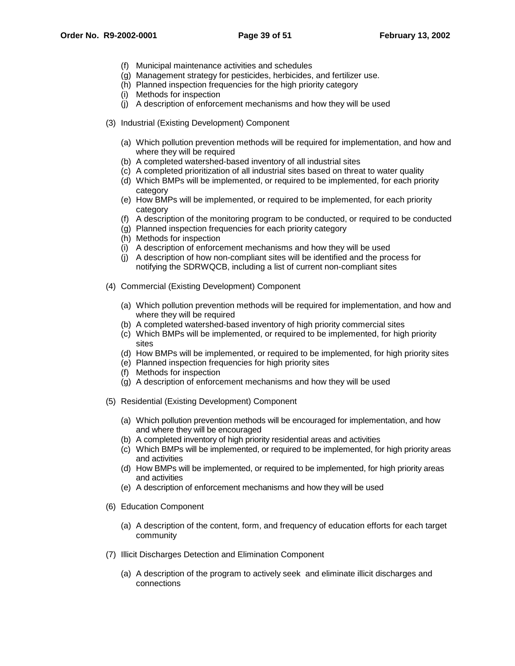- (f) Municipal maintenance activities and schedules
- (g) Management strategy for pesticides, herbicides, and fertilizer use.
- (h) Planned inspection frequencies for the high priority category
- (i) Methods for inspection
- (j) A description of enforcement mechanisms and how they will be used
- (3) Industrial (Existing Development) Component
	- (a) Which pollution prevention methods will be required for implementation, and how and where they will be required
	- (b) A completed watershed-based inventory of all industrial sites
	- (c) A completed prioritization of all industrial sites based on threat to water quality
	- (d) Which BMPs will be implemented, or required to be implemented, for each priority category
	- (e) How BMPs will be implemented, or required to be implemented, for each priority category
	- (f) A description of the monitoring program to be conducted, or required to be conducted
	- (g) Planned inspection frequencies for each priority category
	- (h) Methods for inspection
	- (i) A description of enforcement mechanisms and how they will be used
	- (j) A description of how non-compliant sites will be identified and the process for notifying the SDRWQCB, including a list of current non-compliant sites
- (4) Commercial (Existing Development) Component
	- (a) Which pollution prevention methods will be required for implementation, and how and where they will be required
	- (b) A completed watershed-based inventory of high priority commercial sites
	- (c) Which BMPs will be implemented, or required to be implemented, for high priority sites
	- (d) How BMPs will be implemented, or required to be implemented, for high priority sites
	- (e) Planned inspection frequencies for high priority sites
	- (f) Methods for inspection
	- (g) A description of enforcement mechanisms and how they will be used
- (5) Residential (Existing Development) Component
	- (a) Which pollution prevention methods will be encouraged for implementation, and how and where they will be encouraged
	- (b) A completed inventory of high priority residential areas and activities
	- (c) Which BMPs will be implemented, or required to be implemented, for high priority areas and activities
	- (d) How BMPs will be implemented, or required to be implemented, for high priority areas and activities
	- (e) A description of enforcement mechanisms and how they will be used
- (6) Education Component
	- (a) A description of the content, form, and frequency of education efforts for each target community
- (7) Illicit Discharges Detection and Elimination Component
	- (a) A description of the program to actively seek and eliminate illicit discharges and connections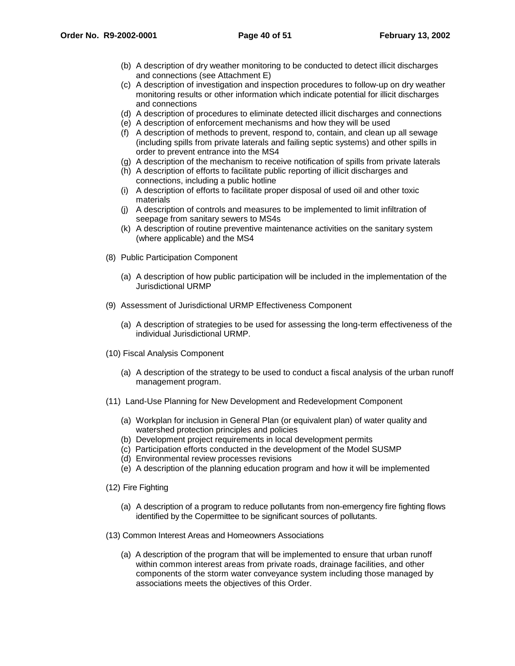- (b) A description of dry weather monitoring to be conducted to detect illicit discharges and connections (see Attachment E)
- (c) A description of investigation and inspection procedures to follow-up on dry weather monitoring results or other information which indicate potential for illicit discharges and connections
- (d) A description of procedures to eliminate detected illicit discharges and connections
- (e) A description of enforcement mechanisms and how they will be used
- (f) A description of methods to prevent, respond to, contain, and clean up all sewage (including spills from private laterals and failing septic systems) and other spills in order to prevent entrance into the MS4
- (g) A description of the mechanism to receive notification of spills from private laterals
- (h) A description of efforts to facilitate public reporting of illicit discharges and connections, including a public hotline
- (i) A description of efforts to facilitate proper disposal of used oil and other toxic materials
- (j) A description of controls and measures to be implemented to limit infiltration of seepage from sanitary sewers to MS4s
- (k) A description of routine preventive maintenance activities on the sanitary system (where applicable) and the MS4
- (8) Public Participation Component
	- (a) A description of how public participation will be included in the implementation of the Jurisdictional URMP
- (9) Assessment of Jurisdictional URMP Effectiveness Component
	- (a) A description of strategies to be used for assessing the long-term effectiveness of the individual Jurisdictional URMP.
- (10) Fiscal Analysis Component
	- (a) A description of the strategy to be used to conduct a fiscal analysis of the urban runoff management program.
- (11) Land-Use Planning for New Development and Redevelopment Component
	- (a) Workplan for inclusion in General Plan (or equivalent plan) of water quality and watershed protection principles and policies
	- (b) Development project requirements in local development permits
	- (c) Participation efforts conducted in the development of the Model SUSMP
	- (d) Environmental review processes revisions
	- (e) A description of the planning education program and how it will be implemented
- (12) Fire Fighting
	- (a) A description of a program to reduce pollutants from non-emergency fire fighting flows identified by the Copermittee to be significant sources of pollutants.
- (13) Common Interest Areas and Homeowners Associations
	- (a) A description of the program that will be implemented to ensure that urban runoff within common interest areas from private roads, drainage facilities, and other components of the storm water conveyance system including those managed by associations meets the objectives of this Order.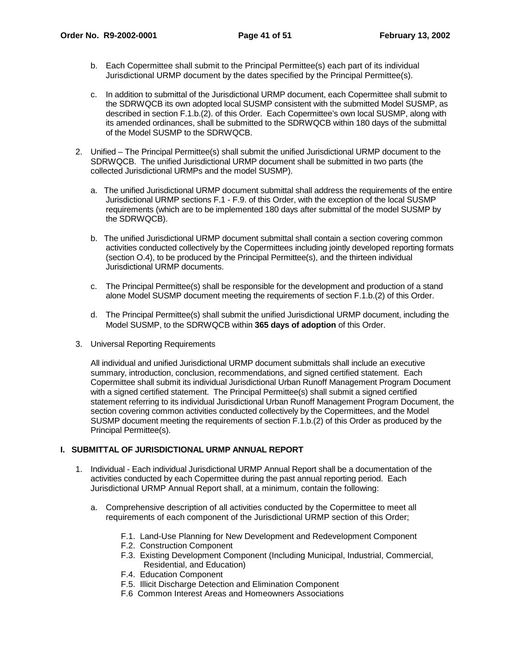- b. Each Copermittee shall submit to the Principal Permittee(s) each part of its individual Jurisdictional URMP document by the dates specified by the Principal Permittee(s).
- c. In addition to submittal of the Jurisdictional URMP document, each Copermittee shall submit to the SDRWQCB its own adopted local SUSMP consistent with the submitted Model SUSMP, as described in section F.1.b.(2). of this Order. Each Copermittee's own local SUSMP, along with its amended ordinances, shall be submitted to the SDRWQCB within 180 days of the submittal of the Model SUSMP to the SDRWQCB.
- 2. Unified The Principal Permittee(s) shall submit the unified Jurisdictional URMP document to the SDRWQCB. The unified Jurisdictional URMP document shall be submitted in two parts (the collected Jurisdictional URMPs and the model SUSMP).
	- a. The unified Jurisdictional URMP document submittal shall address the requirements of the entire Jurisdictional URMP sections F.1 - F.9. of this Order, with the exception of the local SUSMP requirements (which are to be implemented 180 days after submittal of the model SUSMP by the SDRWQCB).
	- b. The unified Jurisdictional URMP document submittal shall contain a section covering common activities conducted collectively by the Copermittees including jointly developed reporting formats (section O.4), to be produced by the Principal Permittee(s), and the thirteen individual Jurisdictional URMP documents.
	- c. The Principal Permittee(s) shall be responsible for the development and production of a stand alone Model SUSMP document meeting the requirements of section F.1.b.(2) of this Order.
	- d. The Principal Permittee(s) shall submit the unified Jurisdictional URMP document, including the Model SUSMP, to the SDRWQCB within **365 days of adoption** of this Order.
- 3. Universal Reporting Requirements

All individual and unified Jurisdictional URMP document submittals shall include an executive summary, introduction, conclusion, recommendations, and signed certified statement. Each Copermittee shall submit its individual Jurisdictional Urban Runoff Management Program Document with a signed certified statement. The Principal Permittee(s) shall submit a signed certified statement referring to its individual Jurisdictional Urban Runoff Management Program Document, the section covering common activities conducted collectively by the Copermittees, and the Model SUSMP document meeting the requirements of section F.1.b.(2) of this Order as produced by the Principal Permittee(s).

# **I. SUBMITTAL OF JURISDICTIONAL URMP ANNUAL REPORT**

- 1. Individual Each individual Jurisdictional URMP Annual Report shall be a documentation of the activities conducted by each Copermittee during the past annual reporting period. Each Jurisdictional URMP Annual Report shall, at a minimum, contain the following:
	- a. Comprehensive description of all activities conducted by the Copermittee to meet all requirements of each component of the Jurisdictional URMP section of this Order;
		- F.1. Land-Use Planning for New Development and Redevelopment Component
		- F.2. Construction Component
		- F.3. Existing Development Component (Including Municipal, Industrial, Commercial, Residential, and Education)
		- F.4. Education Component
		- F.5. Illicit Discharge Detection and Elimination Component
		- F.6 Common Interest Areas and Homeowners Associations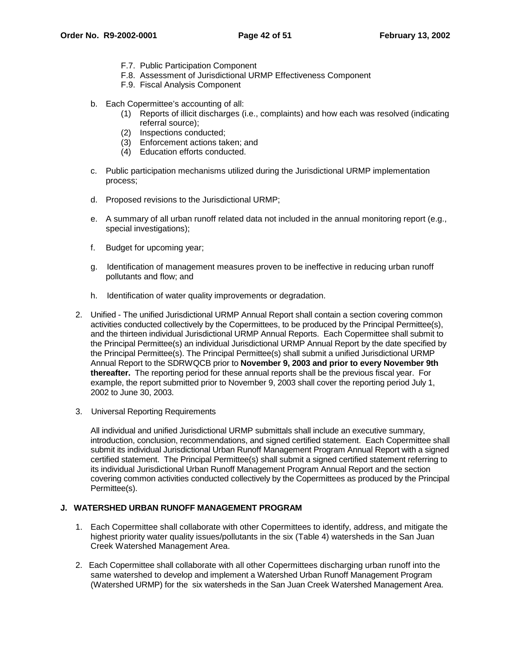- F.7. Public Participation Component
- F.8. Assessment of Jurisdictional URMP Effectiveness Component
- F.9. Fiscal Analysis Component
- b. Each Copermittee's accounting of all:
	- (1) Reports of illicit discharges (i.e., complaints) and how each was resolved (indicating referral source);
	- (2) Inspections conducted;
	- (3) Enforcement actions taken; and
	- (4) Education efforts conducted.
- c. Public participation mechanisms utilized during the Jurisdictional URMP implementation process;
- d. Proposed revisions to the Jurisdictional URMP;
- e. A summary of all urban runoff related data not included in the annual monitoring report (e.g., special investigations);
- f. Budget for upcoming year;
- g. Identification of management measures proven to be ineffective in reducing urban runoff pollutants and flow; and
- h. Identification of water quality improvements or degradation.
- 2. Unified The unified Jurisdictional URMP Annual Report shall contain a section covering common activities conducted collectively by the Copermittees, to be produced by the Principal Permittee(s), and the thirteen individual Jurisdictional URMP Annual Reports. Each Copermittee shall submit to the Principal Permittee(s) an individual Jurisdictional URMP Annual Report by the date specified by the Principal Permittee(s). The Principal Permittee(s) shall submit a unified Jurisdictional URMP Annual Report to the SDRWQCB prior to **November 9, 2003 and prior to every November 9th thereafter.** The reporting period for these annual reports shall be the previous fiscal year. For example, the report submitted prior to November 9, 2003 shall cover the reporting period July 1, 2002 to June 30, 2003.
- 3. Universal Reporting Requirements

All individual and unified Jurisdictional URMP submittals shall include an executive summary, introduction, conclusion, recommendations, and signed certified statement. Each Copermittee shall submit its individual Jurisdictional Urban Runoff Management Program Annual Report with a signed certified statement. The Principal Permittee(s) shall submit a signed certified statement referring to its individual Jurisdictional Urban Runoff Management Program Annual Report and the section covering common activities conducted collectively by the Copermittees as produced by the Principal Permittee(s).

#### **J. WATERSHED URBAN RUNOFF MANAGEMENT PROGRAM**

- 1. Each Copermittee shall collaborate with other Copermittees to identify, address, and mitigate the highest priority water quality issues/pollutants in the six (Table 4) watersheds in the San Juan Creek Watershed Management Area.
- 2. Each Copermittee shall collaborate with all other Copermittees discharging urban runoff into the same watershed to develop and implement a Watershed Urban Runoff Management Program (Watershed URMP) for the six watersheds in the San Juan Creek Watershed Management Area.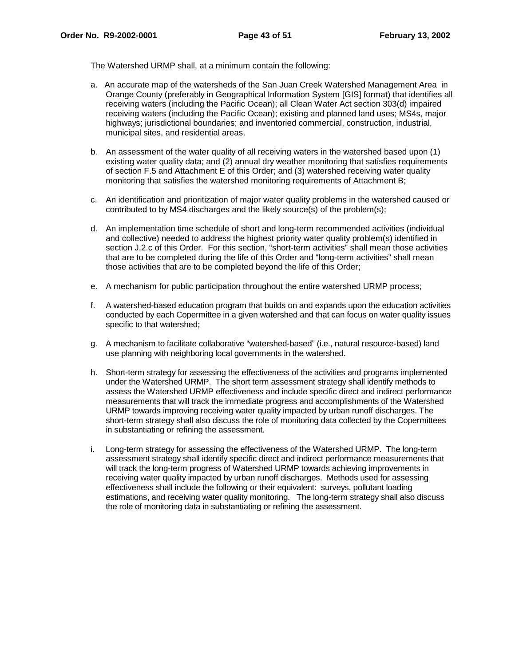The Watershed URMP shall, at a minimum contain the following:

- a. An accurate map of the watersheds of the San Juan Creek Watershed Management Area in Orange County (preferably in Geographical Information System [GIS] format) that identifies all receiving waters (including the Pacific Ocean); all Clean Water Act section 303(d) impaired receiving waters (including the Pacific Ocean); existing and planned land uses; MS4s, major highways; jurisdictional boundaries; and inventoried commercial, construction, industrial, municipal sites, and residential areas.
- b. An assessment of the water quality of all receiving waters in the watershed based upon (1) existing water quality data; and (2) annual dry weather monitoring that satisfies requirements of section F.5 and Attachment E of this Order; and (3) watershed receiving water quality monitoring that satisfies the watershed monitoring requirements of Attachment B;
- c. An identification and prioritization of major water quality problems in the watershed caused or contributed to by MS4 discharges and the likely source(s) of the problem(s);
- d. An implementation time schedule of short and long-term recommended activities (individual and collective) needed to address the highest priority water quality problem(s) identified in section J.2.c of this Order. For this section, "short-term activities" shall mean those activities that are to be completed during the life of this Order and "long-term activities" shall mean those activities that are to be completed beyond the life of this Order;
- e. A mechanism for public participation throughout the entire watershed URMP process;
- f. A watershed-based education program that builds on and expands upon the education activities conducted by each Copermittee in a given watershed and that can focus on water quality issues specific to that watershed;
- g. A mechanism to facilitate collaborative "watershed-based" (i.e., natural resource-based) land use planning with neighboring local governments in the watershed.
- h. Short-term strategy for assessing the effectiveness of the activities and programs implemented under the Watershed URMP. The short term assessment strategy shall identify methods to assess the Watershed URMP effectiveness and include specific direct and indirect performance measurements that will track the immediate progress and accomplishments of the Watershed URMP towards improving receiving water quality impacted by urban runoff discharges. The short-term strategy shall also discuss the role of monitoring data collected by the Copermittees in substantiating or refining the assessment.
- i. Long-term strategy for assessing the effectiveness of the Watershed URMP. The long-term assessment strategy shall identify specific direct and indirect performance measurements that will track the long-term progress of Watershed URMP towards achieving improvements in receiving water quality impacted by urban runoff discharges. Methods used for assessing effectiveness shall include the following or their equivalent: surveys, pollutant loading estimations, and receiving water quality monitoring. The long-term strategy shall also discuss the role of monitoring data in substantiating or refining the assessment.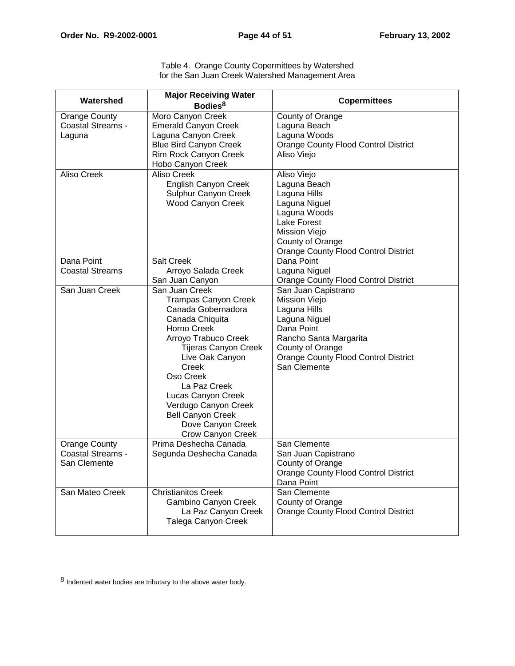| Table 4. Orange County Copermittees by Watershed |  |
|--------------------------------------------------|--|
| for the San Juan Creek Watershed Management Area |  |

| Watershed                                                  | <b>Major Receiving Water</b><br>Bodies <sup>8</sup>                                                                                                                                                                                                                                                                                              | <b>Copermittees</b>                                                                                                                                                                              |
|------------------------------------------------------------|--------------------------------------------------------------------------------------------------------------------------------------------------------------------------------------------------------------------------------------------------------------------------------------------------------------------------------------------------|--------------------------------------------------------------------------------------------------------------------------------------------------------------------------------------------------|
| <b>Orange County</b><br><b>Coastal Streams -</b><br>Laguna | Moro Canyon Creek<br><b>Emerald Canyon Creek</b><br>Laguna Canyon Creek<br><b>Blue Bird Canyon Creek</b><br>Rim Rock Canyon Creek<br>Hobo Canyon Creek                                                                                                                                                                                           | County of Orange<br>Laguna Beach<br>Laguna Woods<br><b>Orange County Flood Control District</b><br>Aliso Viejo                                                                                   |
| Aliso Creek                                                | <b>Aliso Creek</b><br><b>English Canyon Creek</b><br>Sulphur Canyon Creek<br><b>Wood Canyon Creek</b>                                                                                                                                                                                                                                            | Aliso Viejo<br>Laguna Beach<br>Laguna Hills<br>Laguna Niguel<br>Laguna Woods<br>Lake Forest<br>Mission Viejo<br>County of Orange<br><b>Orange County Flood Control District</b>                  |
| Dana Point<br><b>Coastal Streams</b>                       | <b>Salt Creek</b><br>Arroyo Salada Creek<br>San Juan Canyon                                                                                                                                                                                                                                                                                      | Dana Point<br>Laguna Niguel<br><b>Orange County Flood Control District</b>                                                                                                                       |
| San Juan Creek                                             | San Juan Creek<br><b>Trampas Canyon Creek</b><br>Canada Gobernadora<br>Canada Chiquita<br>Horno Creek<br>Arroyo Trabuco Creek<br><b>Tijeras Canyon Creek</b><br>Live Oak Canyon<br>Creek<br>Oso Creek<br>La Paz Creek<br>Lucas Canyon Creek<br>Verdugo Canyon Creek<br><b>Bell Canyon Creek</b><br>Dove Canyon Creek<br><b>Crow Canyon Creek</b> | San Juan Capistrano<br>Mission Viejo<br>Laguna Hills<br>Laguna Niguel<br>Dana Point<br>Rancho Santa Margarita<br>County of Orange<br><b>Orange County Flood Control District</b><br>San Clemente |
| Orange County<br><b>Coastal Streams -</b><br>San Clemente  | Prima Deshecha Canada<br>Segunda Deshecha Canada                                                                                                                                                                                                                                                                                                 | San Clemente<br>San Juan Capistrano<br>County of Orange<br><b>Orange County Flood Control District</b><br>Dana Point                                                                             |
| San Mateo Creek                                            | <b>Christianitos Creek</b><br>Gambino Canyon Creek<br>La Paz Canyon Creek<br>Talega Canyon Creek                                                                                                                                                                                                                                                 | San Clemente<br>County of Orange<br><b>Orange County Flood Control District</b>                                                                                                                  |

 $8$  Indented water bodies are tributary to the above water body.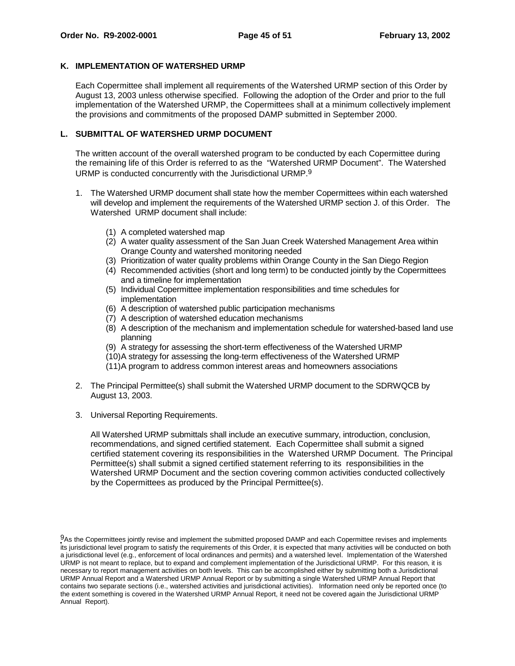#### **K. IMPLEMENTATION OF WATERSHED URMP**

Each Copermittee shall implement all requirements of the Watershed URMP section of this Order by August 13, 2003 unless otherwise specified. Following the adoption of the Order and prior to the full implementation of the Watershed URMP, the Copermittees shall at a minimum collectively implement the provisions and commitments of the proposed DAMP submitted in September 2000.

# **L. SUBMITTAL OF WATERSHED URMP DOCUMENT**

The written account of the overall watershed program to be conducted by each Copermittee during the remaining life of this Order is referred to as the "Watershed URMP Document". The Watershed URMP is conducted concurrently with the Jurisdictional URMP.<sup>9</sup>

- 1. The Watershed URMP document shall state how the member Copermittees within each watershed will develop and implement the requirements of the Watershed URMP section J. of this Order. The Watershed URMP document shall include:
	- (1) A completed watershed map
	- (2) A water quality assessment of the San Juan Creek Watershed Management Area within Orange County and watershed monitoring needed
	- (3) Prioritization of water quality problems within Orange County in the San Diego Region
	- (4) Recommended activities (short and long term) to be conducted jointly by the Copermittees and a timeline for implementation
	- (5) Individual Copermittee implementation responsibilities and time schedules for implementation
	- (6) A description of watershed public participation mechanisms
	- (7) A description of watershed education mechanisms
	- (8) A description of the mechanism and implementation schedule for watershed-based land use planning
	- (9) A strategy for assessing the short-term effectiveness of the Watershed URMP
	- (10) A strategy for assessing the long-term effectiveness of the Watershed URMP
	- (11) A program to address common interest areas and homeowners associations
- 2. The Principal Permittee(s) shall submit the Watershed URMP document to the SDRWQCB by August 13, 2003.
- 3. Universal Reporting Requirements.

All Watershed URMP submittals shall include an executive summary, introduction, conclusion, recommendations, and signed certified statement. Each Copermittee shall submit a signed certified statement covering its responsibilities in the Watershed URMP Document. The Principal Permittee(s) shall submit a signed certified statement referring to its responsibilities in the Watershed URMP Document and the section covering common activities conducted collectively by the Copermittees as produced by the Principal Permittee(s).

<sup>9</sup>As the Copermittees jointly revise and implement the submitted proposed DAMP and each Copermittee revises and implements its jurisdictional level program to satisfy the requirements of this Order, it is expected that many activities will be conducted on both a jurisdictional level (e.g., enforcement of local ordinances and permits) and a watershed level. Implementation of the Watershed URMP is not meant to replace, but to expand and complement implementation of the Jurisdictional URMP. For this reason, it is necessary to report management activities on both levels. This can be accomplished either by submitting both a Jurisdictional URMP Annual Report and a Watershed URMP Annual Report or by submitting a single Watershed URMP Annual Report that contains two separate sections (i.e., watershed activities and jurisdictional activities). Information need only be reported once (to the extent something is covered in the Watershed URMP Annual Report, it need not be covered again the Jurisdictional URMP Annual Report).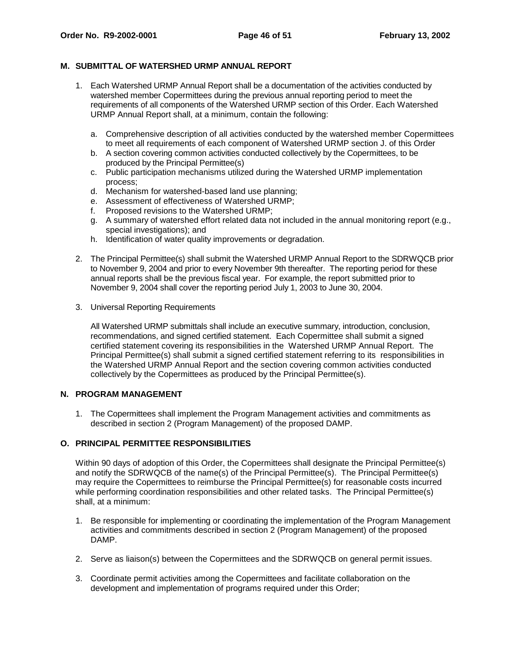#### **M. SUBMITTAL OF WATERSHED URMP ANNUAL REPORT**

- 1. Each Watershed URMP Annual Report shall be a documentation of the activities conducted by watershed member Copermittees during the previous annual reporting period to meet the requirements of all components of the Watershed URMP section of this Order. Each Watershed URMP Annual Report shall, at a minimum, contain the following:
	- a. Comprehensive description of all activities conducted by the watershed member Copermittees to meet all requirements of each component of Watershed URMP section J. of this Order
	- b. A section covering common activities conducted collectively by the Copermittees, to be produced by the Principal Permittee(s)
	- c. Public participation mechanisms utilized during the Watershed URMP implementation process;
	- d. Mechanism for watershed-based land use planning;
	- e. Assessment of effectiveness of Watershed URMP;
	- f. Proposed revisions to the Watershed URMP;
	- g. A summary of watershed effort related data not included in the annual monitoring report (e.g., special investigations); and
	- h. Identification of water quality improvements or degradation.
- 2. The Principal Permittee(s) shall submit the Watershed URMP Annual Report to the SDRWQCB prior to November 9, 2004 and prior to every November 9th thereafter. The reporting period for these annual reports shall be the previous fiscal year. For example, the report submitted prior to November 9, 2004 shall cover the reporting period July 1, 2003 to June 30, 2004.
- 3. Universal Reporting Requirements

All Watershed URMP submittals shall include an executive summary, introduction, conclusion, recommendations, and signed certified statement.Each Copermittee shall submit a signed certified statement covering its responsibilities in the Watershed URMP Annual Report. The Principal Permittee(s) shall submit a signed certified statement referring to its responsibilities in the Watershed URMP Annual Report and the section covering common activities conducted collectively by the Copermittees as produced by the Principal Permittee(s).

#### **N. PROGRAM MANAGEMENT**

1. The Copermittees shall implement the Program Management activities and commitments as described in section 2 (Program Management) of the proposed DAMP.

# **O. PRINCIPAL PERMITTEE RESPONSIBILITIES**

Within 90 days of adoption of this Order, the Copermittees shall designate the Principal Permittee(s) and notify the SDRWQCB of the name(s) of the Principal Permittee(s). The Principal Permittee(s) may require the Copermittees to reimburse the Principal Permittee(s) for reasonable costs incurred while performing coordination responsibilities and other related tasks. The Principal Permittee(s) shall, at a minimum:

- 1. Be responsible for implementing or coordinating the implementation of the Program Management activities and commitments described in section 2 (Program Management) of the proposed DAMP.
- 2. Serve as liaison(s) between the Copermittees and the SDRWQCB on general permit issues.
- 3. Coordinate permit activities among the Copermittees and facilitate collaboration on the development and implementation of programs required under this Order;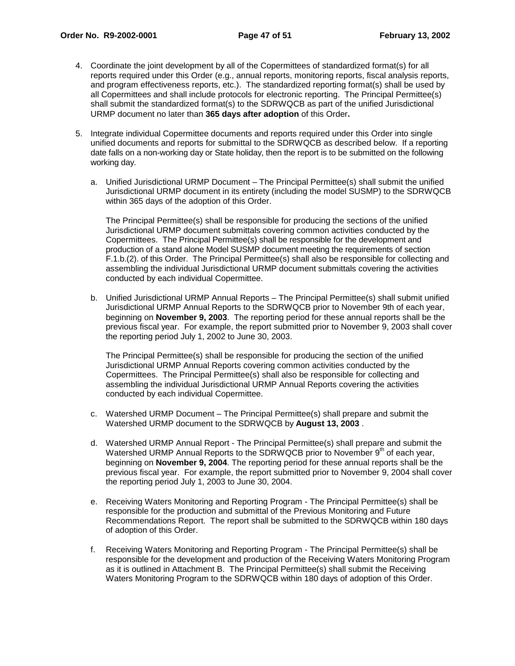- 4. Coordinate the joint development by all of the Copermittees of standardized format(s) for all reports required under this Order (e.g., annual reports, monitoring reports, fiscal analysis reports, and program effectiveness reports, etc.). The standardized reporting format(s) shall be used by all Copermittees and shall include protocols for electronic reporting. The Principal Permittee(s) shall submit the standardized format(s) to the SDRWQCB as part of the unified Jurisdictional URMP document no later than **365 days after adoption** of this Order**.**
- 5. Integrate individual Copermittee documents and reports required under this Order into single unified documents and reports for submittal to the SDRWQCB as described below. If a reporting date falls on a non-working day or State holiday, then the report is to be submitted on the following working day.
	- a. Unified Jurisdictional URMP Document The Principal Permittee(s) shall submit the unified Jurisdictional URMP document in its entirety (including the model SUSMP) to the SDRWQCB within 365 days of the adoption of this Order.

The Principal Permittee(s) shall be responsible for producing the sections of the unified Jurisdictional URMP document submittals covering common activities conducted by the Copermittees. The Principal Permittee(s) shall be responsible for the development and production of a stand alone Model SUSMP document meeting the requirements of section F.1.b.(2). of this Order. The Principal Permittee(s) shall also be responsible for collecting and assembling the individual Jurisdictional URMP document submittals covering the activities conducted by each individual Copermittee.

b. Unified Jurisdictional URMP Annual Reports – The Principal Permittee(s) shall submit unified Jurisdictional URMP Annual Reports to the SDRWQCB prior to November 9th of each year, beginning on **November 9, 2003**. The reporting period for these annual reports shall be the previous fiscal year. For example, the report submitted prior to November 9, 2003 shall cover the reporting period July 1, 2002 to June 30, 2003.

The Principal Permittee(s) shall be responsible for producing the section of the unified Jurisdictional URMP Annual Reports covering common activities conducted by the Copermittees. The Principal Permittee(s) shall also be responsible for collecting and assembling the individual Jurisdictional URMP Annual Reports covering the activities conducted by each individual Copermittee.

- c. Watershed URMP Document The Principal Permittee(s) shall prepare and submit the Watershed URMP document to the SDRWQCB by **August 13, 2003** .
- d. Watershed URMP Annual Report The Principal Permittee(s) shall prepare and submit the Watershed URMP Annual Reports to the SDRWQCB prior to November 9<sup>th</sup> of each year, beginning on **November 9, 2004**. The reporting period for these annual reports shall be the previous fiscal year. For example, the report submitted prior to November 9, 2004 shall cover the reporting period July 1, 2003 to June 30, 2004.
- e. Receiving Waters Monitoring and Reporting Program The Principal Permittee(s) shall be responsible for the production and submittal of the Previous Monitoring and Future Recommendations Report. The report shall be submitted to the SDRWQCB within 180 days of adoption of this Order.
- f. Receiving Waters Monitoring and Reporting Program The Principal Permittee(s) shall be responsible for the development and production of the Receiving Waters Monitoring Program as it is outlined in Attachment B. The Principal Permittee(s) shall submit the Receiving Waters Monitoring Program to the SDRWQCB within 180 days of adoption of this Order.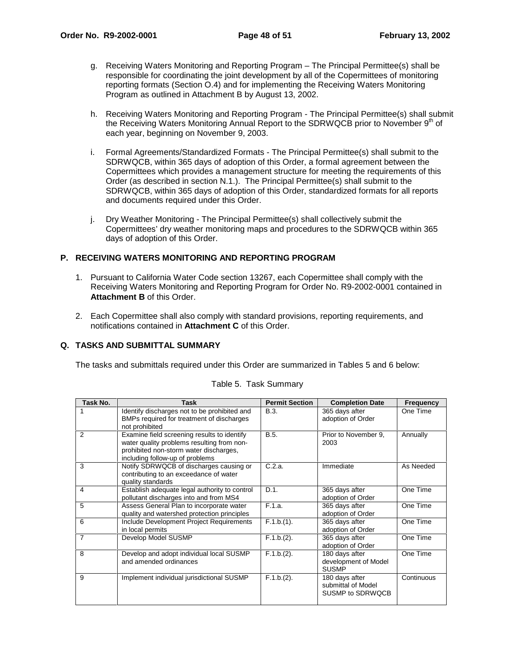- g. Receiving Waters Monitoring and Reporting Program The Principal Permittee(s) shall be responsible for coordinating the joint development by all of the Copermittees of monitoring reporting formats (Section O.4) and for implementing the Receiving Waters Monitoring Program as outlined in Attachment B by August 13, 2002.
- h. Receiving Waters Monitoring and Reporting Program The Principal Permittee(s) shall submit the Receiving Waters Monitoring Annual Report to the SDRWQCB prior to November 9<sup>th</sup> of each year, beginning on November 9, 2003.
- i. Formal Agreements/Standardized Formats The Principal Permittee(s) shall submit to the SDRWQCB, within 365 days of adoption of this Order, a formal agreement between the Copermittees which provides a management structure for meeting the requirements of this Order (as described in section N.1.). The Principal Permittee(s) shall submit to the SDRWQCB, within 365 days of adoption of this Order, standardized formats for all reports and documents required under this Order.
- j. Dry Weather Monitoring The Principal Permittee(s) shall collectively submit the Copermittees' dry weather monitoring maps and procedures to the SDRWQCB within 365 days of adoption of this Order.

#### **P. RECEIVING WATERS MONITORING AND REPORTING PROGRAM**

- 1. Pursuant to California Water Code section 13267, each Copermittee shall comply with the Receiving Waters Monitoring and Reporting Program for Order No. R9-2002-0001 contained in **Attachment B** of this Order.
- 2. Each Copermittee shall also comply with standard provisions, reporting requirements, and notifications contained in **Attachment C** of this Order.

# **Q. TASKS AND SUBMITTAL SUMMARY**

The tasks and submittals required under this Order are summarized in Tables 5 and 6 below:

| Task No.       | Task                                                                                                                                                                   | <b>Permit Section</b> | <b>Completion Date</b>                                   | <b>Frequency</b> |
|----------------|------------------------------------------------------------------------------------------------------------------------------------------------------------------------|-----------------------|----------------------------------------------------------|------------------|
|                | Identify discharges not to be prohibited and<br>BMPs required for treatment of discharges<br>not prohibited                                                            | B.3.                  | 365 days after<br>adoption of Order                      | One Time         |
| 2              | Examine field screening results to identify<br>water quality problems resulting from non-<br>prohibited non-storm water discharges,<br>including follow-up of problems | B.5.                  | Prior to November 9.<br>2003                             | Annually         |
| 3              | Notify SDRWQCB of discharges causing or<br>contributing to an exceedance of water<br>quality standards                                                                 | C.2.a.                | Immediate                                                | As Needed        |
| 4              | Establish adequate legal authority to control<br>pollutant discharges into and from MS4                                                                                | D.1.                  | 365 days after<br>adoption of Order                      | One Time         |
| 5              | Assess General Plan to incorporate water<br>quality and watershed protection principles                                                                                | F.1.a.                | 365 days after<br>adoption of Order                      | One Time         |
| 6              | Include Development Project Requirements<br>in local permits                                                                                                           | F.1.b.(1).            | 365 days after<br>adoption of Order                      | One Time         |
| $\overline{7}$ | Develop Model SUSMP                                                                                                                                                    | $F.1.b.(2)$ .         | 365 days after<br>adoption of Order                      | One Time         |
| 8              | Develop and adopt individual local SUSMP<br>and amended ordinances                                                                                                     | F.1.b.(2).            | 180 days after<br>development of Model<br><b>SUSMP</b>   | One Time         |
| 9              | Implement individual jurisdictional SUSMP                                                                                                                              | $F.1.b.(2)$ .         | 180 days after<br>submittal of Model<br>SUSMP to SDRWQCB | Continuous       |

#### Table 5. Task Summary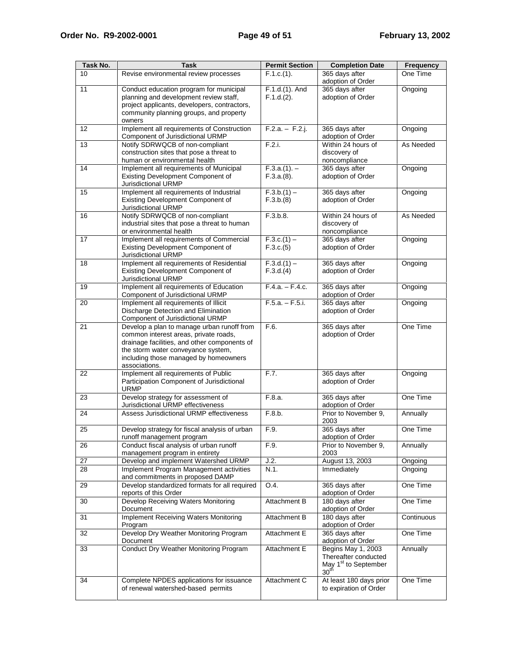| Task No. | Task                                                                                                                                                                                                                                | <b>Permit Section</b>        | <b>Completion Date</b>                                                                             | <b>Frequency</b> |
|----------|-------------------------------------------------------------------------------------------------------------------------------------------------------------------------------------------------------------------------------------|------------------------------|----------------------------------------------------------------------------------------------------|------------------|
| 10       | Revise environmental review processes                                                                                                                                                                                               | F.1.c.(1).                   | 365 days after<br>adoption of Order                                                                | One Time         |
| 11       | Conduct education program for municipal<br>planning and development review staff,<br>project applicants, developers, contractors,<br>community planning groups, and property<br>owners                                              | F.1.d.(1). And<br>F.1.d.(2). | 365 days after<br>adoption of Order                                                                | Ongoing          |
| 12       | Implement all requirements of Construction<br>Component of Jurisdictional URMP                                                                                                                                                      | $F.2.a. - F.2.j.$            | 365 days after<br>adoption of Order                                                                | Ongoing          |
| 13       | Notify SDRWQCB of non-compliant<br>construction sites that pose a threat to<br>human or environmental health                                                                                                                        | F.2.i.                       | Within 24 hours of<br>discovery of<br>noncompliance                                                | As Needed        |
| 14       | Implement all requirements of Municipal<br>Existing Development Component of<br>Jurisdictional URMP                                                                                                                                 | $F.3.a.(1) -$<br>F.3.a.(8).  | 365 days after<br>adoption of Order                                                                | Ongoing          |
| 15       | Implement all requirements of Industrial<br>Existing Development Component of<br>Jurisdictional URMP                                                                                                                                | $F.3.b.(1) -$<br>F.3.b.(8)   | 365 days after<br>adoption of Order                                                                | Ongoing          |
| 16       | Notify SDRWQCB of non-compliant<br>industrial sites that pose a threat to human<br>or environmental health                                                                                                                          | F.3.b.8.                     | Within 24 hours of<br>discovery of<br>noncompliance                                                | As Needed        |
| 17       | Implement all requirements of Commercial<br>Existing Development Component of<br>Jurisdictional URMP                                                                                                                                | $F.3.c.(1) -$<br>F.3.c.(5)   | 365 days after<br>adoption of Order                                                                | Ongoing          |
| 18       | Implement all requirements of Residential<br>Existing Development Component of<br>Jurisdictional URMP                                                                                                                               | $F.3.d.(1) -$<br>F.3.d.(4)   | 365 days after<br>adoption of Order                                                                | Ongoing          |
| 19       | Implement all requirements of Education<br>Component of Jurisdictional URMP                                                                                                                                                         | $F.4.a. - F.4.c.$            | 365 days after<br>adoption of Order                                                                | Ongoing          |
| 20       | Implement all requirements of Illicit<br>Discharge Detection and Elimination<br>Component of Jurisdictional URMP                                                                                                                    | $F.5.a. - F.5.i.$            | 365 days after<br>adoption of Order                                                                | Ongoing          |
| 21       | Develop a plan to manage urban runoff from<br>common interest areas, private roads,<br>drainage facilities, and other components of<br>the storm water conveyance system,<br>including those managed by homeowners<br>associations. | F.6.                         | 365 days after<br>adoption of Order                                                                | One Time         |
| 22       | Implement all requirements of Public<br>Participation Component of Jurisdictional<br><b>URMP</b>                                                                                                                                    | F.7.                         | 365 days after<br>adoption of Order                                                                | Ongoing          |
| 23       | Develop strategy for assessment of<br>Jurisdictional URMP effectiveness                                                                                                                                                             | F.8.a.                       | 365 days after<br>adoption of Order                                                                | One Time         |
| 24       | Assess Jurisdictional URMP effectiveness                                                                                                                                                                                            | F.8.b.                       | Prior to November 9,<br>2003                                                                       | Annually         |
| 25       | Develop strategy for fiscal analysis of urban<br>runoff management program                                                                                                                                                          | F.9.                         | 365 days after<br>adoption of Order                                                                | One Time         |
| 26       | Conduct fiscal analysis of urban runoff<br>management program in entirety                                                                                                                                                           | F.9.                         | Prior to November 9,<br>2003                                                                       | Annually         |
| 27       | Develop and implement Watershed URMP                                                                                                                                                                                                | J.2.                         | August 13, 2003                                                                                    | Ongoing          |
| 28       | Implement Program Management activities<br>and commitments in proposed DAMP                                                                                                                                                         | N.1.                         | Immediately                                                                                        | Ongoing          |
| 29       | Develop standardized formats for all required<br>reports of this Order                                                                                                                                                              | O.4.                         | 365 days after<br>adoption of Order                                                                | One Time         |
| 30       | Develop Receiving Waters Monitoring<br>Document                                                                                                                                                                                     | Attachment B                 | 180 days after<br>adoption of Order                                                                | One Time         |
| 31       | Implement Receiving Waters Monitoring<br>Program                                                                                                                                                                                    | Attachment B                 | 180 days after<br>adoption of Order                                                                | Continuous       |
| 32       | Develop Dry Weather Monitoring Program<br>Document                                                                                                                                                                                  | Attachment E                 | 365 days after<br>adoption of Order                                                                | One Time         |
| 33       | Conduct Dry Weather Monitoring Program                                                                                                                                                                                              | Attachment E                 | Begins May 1, 2003<br>Thereafter conducted<br>May 1 <sup>st</sup> to September<br>30 <sup>th</sup> | Annually         |
| 34       | Complete NPDES applications for issuance<br>of renewal watershed-based permits                                                                                                                                                      | Attachment C                 | At least 180 days prior<br>to expiration of Order                                                  | One Time         |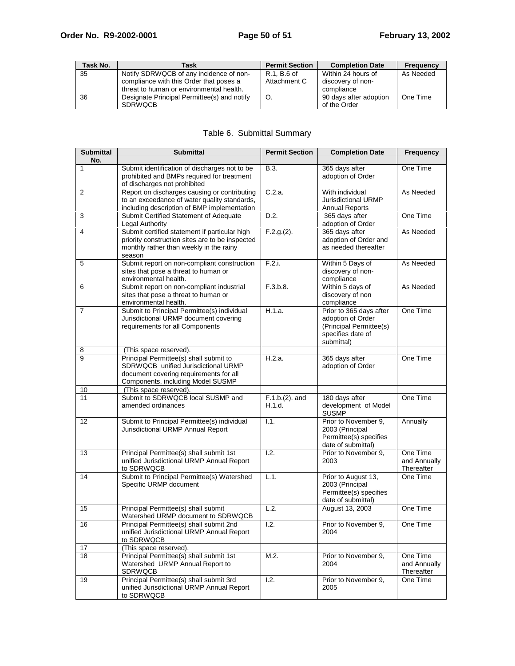| Task No. | Task                                        | <b>Permit Section</b> | <b>Completion Date</b> | <b>Frequency</b> |
|----------|---------------------------------------------|-----------------------|------------------------|------------------|
| 35       | Notify SDRWQCB of any incidence of non-     | R.1. B.6 of           | Within 24 hours of     | As Needed        |
|          | compliance with this Order that poses a     | Attachment C          | discovery of non-      |                  |
|          | threat to human or environmental health.    |                       | compliance             |                  |
| 36       | Designate Principal Permittee(s) and notify |                       | 90 days after adoption | One Time         |
|          | <b>SDRWOCB</b>                              |                       | of the Order           |                  |

# Table 6. Submittal Summary

| <b>Submittal</b><br>No. | <b>Submittal</b>                                                                                                                                             | <b>Permit Section</b>       | <b>Completion Date</b>                                                                                     | <b>Frequency</b>                       |
|-------------------------|--------------------------------------------------------------------------------------------------------------------------------------------------------------|-----------------------------|------------------------------------------------------------------------------------------------------------|----------------------------------------|
| 1                       | Submit identification of discharges not to be<br>prohibited and BMPs required for treatment<br>of discharges not prohibited                                  | B.3.                        | 365 days after<br>adoption of Order                                                                        | One Time                               |
| 2                       | Report on discharges causing or contributing<br>to an exceedance of water quality standards,<br>including description of BMP implementation                  | C.2.a.                      | With individual<br>Jurisdictional URMP<br><b>Annual Reports</b>                                            | As Needed                              |
| 3                       | Submit Certified Statement of Adequate<br>Legal Authority                                                                                                    | D.2.                        | 365 days after<br>adoption of Order                                                                        | One Time                               |
| 4                       | Submit certified statement if particular high<br>priority construction sites are to be inspected<br>monthly rather than weekly in the rainy<br>season        | $F.2.g.(2)$ .               | 365 days after<br>adoption of Order and<br>as needed thereafter                                            | As Needed                              |
| 5                       | Submit report on non-compliant construction<br>sites that pose a threat to human or<br>environmental health.                                                 | F.2.i.                      | Within 5 Days of<br>discovery of non-<br>compliance                                                        | As Needed                              |
| 6                       | Submit report on non-compliant industrial<br>sites that pose a threat to human or<br>environmental health.                                                   | F.3.b.8.                    | Within 5 days of<br>discovery of non<br>compliance                                                         | As Needed                              |
| 7                       | Submit to Principal Permittee(s) individual<br>Jurisdictional URMP document covering<br>requirements for all Components                                      | H.1.a.                      | Prior to 365 days after<br>adoption of Order<br>(Principal Permittee(s)<br>specifies date of<br>submittal) | One Time                               |
| 8                       | (This space reserved).                                                                                                                                       |                             |                                                                                                            |                                        |
| 9                       | Principal Permittee(s) shall submit to<br>SDRWQCB unified Jurisdictional URMP<br>document covering requirements for all<br>Components, including Model SUSMP | H.2.a.                      | 365 days after<br>adoption of Order                                                                        | One Time                               |
| 10                      | (This space reserved).                                                                                                                                       |                             |                                                                                                            |                                        |
| 11                      | Submit to SDRWQCB local SUSMP and<br>amended ordinances                                                                                                      | $F.1.b.(2)$ . and<br>H.1.d. | 180 days after<br>development of Model<br><b>SUSMP</b>                                                     | One Time                               |
| $12 \overline{ }$       | Submit to Principal Permittee(s) individual<br>Jurisdictional URMP Annual Report                                                                             | 1.1.                        | Prior to November 9,<br>2003 (Principal<br>Permittee(s) specifies<br>date of submittal)                    | Annually                               |
| 13                      | Principal Permittee(s) shall submit 1st<br>unified Jurisdictional URMP Annual Report<br>to SDRWQCB                                                           | 1.2.                        | Prior to November 9,<br>2003                                                                               | One Time<br>and Annually<br>Thereafter |
| 14                      | Submit to Principal Permittee(s) Watershed<br>Specific URMP document                                                                                         | L.1.                        | Prior to August 13,<br>2003 (Principal<br>Permittee(s) specifies<br>date of submittal)                     | One Time                               |
| 15                      | Principal Permittee(s) shall submit<br>Watershed URMP document to SDRWQCB                                                                                    | L.2.                        | August 13, 2003                                                                                            | One Time                               |
| 16                      | Principal Permittee(s) shall submit 2nd<br>unified Jurisdictional URMP Annual Report<br>to SDRWQCB                                                           | 1.2.                        | Prior to November 9,<br>2004                                                                               | One Time                               |
| 17                      | (This space reserved).                                                                                                                                       |                             |                                                                                                            |                                        |
| 18                      | Principal Permittee(s) shall submit 1st<br>Watershed URMP Annual Report to<br><b>SDRWQCB</b>                                                                 | M.2.                        | Prior to November 9,<br>2004                                                                               | One Time<br>and Annually<br>Thereafter |
| 19                      | Principal Permittee(s) shall submit 3rd<br>unified Jurisdictional URMP Annual Report<br>to SDRWQCB                                                           | 1.2.                        | Prior to November 9,<br>2005                                                                               | One Time                               |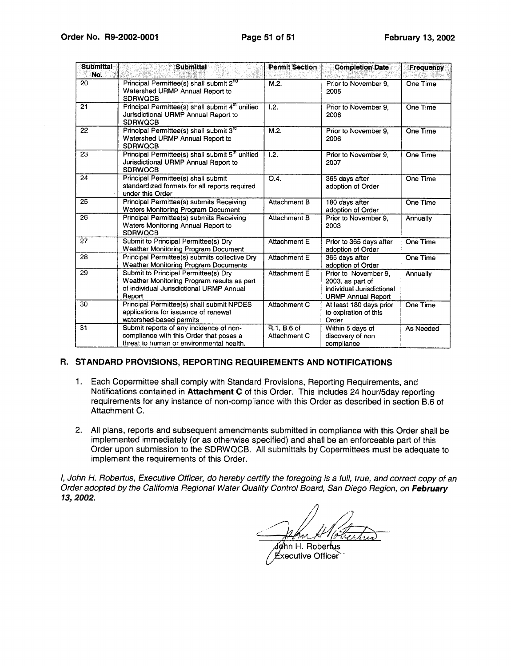$\mathsf{I}$ 

| <b>Submittal</b><br>No. | <b>Submittal</b>                                                                                                                         | <b>Permit Section</b>       | <b>Completion Date</b>                                                                             | Frequency |
|-------------------------|------------------------------------------------------------------------------------------------------------------------------------------|-----------------------------|----------------------------------------------------------------------------------------------------|-----------|
| 20                      | Principal Permittee(s) shall submit 2 <sup>nd</sup><br>Watershed URMP Annual Report to<br><b>SDRWQCB</b>                                 | M.2.                        | Prior to November 9,<br>2005                                                                       | One Time  |
| 21                      | Principal Permittee(s) shall submit 4 <sup>th</sup> unified<br>Jurisdictional URMP Annual Report to<br><b>SDRWQCB</b>                    | 1.2.                        | Prior to November 9.<br>2006                                                                       | One Time  |
| 22                      | Principal Permittee(s) shall submit 3 <sup>ro</sup><br>Watershed URMP Annual Report to<br><b>SDRWQCB</b>                                 | M.2.                        | Prior to November 9.<br>2006                                                                       | One Time  |
| 23                      | Principal Permittee(s) shall submit 5 <sup>th</sup> unified<br>Jurisdictional URMP Annual Report to<br><b>SDRWQCB</b>                    | 1.2.                        | Prior to November 9.<br>2007                                                                       | One Time  |
| 24                      | Principal Permittee(s) shall submit<br>standardized formats for all reports required<br>under this Order                                 | O.4.                        | 365 days after<br>adoption of Order                                                                | One Time  |
| 25                      | Principal Permittee(s) submits Receiving<br>Waters Monitoring Program Document                                                           | Attachment B                | 180 days after<br>adoption of Order                                                                | One Time  |
| 26                      | Principal Permittee(s) submits Receiving<br>Waters Monitoring Annual Report to<br><b>SDRWOCB</b>                                         | Attachment B                | Prior to November 9.<br>2003                                                                       | Annually  |
| 27                      | Submit to Principal Permittee(s) Dry<br>Weather Monitoring Program Document                                                              | Attachment E                | Prior to 365 days after<br>adoption of Order                                                       | One Time  |
| 28                      | Principal Permittee(s) submits collective Dry<br>Weather Monitoring Program Documents                                                    | Attachment E                | 365 days after<br>adoption of Order                                                                | One Time  |
| 29                      | Submit to Principal Permittee(s) Drv<br>Weather Monitoring Program results as part<br>of individual Jurisdictional URMP Annual<br>Report | Attachment E                | Prior to November 9.<br>2003, as part of<br>individual Jurisdictional<br><b>URMP Annual Report</b> | Annually  |
| 30                      | Principal Permittee(s) shall submit NPDES<br>applications for issuance of renewal<br>watershed-based permits                             | Attachment C                | At least 180 days prior<br>to expiration of this<br>Order                                          | One Time  |
| 31                      | Submit reports of any incidence of non-<br>compliance with this Order that poses a<br>threat to human or environmental health.           | R.1. B.6 of<br>Attachment C | Within 5 days of<br>discovery of non<br>compliance                                                 | As Needed |

#### R. STANDARD PROVISIONS, REPORTING REQUIREMENTS AND NOTIFICATIONS

- 1. Each Copermittee shall comply with Standard Provisions, Reporting Requirements, and Notifications contained in Attachment C of this Order. This includes 24 hour/5day reporting requirements for any instance of non-compliance with this Order as described in section B.6 of Attachment C.
- 2. All plans, reports and subsequent amendments submitted in compliance with this Order shall be implemented immediately (or as otherwise specified) and shall be an enforceable part of this Order upon submission to the SDRWQCB. All submittals by Copermittees must be adequate to implement the requirements of this Order.

I, John H. Robertus, Executive Officer, do hereby certify the foregoing is a full, true, and correct copy of an Order adopted by the California Regional Water Quality Control Board, San Diego Region, on February 13, 2002.

n H

døhn H. Robertus Executive Officer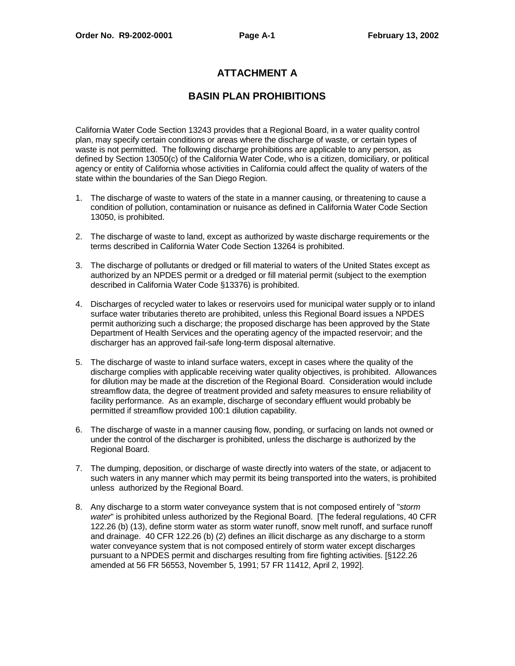# **ATTACHMENT A**

# **BASIN PLAN PROHIBITIONS**

California Water Code Section 13243 provides that a Regional Board, in a water quality control plan, may specify certain conditions or areas where the discharge of waste, or certain types of waste is not permitted. The following discharge prohibitions are applicable to any person, as defined by Section 13050(c) of the California Water Code, who is a citizen, domiciliary, or political agency or entity of California whose activities in California could affect the quality of waters of the state within the boundaries of the San Diego Region.

- 1. The discharge of waste to waters of the state in a manner causing, or threatening to cause a condition of pollution, contamination or nuisance as defined in California Water Code Section 13050, is prohibited.
- 2. The discharge of waste to land, except as authorized by waste discharge requirements or the terms described in California Water Code Section 13264 is prohibited.
- 3. The discharge of pollutants or dredged or fill material to waters of the United States except as authorized by an NPDES permit or a dredged or fill material permit (subject to the exemption described in California Water Code §13376) is prohibited.
- 4. Discharges of recycled water to lakes or reservoirs used for municipal water supply or to inland surface water tributaries thereto are prohibited, unless this Regional Board issues a NPDES permit authorizing such a discharge; the proposed discharge has been approved by the State Department of Health Services and the operating agency of the impacted reservoir; and the discharger has an approved fail-safe long-term disposal alternative.
- 5. The discharge of waste to inland surface waters, except in cases where the quality of the discharge complies with applicable receiving water quality objectives, is prohibited. Allowances for dilution may be made at the discretion of the Regional Board. Consideration would include streamflow data, the degree of treatment provided and safety measures to ensure reliability of facility performance. As an example, discharge of secondary effluent would probably be permitted if streamflow provided 100:1 dilution capability.
- 6. The discharge of waste in a manner causing flow, ponding, or surfacing on lands not owned or under the control of the discharger is prohibited, unless the discharge is authorized by the Regional Board.
- 7. The dumping, deposition, or discharge of waste directly into waters of the state, or adjacent to such waters in any manner which may permit its being transported into the waters, is prohibited unless authorized by the Regional Board.
- 8. Any discharge to a storm water conveyance system that is not composed entirely of "storm" water" is prohibited unless authorized by the Regional Board. [The federal regulations, 40 CFR 122.26 (b) (13), define storm water as storm water runoff, snow melt runoff, and surface runoff and drainage. 40 CFR 122.26 (b) (2) defines an illicit discharge as any discharge to a storm water conveyance system that is not composed entirely of storm water except discharges pursuant to a NPDES permit and discharges resulting from fire fighting activities. [§122.26 amended at 56 FR 56553, November 5, 1991; 57 FR 11412, April 2, 1992].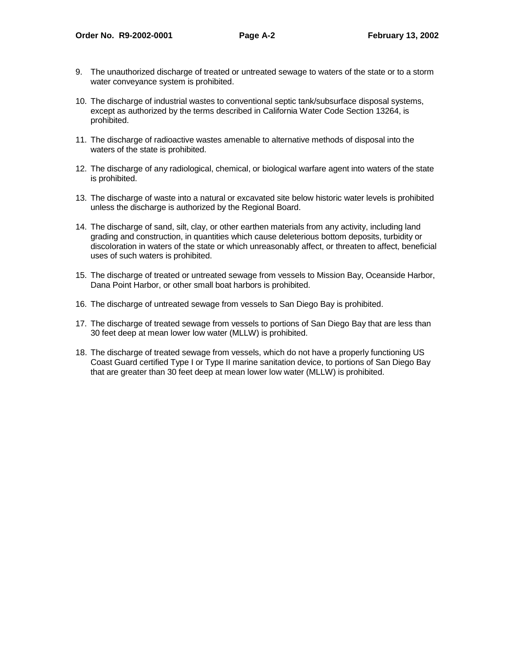- 9. The unauthorized discharge of treated or untreated sewage to waters of the state or to a storm water conveyance system is prohibited.
- 10. The discharge of industrial wastes to conventional septic tank/subsurface disposal systems, except as authorized by the terms described in California Water Code Section 13264, is prohibited.
- 11. The discharge of radioactive wastes amenable to alternative methods of disposal into the waters of the state is prohibited.
- 12. The discharge of any radiological, chemical, or biological warfare agent into waters of the state is prohibited.
- 13. The discharge of waste into a natural or excavated site below historic water levels is prohibited unless the discharge is authorized by the Regional Board.
- 14. The discharge of sand, silt, clay, or other earthen materials from any activity, including land grading and construction, in quantities which cause deleterious bottom deposits, turbidity or discoloration in waters of the state or which unreasonably affect, or threaten to affect, beneficial uses of such waters is prohibited.
- 15. The discharge of treated or untreated sewage from vessels to Mission Bay, Oceanside Harbor, Dana Point Harbor, or other small boat harbors is prohibited.
- 16. The discharge of untreated sewage from vessels to San Diego Bay is prohibited.
- 17. The discharge of treated sewage from vessels to portions of San Diego Bay that are less than 30 feet deep at mean lower low water (MLLW) is prohibited.
- 18. The discharge of treated sewage from vessels, which do not have a properly functioning US Coast Guard certified Type I or Type II marine sanitation device, to portions of San Diego Bay that are greater than 30 feet deep at mean lower low water (MLLW) is prohibited.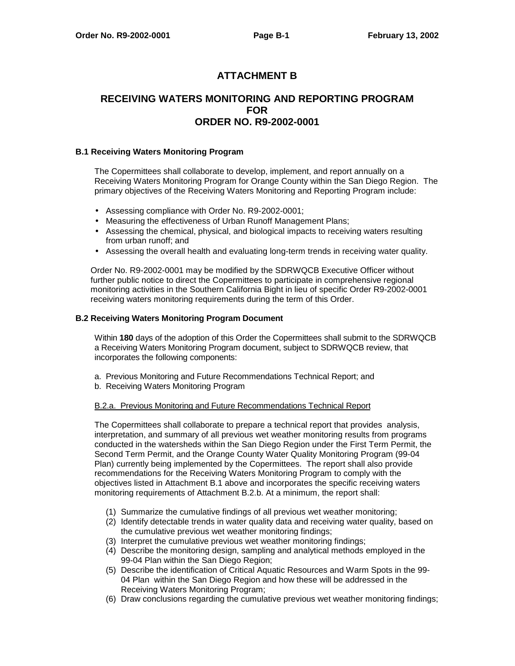# **ATTACHMENT B**

# **RECEIVING WATERS MONITORING AND REPORTING PROGRAM FOR ORDER NO. R9-2002-0001**

#### **B.1 Receiving Waters Monitoring Program**

The Copermittees shall collaborate to develop, implement, and report annually on a Receiving Waters Monitoring Program for Orange County within the San Diego Region. The primary objectives of the Receiving Waters Monitoring and Reporting Program include:

- Assessing compliance with Order No. R9-2002-0001;
- Measuring the effectiveness of Urban Runoff Management Plans;
- Assessing the chemical, physical, and biological impacts to receiving waters resulting from urban runoff; and
- Assessing the overall health and evaluating long-term trends in receiving water quality.

Order No. R9-2002-0001 may be modified by the SDRWQCB Executive Officer without further public notice to direct the Copermittees to participate in comprehensive regional monitoring activities in the Southern California Bight in lieu of specific Order R9-2002-0001 receiving waters monitoring requirements during the term of this Order.

#### **B.2 Receiving Waters Monitoring Program Document**

Within **180** days of the adoption of this Order the Copermittees shall submit to the SDRWQCB a Receiving Waters Monitoring Program document, subject to SDRWQCB review, that incorporates the following components:

- a. Previous Monitoring and Future Recommendations Technical Report; and
- b. Receiving Waters Monitoring Program

#### B.2.a. Previous Monitoring and Future Recommendations Technical Report

The Copermittees shall collaborate to prepare a technical report that provides analysis, interpretation, and summary of all previous wet weather monitoring results from programs conducted in the watersheds within the San Diego Region under the First Term Permit, the Second Term Permit, and the Orange County Water Quality Monitoring Program (99-04 Plan) currently being implemented by the Copermittees. The report shall also provide recommendations for the Receiving Waters Monitoring Program to comply with the objectives listed in Attachment B.1 above and incorporates the specific receiving waters monitoring requirements of Attachment B.2.b. At a minimum, the report shall:

- (1) Summarize the cumulative findings of all previous wet weather monitoring;
- (2) Identify detectable trends in water quality data and receiving water quality, based on the cumulative previous wet weather monitoring findings;
- (3) Interpret the cumulative previous wet weather monitoring findings;
- (4) Describe the monitoring design, sampling and analytical methods employed in the 99-04 Plan within the San Diego Region;
- (5) Describe the identification of Critical Aquatic Resources and Warm Spots in the 99- 04 Plan within the San Diego Region and how these will be addressed in the Receiving Waters Monitoring Program;
- (6) Draw conclusions regarding the cumulative previous wet weather monitoring findings;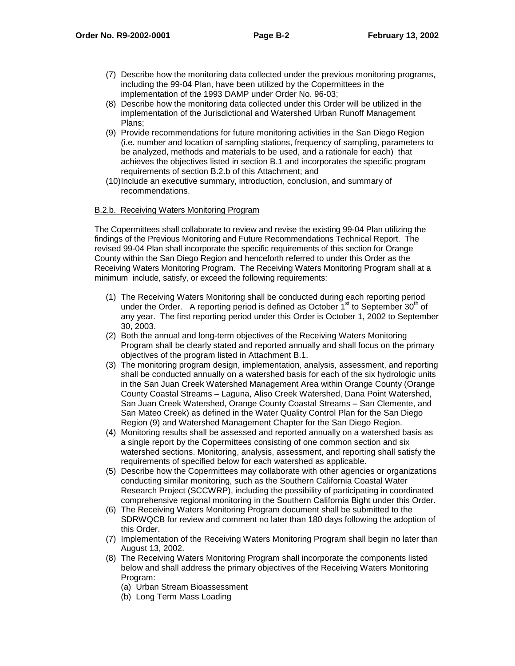- (7) Describe how the monitoring data collected under the previous monitoring programs, including the 99-04 Plan, have been utilized by the Copermittees in the implementation of the 1993 DAMP under Order No. 96-03;
- (8) Describe how the monitoring data collected under this Order will be utilized in the implementation of the Jurisdictional and Watershed Urban Runoff Management Plans;
- (9) Provide recommendations for future monitoring activities in the San Diego Region (i.e. number and location of sampling stations, frequency of sampling, parameters to be analyzed, methods and materials to be used, and a rationale for each) that achieves the objectives listed in section B.1 and incorporates the specific program requirements of section B.2.b of this Attachment; and
- (10) Include an executive summary, introduction, conclusion, and summary of recommendations.

# B.2.b. Receiving Waters Monitoring Program

The Copermittees shall collaborate to review and revise the existing 99-04 Plan utilizing the findings of the Previous Monitoring and Future Recommendations Technical Report. The revised 99-04 Plan shall incorporate the specific requirements of this section for Orange County within the San Diego Region and henceforth referred to under this Order as the Receiving Waters Monitoring Program. The Receiving Waters Monitoring Program shall at a minimum include, satisfy, or exceed the following requirements:

- (1) The Receiving Waters Monitoring shall be conducted during each reporting period under the Order. A reporting period is defined as October  $1<sup>st</sup>$  to September 30<sup>th</sup> of any year. The first reporting period under this Order is October 1, 2002 to September 30, 2003.
- (2) Both the annual and long-term objectives of the Receiving Waters Monitoring Program shall be clearly stated and reported annually and shall focus on the primary objectives of the program listed in Attachment B.1.
- (3) The monitoring program design, implementation, analysis, assessment, and reporting shall be conducted annually on a watershed basis for each of the six hydrologic units in the San Juan Creek Watershed Management Area within Orange County (Orange County Coastal Streams – Laguna, Aliso Creek Watershed, Dana Point Watershed, San Juan Creek Watershed, Orange County Coastal Streams – San Clemente, and San Mateo Creek) as defined in the Water Quality Control Plan for the San Diego Region (9) and Watershed Management Chapter for the San Diego Region.
- (4) Monitoring results shall be assessed and reported annually on a watershed basis as a single report by the Copermittees consisting of one common section and six watershed sections. Monitoring, analysis, assessment, and reporting shall satisfy the requirements of specified below for each watershed as applicable.
- (5) Describe how the Copermittees may collaborate with other agencies or organizations conducting similar monitoring, such as the Southern California Coastal Water Research Project (SCCWRP), including the possibility of participating in coordinated comprehensive regional monitoring in the Southern California Bight under this Order.
- (6) The Receiving Waters Monitoring Program document shall be submitted to the SDRWQCB for review and comment no later than 180 days following the adoption of this Order.
- (7) Implementation of the Receiving Waters Monitoring Program shall begin no later than August 13, 2002.
- (8) The Receiving Waters Monitoring Program shall incorporate the components listed below and shall address the primary objectives of the Receiving Waters Monitoring Program:
	- (a) Urban Stream Bioassessment
	- (b) Long Term Mass Loading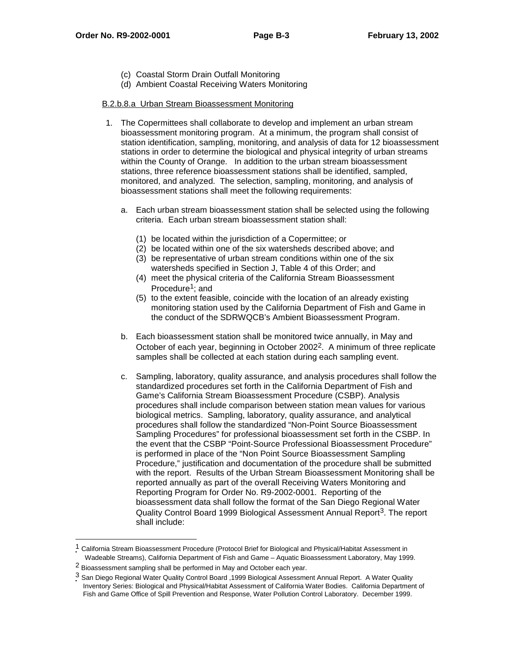- (c) Coastal Storm Drain Outfall Monitoring
- (d) Ambient Coastal Receiving Waters Monitoring

#### B.2.b.8.a Urban Stream Bioassessment Monitoring

- 1. The Copermittees shall collaborate to develop and implement an urban stream bioassessment monitoring program. At a minimum, the program shall consist of station identification, sampling, monitoring, and analysis of data for 12 bioassessment stations in order to determine the biological and physical integrity of urban streams within the County of Orange. In addition to the urban stream bioassessment stations, three reference bioassessment stations shall be identified, sampled, monitored, and analyzed. The selection, sampling, monitoring, and analysis of bioassessment stations shall meet the following requirements:
	- a. Each urban stream bioassessment station shall be selected using the following criteria. Each urban stream bioassessment station shall:
		- (1) be located within the jurisdiction of a Copermittee; or
		- (2) be located within one of the six watersheds described above; and
		- (3) be representative of urban stream conditions within one of the six watersheds specified in Section J, Table 4 of this Order; and
		- (4) meet the physical criteria of the California Stream Bioassessment Procedure<sup>1</sup>; and
		- (5) to the extent feasible, coincide with the location of an already existing monitoring station used by the California Department of Fish and Game in the conduct of the SDRWQCB's Ambient Bioassessment Program.
	- b. Each bioassessment station shall be monitored twice annually, in May and October of each year, beginning in October 20022. A minimum of three replicate samples shall be collected at each station during each sampling event.
	- c. Sampling, laboratory, quality assurance, and analysis procedures shall follow the standardized procedures set forth in the California Department of Fish and Game's California Stream Bioassessment Procedure (CSBP). Analysis procedures shall include comparison between station mean values for various biological metrics. Sampling, laboratory, quality assurance, and analytical procedures shall follow the standardized "Non-Point Source Bioassessment Sampling Procedures" for professional bioassessment set forth in the CSBP. In the event that the CSBP "Point-Source Professional Bioassessment Procedure" is performed in place of the "Non Point Source Bioassessment Sampling Procedure," justification and documentation of the procedure shall be submitted with the report. Results of the Urban Stream Bioassessment Monitoring shall be reported annually as part of the overall Receiving Waters Monitoring and Reporting Program for Order No. R9-2002-0001. Reporting of the bioassessment data shall follow the format of the San Diego Regional Water Quality Control Board 1999 Biological Assessment Annual Report<sup>3</sup>. The report shall include:

 $\overline{a}$ 

<sup>1</sup> California Stream Bioassessment Procedure (Protocol Brief for Biological and Physical/Habitat Assessment in Wadeable Streams), California Department of Fish and Game – Aquatic Bioassessment Laboratory, May 1999.

<sup>2</sup> Bioassessment sampling shall be performed in May and October each year.

<sup>3</sup> San Diego Regional Water Quality Control Board ,1999 Biological Assessment Annual Report. A Water Quality Inventory Series: Biological and Physical/Habitat Assessment of California Water Bodies. California Department of Fish and Game Office of Spill Prevention and Response, Water Pollution Control Laboratory. December 1999.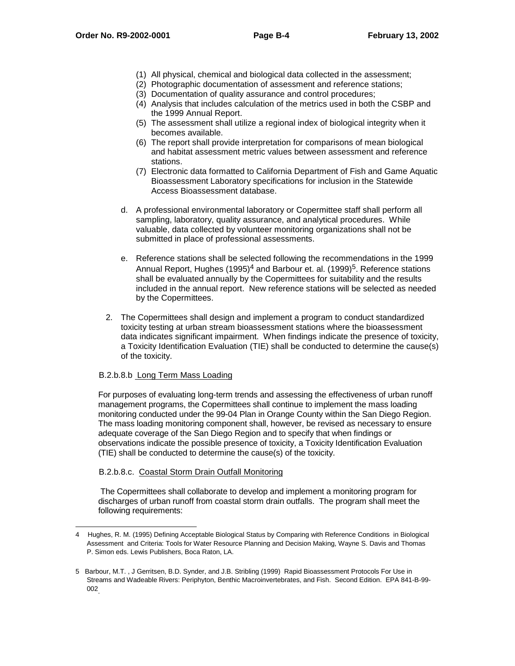- (1) All physical, chemical and biological data collected in the assessment;
- (2) Photographic documentation of assessment and reference stations;
- (3) Documentation of quality assurance and control procedures;
- (4) Analysis that includes calculation of the metrics used in both the CSBP and the 1999 Annual Report.
- (5) The assessment shall utilize a regional index of biological integrity when it becomes available.
- (6) The report shall provide interpretation for comparisons of mean biological and habitat assessment metric values between assessment and reference stations.
- (7) Electronic data formatted to California Department of Fish and Game Aquatic Bioassessment Laboratory specifications for inclusion in the Statewide Access Bioassessment database.
- d. A professional environmental laboratory or Copermittee staff shall perform all sampling, laboratory, quality assurance, and analytical procedures. While valuable, data collected by volunteer monitoring organizations shall not be submitted in place of professional assessments.
- e. Reference stations shall be selected following the recommendations in the 1999 Annual Report, Hughes  $(1995)^4$  and Barbour et. al.  $(1999)^5$ . Reference stations shall be evaluated annually by the Copermittees for suitability and the results included in the annual report. New reference stations will be selected as needed by the Copermittees.
- 2. The Copermittees shall design and implement a program to conduct standardized toxicity testing at urban stream bioassessment stations where the bioassessment data indicates significant impairment. When findings indicate the presence of toxicity, a Toxicity Identification Evaluation (TIE) shall be conducted to determine the cause(s) of the toxicity.

# B.2.b.8.b Long Term Mass Loading

For purposes of evaluating long-term trends and assessing the effectiveness of urban runoff management programs, the Copermittees shall continue to implement the mass loading monitoring conducted under the 99-04 Plan in Orange County within the San Diego Region. The mass loading monitoring component shall, however, be revised as necessary to ensure adequate coverage of the San Diego Region and to specify that when findings or observations indicate the possible presence of toxicity, a Toxicity Identification Evaluation (TIE) shall be conducted to determine the cause(s) of the toxicity.

# B.2.b.8.c. Coastal Storm Drain Outfall Monitoring

 The Copermittees shall collaborate to develop and implement a monitoring program for discharges of urban runoff from coastal storm drain outfalls. The program shall meet the following requirements:

 $\overline{a}$ 4 Hughes, R. M. (1995) Defining Acceptable Biological Status by Comparing with Reference Conditions in Biological Assessment and Criteria: Tools for Water Resource Planning and Decision Making, Wayne S. Davis and Thomas P. Simon eds. Lewis Publishers, Boca Raton, LA.

<sup>5</sup> Barbour, M.T. , J Gerritsen, B.D. Synder, and J.B. Stribling (1999) Rapid Bioassessment Protocols For Use in<br>Streams and Wadeable Rivers: Periphyton, Benthic Macroinvertebrates, and Fish. Second Edition. EPA 841-B-99-002.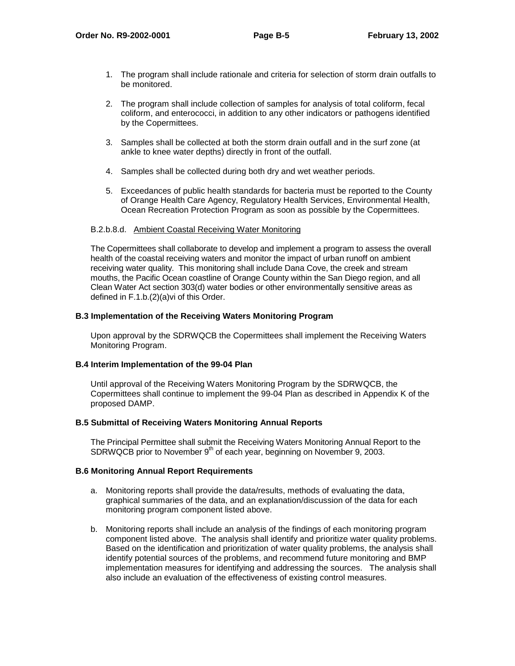- 1. The program shall include rationale and criteria for selection of storm drain outfalls to be monitored.
- 2. The program shall include collection of samples for analysis of total coliform, fecal coliform, and enterococci, in addition to any other indicators or pathogens identified by the Copermittees.
- 3. Samples shall be collected at both the storm drain outfall and in the surf zone (at ankle to knee water depths) directly in front of the outfall.
- 4. Samples shall be collected during both dry and wet weather periods.
- 5. Exceedances of public health standards for bacteria must be reported to the County of Orange Health Care Agency, Regulatory Health Services, Environmental Health, Ocean Recreation Protection Program as soon as possible by the Copermittees.

# B.2.b.8.d. Ambient Coastal Receiving Water Monitoring

The Copermittees shall collaborate to develop and implement a program to assess the overall health of the coastal receiving waters and monitor the impact of urban runoff on ambient receiving water quality. This monitoring shall include Dana Cove, the creek and stream mouths, the Pacific Ocean coastline of Orange County within the San Diego region, and all Clean Water Act section 303(d) water bodies or other environmentally sensitive areas as defined in F.1.b.(2)(a)vi of this Order.

#### **B.3 Implementation of the Receiving Waters Monitoring Program**

Upon approval by the SDRWQCB the Copermittees shall implement the Receiving Waters Monitoring Program.

# **B.4 Interim Implementation of the 99-04 Plan**

Until approval of the Receiving Waters Monitoring Program by the SDRWQCB, the Copermittees shall continue to implement the 99-04 Plan as described in Appendix K of the proposed DAMP.

#### **B.5 Submittal of Receiving Waters Monitoring Annual Reports**

The Principal Permittee shall submit the Receiving Waters Monitoring Annual Report to the SDRWQCB prior to November 9<sup>th</sup> of each year, beginning on November 9, 2003.

# **B.6 Monitoring Annual Report Requirements**

- a. Monitoring reports shall provide the data/results, methods of evaluating the data, graphical summaries of the data, and an explanation/discussion of the data for each monitoring program component listed above.
- b. Monitoring reports shall include an analysis of the findings of each monitoring program component listed above. The analysis shall identify and prioritize water quality problems. Based on the identification and prioritization of water quality problems, the analysis shall identify potential sources of the problems, and recommend future monitoring and BMP implementation measures for identifying and addressing the sources. The analysis shall also include an evaluation of the effectiveness of existing control measures.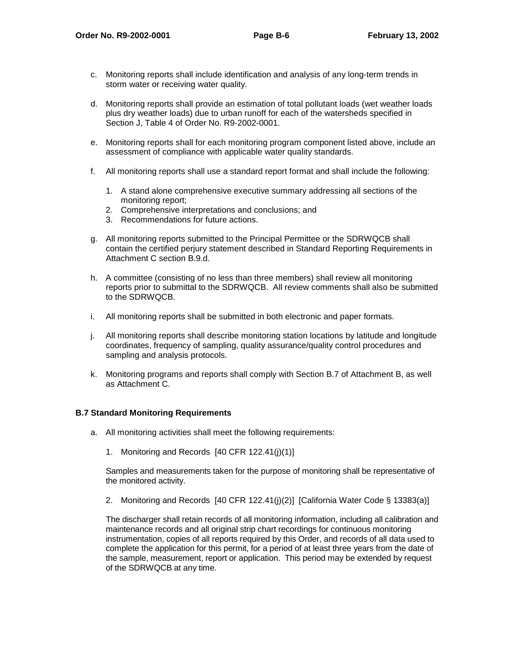- c. Monitoring reports shall include identification and analysis of any long-term trends in storm water or receiving water quality.
- d. Monitoring reports shall provide an estimation of total pollutant loads (wet weather loads plus dry weather loads) due to urban runoff for each of the watersheds specified in Section J, Table 4 of Order No. R9-2002-0001.
- e. Monitoring reports shall for each monitoring program component listed above, include an assessment of compliance with applicable water quality standards.
- f. All monitoring reports shall use a standard report format and shall include the following:
	- 1. A stand alone comprehensive executive summary addressing all sections of the monitoring report;
	- 2. Comprehensive interpretations and conclusions; and
	- 3. Recommendations for future actions.
- g. All monitoring reports submitted to the Principal Permittee or the SDRWQCB shall contain the certified perjury statement described in Standard Reporting Requirements in Attachment C section B.9.d.
- h. A committee (consisting of no less than three members) shall review all monitoring reports prior to submittal to the SDRWQCB. All review comments shall also be submitted to the SDRWQCB.
- i. All monitoring reports shall be submitted in both electronic and paper formats.
- j. All monitoring reports shall describe monitoring station locations by latitude and longitude coordinates, frequency of sampling, quality assurance/quality control procedures and sampling and analysis protocols.
- k. Monitoring programs and reports shall comply with Section B.7 of Attachment B, as well as Attachment C.

# **B.7 Standard Monitoring Requirements**

- a. All monitoring activities shall meet the following requirements:
	- 1. Monitoring and Records [40 CFR 122.41(j)(1)]

Samples and measurements taken for the purpose of monitoring shall be representative of the monitored activity.

2. Monitoring and Records [40 CFR 122.41(j)(2)] [California Water Code § 13383(a)]

The discharger shall retain records of all monitoring information, including all calibration and maintenance records and all original strip chart recordings for continuous monitoring instrumentation, copies of all reports required by this Order, and records of all data used to complete the application for this permit, for a period of at least three years from the date of the sample, measurement, report or application. This period may be extended by request of the SDRWQCB at any time.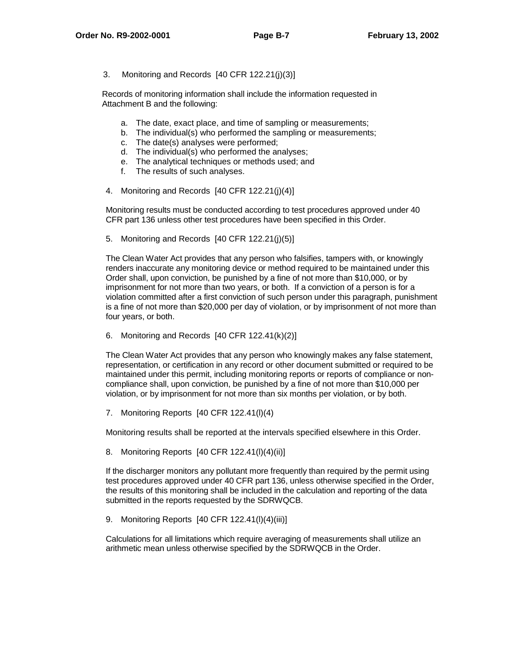3. Monitoring and Records [40 CFR 122.21(j)(3)]

Records of monitoring information shall include the information requested in Attachment B and the following:

- a. The date, exact place, and time of sampling or measurements;
- b. The individual(s) who performed the sampling or measurements;
- c. The date(s) analyses were performed;
- d. The individual(s) who performed the analyses;
- e. The analytical techniques or methods used; and
- f. The results of such analyses.
- 4. Monitoring and Records [40 CFR 122.21(j)(4)]

Monitoring results must be conducted according to test procedures approved under 40 CFR part 136 unless other test procedures have been specified in this Order.

5. Monitoring and Records [40 CFR 122.21(j)(5)]

The Clean Water Act provides that any person who falsifies, tampers with, or knowingly renders inaccurate any monitoring device or method required to be maintained under this Order shall, upon conviction, be punished by a fine of not more than \$10,000, or by imprisonment for not more than two years, or both. If a conviction of a person is for a violation committed after a first conviction of such person under this paragraph, punishment is a fine of not more than \$20,000 per day of violation, or by imprisonment of not more than four years, or both.

6. Monitoring and Records [40 CFR 122.41(k)(2)]

The Clean Water Act provides that any person who knowingly makes any false statement, representation, or certification in any record or other document submitted or required to be maintained under this permit, including monitoring reports or reports of compliance or noncompliance shall, upon conviction, be punished by a fine of not more than \$10,000 per violation, or by imprisonment for not more than six months per violation, or by both.

7. Monitoring Reports [40 CFR 122.41(l)(4)

Monitoring results shall be reported at the intervals specified elsewhere in this Order.

8. Monitoring Reports [40 CFR 122.41(l)(4)(ii)]

If the discharger monitors any pollutant more frequently than required by the permit using test procedures approved under 40 CFR part 136, unless otherwise specified in the Order, the results of this monitoring shall be included in the calculation and reporting of the data submitted in the reports requested by the SDRWQCB.

9. Monitoring Reports [40 CFR 122.41(l)(4)(iii)]

Calculations for all limitations which require averaging of measurements shall utilize an arithmetic mean unless otherwise specified by the SDRWQCB in the Order.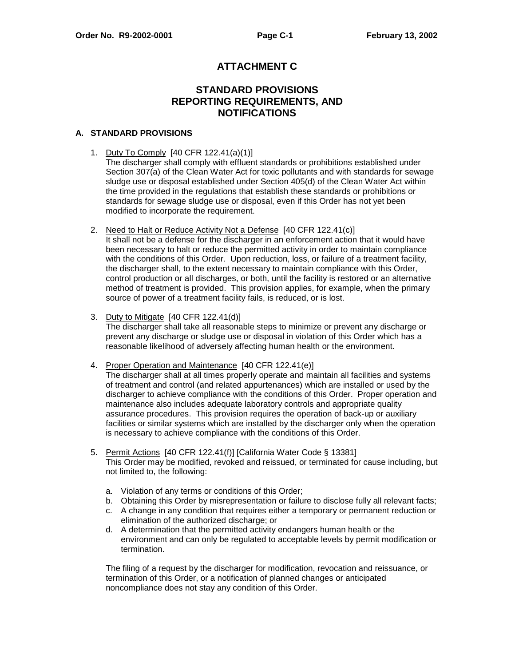# **ATTACHMENT C**

# **STANDARD PROVISIONS REPORTING REQUIREMENTS, AND NOTIFICATIONS**

### **A. STANDARD PROVISIONS**

1. Duty To Comply [40 CFR 122.41(a)(1)]

The discharger shall comply with effluent standards or prohibitions established under Section 307(a) of the Clean Water Act for toxic pollutants and with standards for sewage sludge use or disposal established under Section 405(d) of the Clean Water Act within the time provided in the regulations that establish these standards or prohibitions or standards for sewage sludge use or disposal, even if this Order has not yet been modified to incorporate the requirement.

2. Need to Halt or Reduce Activity Not a Defense [40 CFR 122.41(c)]

It shall not be a defense for the discharger in an enforcement action that it would have been necessary to halt or reduce the permitted activity in order to maintain compliance with the conditions of this Order. Upon reduction, loss, or failure of a treatment facility, the discharger shall, to the extent necessary to maintain compliance with this Order, control production or all discharges, or both, until the facility is restored or an alternative method of treatment is provided. This provision applies, for example, when the primary source of power of a treatment facility fails, is reduced, or is lost.

3. Duty to Mitigate [40 CFR 122.41(d)]

The discharger shall take all reasonable steps to minimize or prevent any discharge or prevent any discharge or sludge use or disposal in violation of this Order which has a reasonable likelihood of adversely affecting human health or the environment.

4. Proper Operation and Maintenance [40 CFR 122.41(e)]

The discharger shall at all times properly operate and maintain all facilities and systems of treatment and control (and related appurtenances) which are installed or used by the discharger to achieve compliance with the conditions of this Order. Proper operation and maintenance also includes adequate laboratory controls and appropriate quality assurance procedures. This provision requires the operation of back-up or auxiliary facilities or similar systems which are installed by the discharger only when the operation is necessary to achieve compliance with the conditions of this Order.

- 5. Permit Actions [40 CFR 122.41(f)] [California Water Code § 13381] This Order may be modified, revoked and reissued, or terminated for cause including, but not limited to, the following:
	- a. Violation of any terms or conditions of this Order;
	- b. Obtaining this Order by misrepresentation or failure to disclose fully all relevant facts;
	- c. A change in any condition that requires either a temporary or permanent reduction or elimination of the authorized discharge; or
	- d. A determination that the permitted activity endangers human health or the environment and can only be regulated to acceptable levels by permit modification or termination.

The filing of a request by the discharger for modification, revocation and reissuance, or termination of this Order, or a notification of planned changes or anticipated noncompliance does not stay any condition of this Order.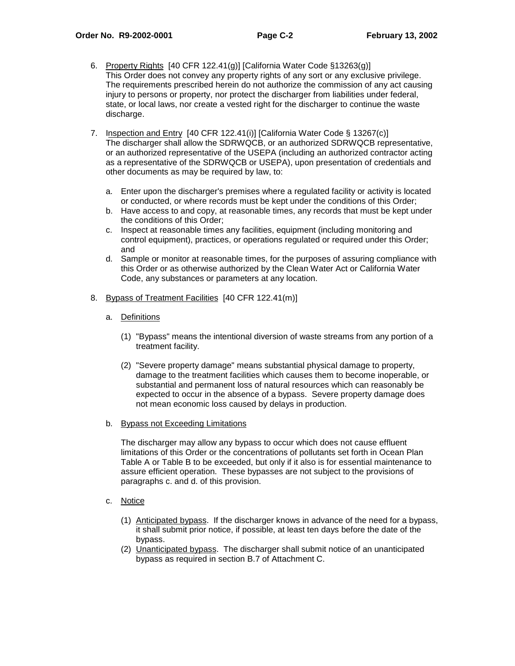- 6. Property Rights [40 CFR 122.41(g)] [California Water Code §13263(g)] This Order does not convey any property rights of any sort or any exclusive privilege. The requirements prescribed herein do not authorize the commission of any act causing injury to persons or property, nor protect the discharger from liabilities under federal, state, or local laws, nor create a vested right for the discharger to continue the waste discharge.
- 7. Inspection and Entry [40 CFR 122.41(i)] [California Water Code § 13267(c)] The discharger shall allow the SDRWQCB, or an authorized SDRWQCB representative, or an authorized representative of the USEPA (including an authorized contractor acting as a representative of the SDRWQCB or USEPA), upon presentation of credentials and other documents as may be required by law, to:
	- a. Enter upon the discharger's premises where a regulated facility or activity is located or conducted, or where records must be kept under the conditions of this Order;
	- b. Have access to and copy, at reasonable times, any records that must be kept under the conditions of this Order;
	- c. Inspect at reasonable times any facilities, equipment (including monitoring and control equipment), practices, or operations regulated or required under this Order; and
	- d. Sample or monitor at reasonable times, for the purposes of assuring compliance with this Order or as otherwise authorized by the Clean Water Act or California Water Code, any substances or parameters at any location.
- 8. Bypass of Treatment Facilities [40 CFR 122.41(m)]
	- a. Definitions
		- (1) "Bypass" means the intentional diversion of waste streams from any portion of a treatment facility.
		- (2) "Severe property damage" means substantial physical damage to property, damage to the treatment facilities which causes them to become inoperable, or substantial and permanent loss of natural resources which can reasonably be expected to occur in the absence of a bypass. Severe property damage does not mean economic loss caused by delays in production.
	- b. Bypass not Exceeding Limitations

The discharger may allow any bypass to occur which does not cause effluent limitations of this Order or the concentrations of pollutants set forth in Ocean Plan Table A or Table B to be exceeded, but only if it also is for essential maintenance to assure efficient operation. These bypasses are not subject to the provisions of paragraphs c. and d. of this provision.

- c. Notice
	- (1) Anticipated bypass. If the discharger knows in advance of the need for a bypass, it shall submit prior notice, if possible, at least ten days before the date of the bypass.
	- (2) Unanticipated bypass. The discharger shall submit notice of an unanticipated bypass as required in section B.7 of Attachment C.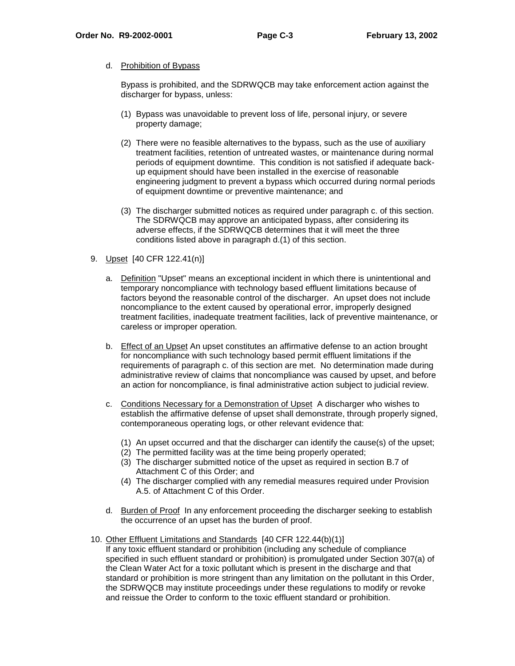#### d. Prohibition of Bypass

Bypass is prohibited, and the SDRWQCB may take enforcement action against the discharger for bypass, unless:

- (1) Bypass was unavoidable to prevent loss of life, personal injury, or severe property damage;
- (2) There were no feasible alternatives to the bypass, such as the use of auxiliary treatment facilities, retention of untreated wastes, or maintenance during normal periods of equipment downtime. This condition is not satisfied if adequate backup equipment should have been installed in the exercise of reasonable engineering judgment to prevent a bypass which occurred during normal periods of equipment downtime or preventive maintenance; and
- (3) The discharger submitted notices as required under paragraph c. of this section. The SDRWQCB may approve an anticipated bypass, after considering its adverse effects, if the SDRWQCB determines that it will meet the three conditions listed above in paragraph d.(1) of this section.
- 9. Upset [40 CFR 122.41(n)]
	- a. Definition "Upset" means an exceptional incident in which there is unintentional and temporary noncompliance with technology based effluent limitations because of factors beyond the reasonable control of the discharger. An upset does not include noncompliance to the extent caused by operational error, improperly designed treatment facilities, inadequate treatment facilities, lack of preventive maintenance, or careless or improper operation.
	- b. Effect of an Upset An upset constitutes an affirmative defense to an action brought for noncompliance with such technology based permit effluent limitations if the requirements of paragraph c. of this section are met. No determination made during administrative review of claims that noncompliance was caused by upset, and before an action for noncompliance, is final administrative action subject to judicial review.
	- c. Conditions Necessary for a Demonstration of Upset A discharger who wishes to establish the affirmative defense of upset shall demonstrate, through properly signed, contemporaneous operating logs, or other relevant evidence that:
		- (1) An upset occurred and that the discharger can identify the cause(s) of the upset;
		- (2) The permitted facility was at the time being properly operated;
		- (3) The discharger submitted notice of the upset as required in section B.7 of Attachment C of this Order; and
		- (4) The discharger complied with any remedial measures required under Provision A.5. of Attachment C of this Order.
	- d. Burden of Proof In any enforcement proceeding the discharger seeking to establish the occurrence of an upset has the burden of proof.
- 10. Other Effluent Limitations and Standards [40 CFR 122.44(b)(1)]

If any toxic effluent standard or prohibition (including any schedule of compliance specified in such effluent standard or prohibition) is promulgated under Section 307(a) of the Clean Water Act for a toxic pollutant which is present in the discharge and that standard or prohibition is more stringent than any limitation on the pollutant in this Order, the SDRWQCB may institute proceedings under these regulations to modify or revoke and reissue the Order to conform to the toxic effluent standard or prohibition.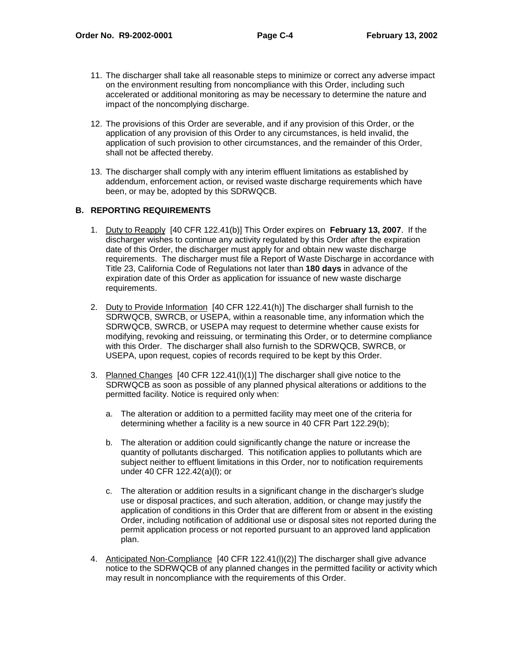- 11. The discharger shall take all reasonable steps to minimize or correct any adverse impact on the environment resulting from noncompliance with this Order, including such accelerated or additional monitoring as may be necessary to determine the nature and impact of the noncomplying discharge.
- 12. The provisions of this Order are severable, and if any provision of this Order, or the application of any provision of this Order to any circumstances, is held invalid, the application of such provision to other circumstances, and the remainder of this Order, shall not be affected thereby.
- 13. The discharger shall comply with any interim effluent limitations as established by addendum, enforcement action, or revised waste discharge requirements which have been, or may be, adopted by this SDRWQCB.

# **B. REPORTING REQUIREMENTS**

- 1. Duty to Reapply [40 CFR 122.41(b)] This Order expires on **February 13, 2007**. If the discharger wishes to continue any activity regulated by this Order after the expiration date of this Order, the discharger must apply for and obtain new waste discharge requirements. The discharger must file a Report of Waste Discharge in accordance with Title 23, California Code of Regulations not later than **180 days** in advance of the expiration date of this Order as application for issuance of new waste discharge requirements.
- 2. Duty to Provide Information [40 CFR 122.41(h)] The discharger shall furnish to the SDRWQCB, SWRCB, or USEPA, within a reasonable time, any information which the SDRWQCB, SWRCB, or USEPA may request to determine whether cause exists for modifying, revoking and reissuing, or terminating this Order, or to determine compliance with this Order. The discharger shall also furnish to the SDRWQCB, SWRCB, or USEPA, upon request, copies of records required to be kept by this Order.
- 3. Planned Changes [40 CFR 122.41(l)(1)] The discharger shall give notice to the SDRWQCB as soon as possible of any planned physical alterations or additions to the permitted facility. Notice is required only when:
	- a. The alteration or addition to a permitted facility may meet one of the criteria for determining whether a facility is a new source in 40 CFR Part 122.29(b);
	- b. The alteration or addition could significantly change the nature or increase the quantity of pollutants discharged. This notification applies to pollutants which are subject neither to effluent limitations in this Order, nor to notification requirements under 40 CFR 122.42(a)(l); or
	- c. The alteration or addition results in a significant change in the discharger's sludge use or disposal practices, and such alteration, addition, or change may justify the application of conditions in this Order that are different from or absent in the existing Order, including notification of additional use or disposal sites not reported during the permit application process or not reported pursuant to an approved land application plan.
- 4. Anticipated Non-Compliance [40 CFR 122.41(l)(2)] The discharger shall give advance notice to the SDRWQCB of any planned changes in the permitted facility or activity which may result in noncompliance with the requirements of this Order.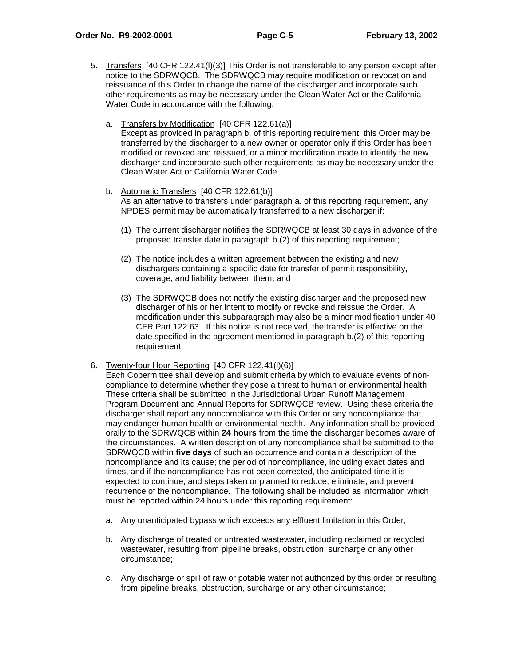- 5. Transfers [40 CFR 122.41(l)(3)] This Order is not transferable to any person except after notice to the SDRWQCB. The SDRWQCB may require modification or revocation and reissuance of this Order to change the name of the discharger and incorporate such other requirements as may be necessary under the Clean Water Act or the California Water Code in accordance with the following:
	- a. Transfers by Modification [40 CFR 122.61(a)] Except as provided in paragraph b. of this reporting requirement, this Order may be transferred by the discharger to a new owner or operator only if this Order has been modified or revoked and reissued, or a minor modification made to identify the new discharger and incorporate such other requirements as may be necessary under the Clean Water Act or California Water Code.
	- b. Automatic Transfers [40 CFR 122.61(b)] As an alternative to transfers under paragraph a. of this reporting requirement, any NPDES permit may be automatically transferred to a new discharger if:
		- (1) The current discharger notifies the SDRWQCB at least 30 days in advance of the proposed transfer date in paragraph b.(2) of this reporting requirement;
		- (2) The notice includes a written agreement between the existing and new dischargers containing a specific date for transfer of permit responsibility, coverage, and liability between them; and
		- (3) The SDRWQCB does not notify the existing discharger and the proposed new discharger of his or her intent to modify or revoke and reissue the Order. A modification under this subparagraph may also be a minor modification under 40 CFR Part 122.63. If this notice is not received, the transfer is effective on the date specified in the agreement mentioned in paragraph b.(2) of this reporting requirement.
- 6. Twenty-four Hour Reporting [40 CFR 122.41(l)(6)]

Each Copermittee shall develop and submit criteria by which to evaluate events of noncompliance to determine whether they pose a threat to human or environmental health. These criteria shall be submitted in the Jurisdictional Urban Runoff Management Program Document and Annual Reports for SDRWQCB review. Using these criteria the discharger shall report any noncompliance with this Order or any noncompliance that may endanger human health or environmental health. Any information shall be provided orally to the SDRWQCB within **24 hours** from the time the discharger becomes aware of the circumstances. A written description of any noncompliance shall be submitted to the SDRWQCB within **five days** of such an occurrence and contain a description of the noncompliance and its cause; the period of noncompliance, including exact dates and times, and if the noncompliance has not been corrected, the anticipated time it is expected to continue; and steps taken or planned to reduce, eliminate, and prevent recurrence of the noncompliance. The following shall be included as information which must be reported within 24 hours under this reporting requirement:

- a. Any unanticipated bypass which exceeds any effluent limitation in this Order;
- b. Any discharge of treated or untreated wastewater, including reclaimed or recycled wastewater, resulting from pipeline breaks, obstruction, surcharge or any other circumstance;
- c. Any discharge or spill of raw or potable water not authorized by this order or resulting from pipeline breaks, obstruction, surcharge or any other circumstance;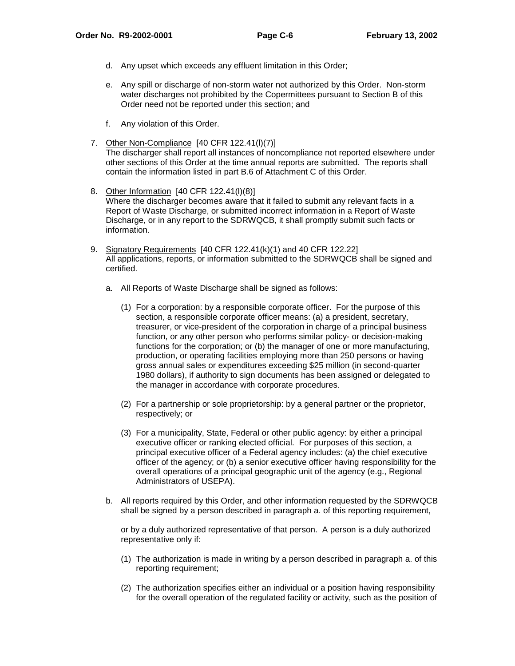- d. Any upset which exceeds any effluent limitation in this Order;
- e. Any spill or discharge of non-storm water not authorized by this Order. Non-storm water discharges not prohibited by the Copermittees pursuant to Section B of this Order need not be reported under this section; and
- f. Any violation of this Order.
- 7. Other Non-Compliance [40 CFR 122.41(l)(7)]

The discharger shall report all instances of noncompliance not reported elsewhere under other sections of this Order at the time annual reports are submitted. The reports shall contain the information listed in part B.6 of Attachment C of this Order.

- 8. Other Information [40 CFR 122.41(l)(8)] Where the discharger becomes aware that it failed to submit any relevant facts in a Report of Waste Discharge, or submitted incorrect information in a Report of Waste Discharge, or in any report to the SDRWQCB, it shall promptly submit such facts or information.
- 9. Signatory Requirements [40 CFR 122.41(k)(1) and 40 CFR 122.22] All applications, reports, or information submitted to the SDRWQCB shall be signed and certified.
	- a. All Reports of Waste Discharge shall be signed as follows:
		- (1) For a corporation: by a responsible corporate officer. For the purpose of this section, a responsible corporate officer means: (a) a president, secretary, treasurer, or vice-president of the corporation in charge of a principal business function, or any other person who performs similar policy- or decision-making functions for the corporation; or (b) the manager of one or more manufacturing, production, or operating facilities employing more than 250 persons or having gross annual sales or expenditures exceeding \$25 million (in second-quarter 1980 dollars), if authority to sign documents has been assigned or delegated to the manager in accordance with corporate procedures.
		- (2) For a partnership or sole proprietorship: by a general partner or the proprietor, respectively; or
		- (3) For a municipality, State, Federal or other public agency: by either a principal executive officer or ranking elected official. For purposes of this section, a principal executive officer of a Federal agency includes: (a) the chief executive officer of the agency; or (b) a senior executive officer having responsibility for the overall operations of a principal geographic unit of the agency (e.g., Regional Administrators of USEPA).
	- b. All reports required by this Order, and other information requested by the SDRWQCB shall be signed by a person described in paragraph a. of this reporting requirement,

or by a duly authorized representative of that person. A person is a duly authorized representative only if:

- (1) The authorization is made in writing by a person described in paragraph a. of this reporting requirement;
- (2) The authorization specifies either an individual or a position having responsibility for the overall operation of the regulated facility or activity, such as the position of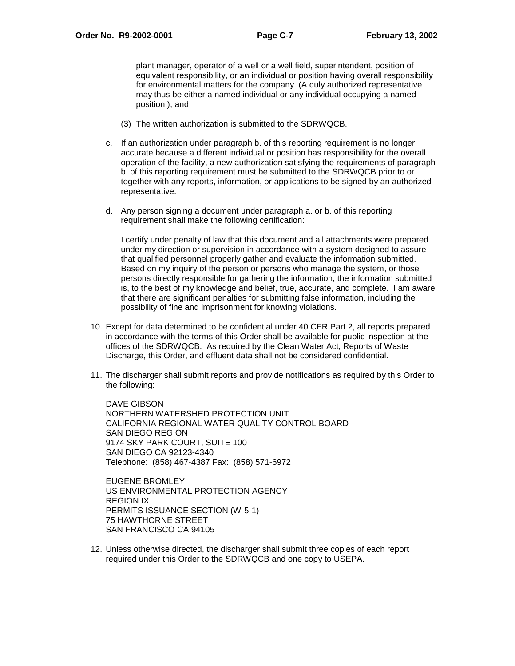plant manager, operator of a well or a well field, superintendent, position of equivalent responsibility, or an individual or position having overall responsibility for environmental matters for the company. (A duly authorized representative may thus be either a named individual or any individual occupying a named position.); and,

- (3) The written authorization is submitted to the SDRWQCB.
- c. If an authorization under paragraph b. of this reporting requirement is no longer accurate because a different individual or position has responsibility for the overall operation of the facility, a new authorization satisfying the requirements of paragraph b. of this reporting requirement must be submitted to the SDRWQCB prior to or together with any reports, information, or applications to be signed by an authorized representative.
- d. Any person signing a document under paragraph a. or b. of this reporting requirement shall make the following certification:

I certify under penalty of law that this document and all attachments were prepared under my direction or supervision in accordance with a system designed to assure that qualified personnel properly gather and evaluate the information submitted. Based on my inquiry of the person or persons who manage the system, or those persons directly responsible for gathering the information, the information submitted is, to the best of my knowledge and belief, true, accurate, and complete. I am aware that there are significant penalties for submitting false information, including the possibility of fine and imprisonment for knowing violations.

- 10. Except for data determined to be confidential under 40 CFR Part 2, all reports prepared in accordance with the terms of this Order shall be available for public inspection at the offices of the SDRWQCB. As required by the Clean Water Act, Reports of Waste Discharge, this Order, and effluent data shall not be considered confidential.
- 11. The discharger shall submit reports and provide notifications as required by this Order to the following:

DAVE GIBSON NORTHERN WATERSHED PROTECTION UNIT CALIFORNIA REGIONAL WATER QUALITY CONTROL BOARD SAN DIEGO REGION 9174 SKY PARK COURT, SUITE 100 SAN DIEGO CA 92123-4340 Telephone: (858) 467-4387 Fax: (858) 571-6972

EUGENE BROMLEY US ENVIRONMENTAL PROTECTION AGENCY REGION IX PERMITS ISSUANCE SECTION (W-5-1) 75 HAWTHORNE STREET SAN FRANCISCO CA 94105

12. Unless otherwise directed, the discharger shall submit three copies of each report required under this Order to the SDRWQCB and one copy to USEPA.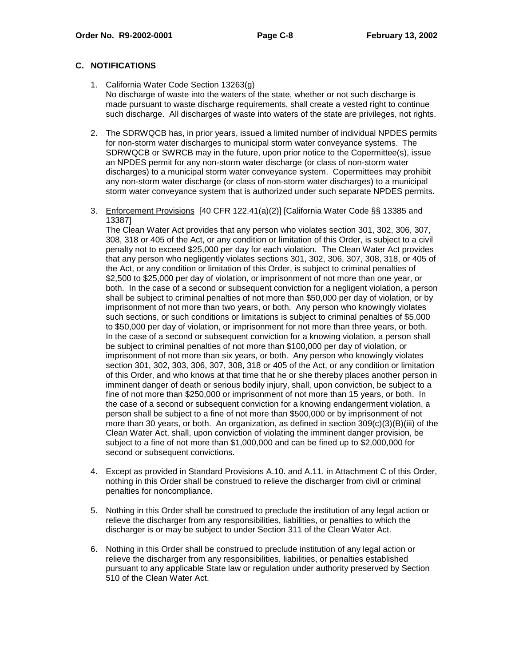# **C. NOTIFICATIONS**

- 1. California Water Code Section 13263(g) No discharge of waste into the waters of the state, whether or not such discharge is made pursuant to waste discharge requirements, shall create a vested right to continue such discharge. All discharges of waste into waters of the state are privileges, not rights.
- 2. The SDRWQCB has, in prior years, issued a limited number of individual NPDES permits for non-storm water discharges to municipal storm water conveyance systems. The SDRWQCB or SWRCB may in the future, upon prior notice to the Copermittee(s), issue an NPDES permit for any non-storm water discharge (or class of non-storm water discharges) to a municipal storm water conveyance system. Copermittees may prohibit any non-storm water discharge (or class of non-storm water discharges) to a municipal storm water conveyance system that is authorized under such separate NPDES permits.
- 3. Enforcement Provisions [40 CFR 122.41(a)(2)] [California Water Code §§ 13385 and 13387]

The Clean Water Act provides that any person who violates section 301, 302, 306, 307, 308, 318 or 405 of the Act, or any condition or limitation of this Order, is subject to a civil penalty not to exceed \$25,000 per day for each violation. The Clean Water Act provides that any person who negligently violates sections 301, 302, 306, 307, 308, 318, or 405 of the Act, or any condition or limitation of this Order, is subject to criminal penalties of \$2,500 to \$25,000 per day of violation, or imprisonment of not more than one year, or both. In the case of a second or subsequent conviction for a negligent violation, a person shall be subject to criminal penalties of not more than \$50,000 per day of violation, or by imprisonment of not more than two years, or both. Any person who knowingly violates such sections, or such conditions or limitations is subject to criminal penalties of \$5,000 to \$50,000 per day of violation, or imprisonment for not more than three years, or both. In the case of a second or subsequent conviction for a knowing violation, a person shall be subject to criminal penalties of not more than \$100,000 per day of violation, or imprisonment of not more than six years, or both. Any person who knowingly violates section 301, 302, 303, 306, 307, 308, 318 or 405 of the Act, or any condition or limitation of this Order, and who knows at that time that he or she thereby places another person in imminent danger of death or serious bodily injury, shall, upon conviction, be subject to a fine of not more than \$250,000 or imprisonment of not more than 15 years, or both. In the case of a second or subsequent conviction for a knowing endangerment violation, a person shall be subject to a fine of not more than \$500,000 or by imprisonment of not more than 30 years, or both. An organization, as defined in section  $309(c)(3)(B)(iii)$  of the Clean Water Act, shall, upon conviction of violating the imminent danger provision, be subject to a fine of not more than \$1,000,000 and can be fined up to \$2,000,000 for second or subsequent convictions.

- 4. Except as provided in Standard Provisions A.10. and A.11. in Attachment C of this Order, nothing in this Order shall be construed to relieve the discharger from civil or criminal penalties for noncompliance.
- 5. Nothing in this Order shall be construed to preclude the institution of any legal action or relieve the discharger from any responsibilities, liabilities, or penalties to which the discharger is or may be subject to under Section 311 of the Clean Water Act.
- 6. Nothing in this Order shall be construed to preclude institution of any legal action or relieve the discharger from any responsibilities, liabilities, or penalties established pursuant to any applicable State law or regulation under authority preserved by Section 510 of the Clean Water Act.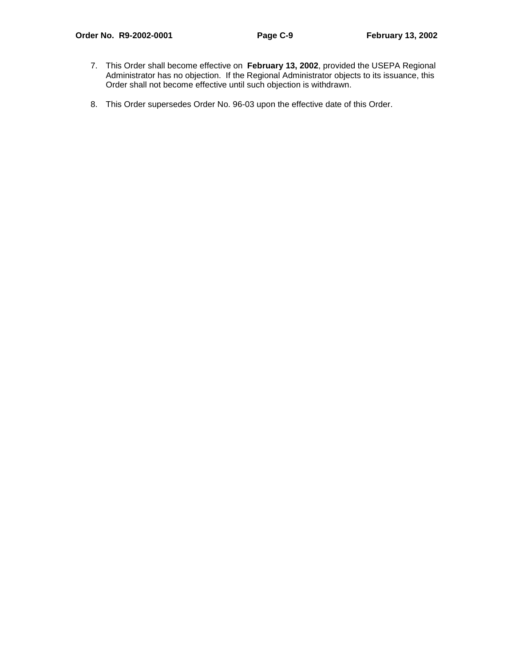- 7. This Order shall become effective on **February 13, 2002**, provided the USEPA Regional Administrator has no objection. If the Regional Administrator objects to its issuance, this Order shall not become effective until such objection is withdrawn.
- 8. This Order supersedes Order No. 96-03 upon the effective date of this Order.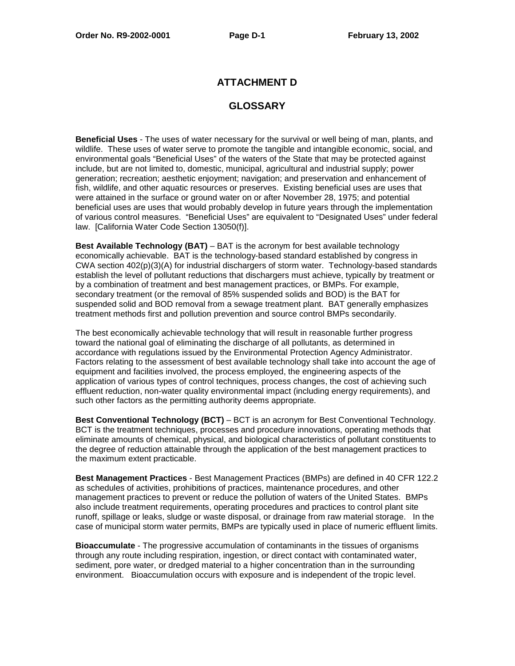# **ATTACHMENT D**

# **GLOSSARY**

**Beneficial Uses** - The uses of water necessary for the survival or well being of man, plants, and wildlife. These uses of water serve to promote the tangible and intangible economic, social, and environmental goals "Beneficial Uses" of the waters of the State that may be protected against include, but are not limited to, domestic, municipal, agricultural and industrial supply; power generation; recreation; aesthetic enjoyment; navigation; and preservation and enhancement of fish, wildlife, and other aquatic resources or preserves. Existing beneficial uses are uses that were attained in the surface or ground water on or after November 28, 1975; and potential beneficial uses are uses that would probably develop in future years through the implementation of various control measures. "Beneficial Uses" are equivalent to "Designated Uses" under federal law. [California Water Code Section 13050(f)].

**Best Available Technology (BAT)** – BAT is the acronym for best available technology economically achievable. BAT is the technology-based standard established by congress in CWA section 402(p)(3)(A) for industrial dischargers of storm water. Technology-based standards establish the level of pollutant reductions that dischargers must achieve, typically by treatment or by a combination of treatment and best management practices, or BMPs. For example, secondary treatment (or the removal of 85% suspended solids and BOD) is the BAT for suspended solid and BOD removal from a sewage treatment plant. BAT generally emphasizes treatment methods first and pollution prevention and source control BMPs secondarily.

The best economically achievable technology that will result in reasonable further progress toward the national goal of eliminating the discharge of all pollutants, as determined in accordance with regulations issued by the Environmental Protection Agency Administrator. Factors relating to the assessment of best available technology shall take into account the age of equipment and facilities involved, the process employed, the engineering aspects of the application of various types of control techniques, process changes, the cost of achieving such effluent reduction, non-water quality environmental impact (including energy requirements), and such other factors as the permitting authority deems appropriate.

**Best Conventional Technology (BCT)** – BCT is an acronym for Best Conventional Technology. BCT is the treatment techniques, processes and procedure innovations, operating methods that eliminate amounts of chemical, physical, and biological characteristics of pollutant constituents to the degree of reduction attainable through the application of the best management practices to the maximum extent practicable.

**Best Management Practices** - Best Management Practices (BMPs) are defined in 40 CFR 122.2 as schedules of activities, prohibitions of practices, maintenance procedures, and other management practices to prevent or reduce the pollution of waters of the United States. BMPs also include treatment requirements, operating procedures and practices to control plant site runoff, spillage or leaks, sludge or waste disposal, or drainage from raw material storage. In the case of municipal storm water permits, BMPs are typically used in place of numeric effluent limits.

**Bioaccumulate** - The progressive accumulation of contaminants in the tissues of organisms through any route including respiration, ingestion, or direct contact with contaminated water, sediment, pore water, or dredged material to a higher concentration than in the surrounding environment. Bioaccumulation occurs with exposure and is independent of the tropic level.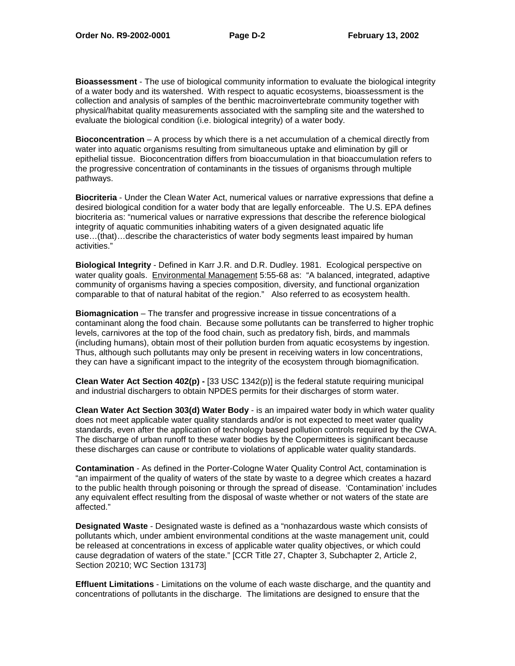**Bioassessment** - The use of biological community information to evaluate the biological integrity of a water body and its watershed. With respect to aquatic ecosystems, bioassessment is the collection and analysis of samples of the benthic macroinvertebrate community together with physical/habitat quality measurements associated with the sampling site and the watershed to evaluate the biological condition (i.e. biological integrity) of a water body.

**Bioconcentration** – A process by which there is a net accumulation of a chemical directly from water into aquatic organisms resulting from simultaneous uptake and elimination by gill or epithelial tissue. Bioconcentration differs from bioaccumulation in that bioaccumulation refers to the progressive concentration of contaminants in the tissues of organisms through multiple pathways.

**Biocriteria** - Under the Clean Water Act, numerical values or narrative expressions that define a desired biological condition for a water body that are legally enforceable. The U.S. EPA defines biocriteria as: "numerical values or narrative expressions that describe the reference biological integrity of aquatic communities inhabiting waters of a given designated aquatic life use…(that)…describe the characteristics of water body segments least impaired by human activities."

**Biological Integrity** - Defined in Karr J.R. and D.R. Dudley. 1981. Ecological perspective on water quality goals. Environmental Management 5:55-68 as: "A balanced, integrated, adaptive community of organisms having a species composition, diversity, and functional organization comparable to that of natural habitat of the region." Also referred to as ecosystem health.

**Biomagnication** – The transfer and progressive increase in tissue concentrations of a contaminant along the food chain. Because some pollutants can be transferred to higher trophic levels, carnivores at the top of the food chain, such as predatory fish, birds, and mammals (including humans), obtain most of their pollution burden from aquatic ecosystems by ingestion. Thus, although such pollutants may only be present in receiving waters in low concentrations, they can have a significant impact to the integrity of the ecosystem through biomagnification.

**Clean Water Act Section 402(p) -** [33 USC 1342(p)] is the federal statute requiring municipal and industrial dischargers to obtain NPDES permits for their discharges of storm water.

**Clean Water Act Section 303(d) Water Body** - is an impaired water body in which water quality does not meet applicable water quality standards and/or is not expected to meet water quality standards, even after the application of technology based pollution controls required by the CWA. The discharge of urban runoff to these water bodies by the Copermittees is significant because these discharges can cause or contribute to violations of applicable water quality standards.

**Contamination** - As defined in the Porter-Cologne Water Quality Control Act, contamination is "an impairment of the quality of waters of the state by waste to a degree which creates a hazard to the public health through poisoning or through the spread of disease. 'Contamination' includes any equivalent effect resulting from the disposal of waste whether or not waters of the state are affected."

**Designated Waste** - Designated waste is defined as a "nonhazardous waste which consists of pollutants which, under ambient environmental conditions at the waste management unit, could be released at concentrations in excess of applicable water quality objectives, or which could cause degradation of waters of the state." [CCR Title 27, Chapter 3, Subchapter 2, Article 2, Section 20210; WC Section 13173]

**Effluent Limitations** - Limitations on the volume of each waste discharge, and the quantity and concentrations of pollutants in the discharge. The limitations are designed to ensure that the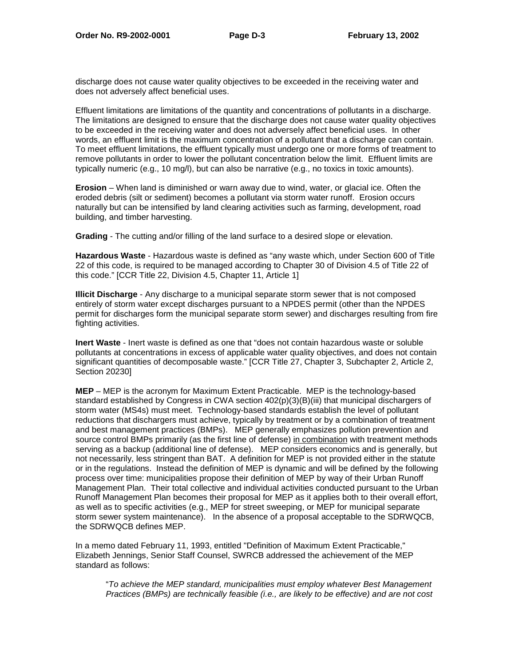discharge does not cause water quality objectives to be exceeded in the receiving water and does not adversely affect beneficial uses.

Effluent limitations are limitations of the quantity and concentrations of pollutants in a discharge. The limitations are designed to ensure that the discharge does not cause water quality objectives to be exceeded in the receiving water and does not adversely affect beneficial uses. In other words, an effluent limit is the maximum concentration of a pollutant that a discharge can contain. To meet effluent limitations, the effluent typically must undergo one or more forms of treatment to remove pollutants in order to lower the pollutant concentration below the limit. Effluent limits are typically numeric (e.g., 10 mg/l), but can also be narrative (e.g., no toxics in toxic amounts).

**Erosion** – When land is diminished or warn away due to wind, water, or glacial ice. Often the eroded debris (silt or sediment) becomes a pollutant via storm water runoff. Erosion occurs naturally but can be intensified by land clearing activities such as farming, development, road building, and timber harvesting.

**Grading** - The cutting and/or filling of the land surface to a desired slope or elevation.

**Hazardous Waste** - Hazardous waste is defined as "any waste which, under Section 600 of Title 22 of this code, is required to be managed according to Chapter 30 of Division 4.5 of Title 22 of this code." [CCR Title 22, Division 4.5, Chapter 11, Article 1]

**Illicit Discharge** - Any discharge to a municipal separate storm sewer that is not composed entirely of storm water except discharges pursuant to a NPDES permit (other than the NPDES permit for discharges form the municipal separate storm sewer) and discharges resulting from fire fighting activities.

**Inert Waste** - Inert waste is defined as one that "does not contain hazardous waste or soluble pollutants at concentrations in excess of applicable water quality objectives, and does not contain significant quantities of decomposable waste." [CCR Title 27, Chapter 3, Subchapter 2, Article 2, Section 20230]

**MEP** – MEP is the acronym for Maximum Extent Practicable. MEP is the technology-based standard established by Congress in CWA section 402(p)(3)(B)(iii) that municipal dischargers of storm water (MS4s) must meet. Technology-based standards establish the level of pollutant reductions that dischargers must achieve, typically by treatment or by a combination of treatment and best management practices (BMPs). MEP generally emphasizes pollution prevention and source control BMPs primarily (as the first line of defense) in combination with treatment methods serving as a backup (additional line of defense). MEP considers economics and is generally, but not necessarily, less stringent than BAT. A definition for MEP is not provided either in the statute or in the regulations. Instead the definition of MEP is dynamic and will be defined by the following process over time: municipalities propose their definition of MEP by way of their Urban Runoff Management Plan. Their total collective and individual activities conducted pursuant to the Urban Runoff Management Plan becomes their proposal for MEP as it applies both to their overall effort, as well as to specific activities (e.g., MEP for street sweeping, or MEP for municipal separate storm sewer system maintenance). In the absence of a proposal acceptable to the SDRWQCB, the SDRWQCB defines MEP.

In a memo dated February 11, 1993, entitled "Definition of Maximum Extent Practicable," Elizabeth Jennings, Senior Staff Counsel, SWRCB addressed the achievement of the MEP standard as follows:

"To achieve the MEP standard, municipalities must employ whatever Best Management Practices (BMPs) are technically feasible (i.e., are likely to be effective) and are not cost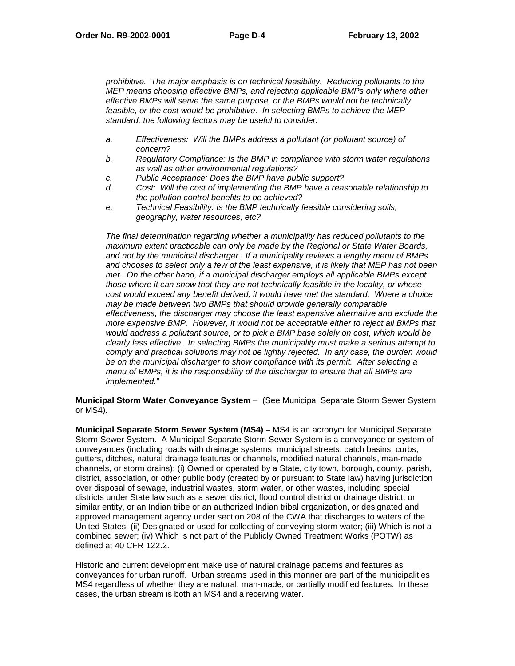prohibitive. The major emphasis is on technical feasibility. Reducing pollutants to the MEP means choosing effective BMPs, and rejecting applicable BMPs only where other effective BMPs will serve the same purpose, or the BMPs would not be technically feasible, or the cost would be prohibitive. In selecting BMPs to achieve the MEP standard, the following factors may be useful to consider:

- a. Effectiveness: Will the BMPs address a pollutant (or pollutant source) of concern?
- b. Regulatory Compliance: Is the BMP in compliance with storm water regulations as well as other environmental regulations?
- c. Public Acceptance: Does the BMP have public support?
- d. Cost: Will the cost of implementing the BMP have a reasonable relationship to the pollution control benefits to be achieved?
- e. Technical Feasibility: Is the BMP technically feasible considering soils, geography, water resources, etc?

The final determination regarding whether a municipality has reduced pollutants to the maximum extent practicable can only be made by the Regional or State Water Boards, and not by the municipal discharger. If a municipality reviews a lengthy menu of BMPs and chooses to select only a few of the least expensive, it is likely that MEP has not been met. On the other hand, if a municipal discharger employs all applicable BMPs except those where it can show that they are not technically feasible in the locality, or whose cost would exceed any benefit derived, it would have met the standard. Where a choice may be made between two BMPs that should provide generally comparable effectiveness, the discharger may choose the least expensive alternative and exclude the more expensive BMP. However, it would not be acceptable either to reject all BMPs that would address a pollutant source, or to pick a BMP base solely on cost, which would be clearly less effective. In selecting BMPs the municipality must make a serious attempt to comply and practical solutions may not be lightly rejected. In any case, the burden would be on the municipal discharger to show compliance with its permit. After selecting a menu of BMPs, it is the responsibility of the discharger to ensure that all BMPs are implemented."

**Municipal Storm Water Conveyance System** – (See Municipal Separate Storm Sewer System or MS4).

**Municipal Separate Storm Sewer System (MS4) –** MS4 is an acronym for Municipal Separate Storm Sewer System. A Municipal Separate Storm Sewer System is a conveyance or system of conveyances (including roads with drainage systems, municipal streets, catch basins, curbs, gutters, ditches, natural drainage features or channels, modified natural channels, man-made channels, or storm drains): (i) Owned or operated by a State, city town, borough, county, parish, district, association, or other public body (created by or pursuant to State law) having jurisdiction over disposal of sewage, industrial wastes, storm water, or other wastes, including special districts under State law such as a sewer district, flood control district or drainage district, or similar entity, or an Indian tribe or an authorized Indian tribal organization, or designated and approved management agency under section 208 of the CWA that discharges to waters of the United States; (ii) Designated or used for collecting of conveying storm water; (iii) Which is not a combined sewer; (iv) Which is not part of the Publicly Owned Treatment Works (POTW) as defined at 40 CFR 122.2.

Historic and current development make use of natural drainage patterns and features as conveyances for urban runoff. Urban streams used in this manner are part of the municipalities MS4 regardless of whether they are natural, man-made, or partially modified features. In these cases, the urban stream is both an MS4 and a receiving water.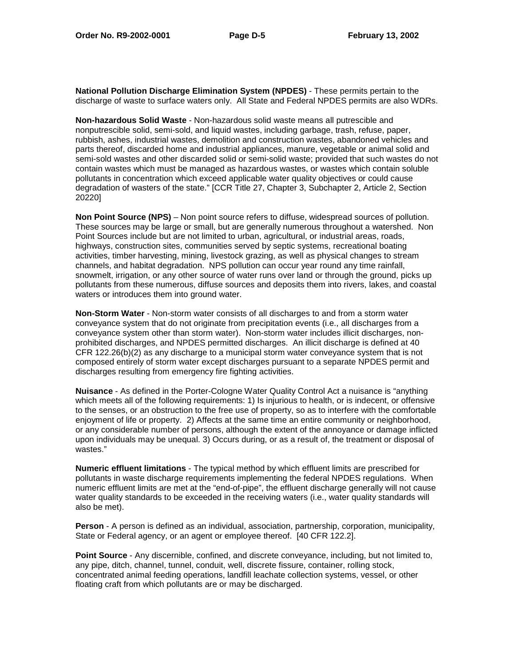**National Pollution Discharge Elimination System (NPDES)** - These permits pertain to the discharge of waste to surface waters only. All State and Federal NPDES permits are also WDRs.

**Non-hazardous Solid Waste** - Non-hazardous solid waste means all putrescible and nonputrescible solid, semi-sold, and liquid wastes, including garbage, trash, refuse, paper, rubbish, ashes, industrial wastes, demolition and construction wastes, abandoned vehicles and parts thereof, discarded home and industrial appliances, manure, vegetable or animal solid and semi-sold wastes and other discarded solid or semi-solid waste; provided that such wastes do not contain wastes which must be managed as hazardous wastes, or wastes which contain soluble pollutants in concentration which exceed applicable water quality objectives or could cause degradation of wasters of the state." [CCR Title 27, Chapter 3, Subchapter 2, Article 2, Section 20220]

**Non Point Source (NPS)** – Non point source refers to diffuse, widespread sources of pollution. These sources may be large or small, but are generally numerous throughout a watershed. Non Point Sources include but are not limited to urban, agricultural, or industrial areas, roads, highways, construction sites, communities served by septic systems, recreational boating activities, timber harvesting, mining, livestock grazing, as well as physical changes to stream channels, and habitat degradation. NPS pollution can occur year round any time rainfall, snowmelt, irrigation, or any other source of water runs over land or through the ground, picks up pollutants from these numerous, diffuse sources and deposits them into rivers, lakes, and coastal waters or introduces them into ground water.

**Non-Storm Water** - Non-storm water consists of all discharges to and from a storm water conveyance system that do not originate from precipitation events (i.e., all discharges from a conveyance system other than storm water). Non-storm water includes illicit discharges, nonprohibited discharges, and NPDES permitted discharges. An illicit discharge is defined at 40 CFR 122.26(b)(2) as any discharge to a municipal storm water conveyance system that is not composed entirely of storm water except discharges pursuant to a separate NPDES permit and discharges resulting from emergency fire fighting activities.

**Nuisance** - As defined in the Porter-Cologne Water Quality Control Act a nuisance is "anything which meets all of the following requirements: 1) Is injurious to health, or is indecent, or offensive to the senses, or an obstruction to the free use of property, so as to interfere with the comfortable enjoyment of life or property. 2) Affects at the same time an entire community or neighborhood, or any considerable number of persons, although the extent of the annoyance or damage inflicted upon individuals may be unequal. 3) Occurs during, or as a result of, the treatment or disposal of wastes."

**Numeric effluent limitations** - The typical method by which effluent limits are prescribed for pollutants in waste discharge requirements implementing the federal NPDES regulations. When numeric effluent limits are met at the "end-of-pipe", the effluent discharge generally will not cause water quality standards to be exceeded in the receiving waters (i.e., water quality standards will also be met).

**Person** - A person is defined as an individual, association, partnership, corporation, municipality, State or Federal agency, or an agent or employee thereof. [40 CFR 122.2].

**Point Source** - Any discernible, confined, and discrete conveyance, including, but not limited to, any pipe, ditch, channel, tunnel, conduit, well, discrete fissure, container, rolling stock, concentrated animal feeding operations, landfill leachate collection systems, vessel, or other floating craft from which pollutants are or may be discharged.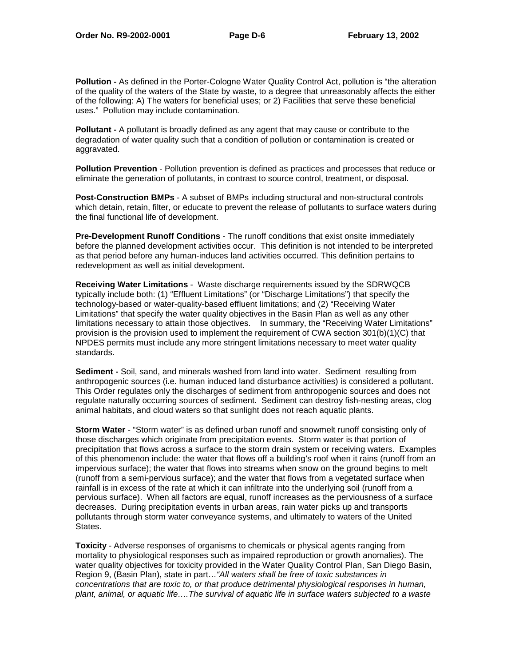**Pollution -** As defined in the Porter-Cologne Water Quality Control Act, pollution is "the alteration of the quality of the waters of the State by waste, to a degree that unreasonably affects the either of the following: A) The waters for beneficial uses; or 2) Facilities that serve these beneficial uses." Pollution may include contamination.

**Pollutant -** A pollutant is broadly defined as any agent that may cause or contribute to the degradation of water quality such that a condition of pollution or contamination is created or aggravated.

**Pollution Prevention** - Pollution prevention is defined as practices and processes that reduce or eliminate the generation of pollutants, in contrast to source control, treatment, or disposal.

**Post-Construction BMPs** - A subset of BMPs including structural and non-structural controls which detain, retain, filter, or educate to prevent the release of pollutants to surface waters during the final functional life of development.

**Pre-Development Runoff Conditions** - The runoff conditions that exist onsite immediately before the planned development activities occur. This definition is not intended to be interpreted as that period before any human-induces land activities occurred. This definition pertains to redevelopment as well as initial development.

**Receiving Water Limitations** - Waste discharge requirements issued by the SDRWQCB typically include both: (1) "Effluent Limitations" (or "Discharge Limitations") that specify the technology-based or water-quality-based effluent limitations; and (2) "Receiving Water Limitations" that specify the water quality objectives in the Basin Plan as well as any other limitations necessary to attain those objectives. In summary, the "Receiving Water Limitations" provision is the provision used to implement the requirement of CWA section 301(b)(1)(C) that NPDES permits must include any more stringent limitations necessary to meet water quality standards.

**Sediment -** Soil, sand, and minerals washed from land into water. Sediment resulting from anthropogenic sources (i.e. human induced land disturbance activities) is considered a pollutant. This Order regulates only the discharges of sediment from anthropogenic sources and does not regulate naturally occurring sources of sediment. Sediment can destroy fish-nesting areas, clog animal habitats, and cloud waters so that sunlight does not reach aquatic plants.

**Storm Water** - "Storm water" is as defined urban runoff and snowmelt runoff consisting only of those discharges which originate from precipitation events. Storm water is that portion of precipitation that flows across a surface to the storm drain system or receiving waters. Examples of this phenomenon include: the water that flows off a building's roof when it rains (runoff from an impervious surface); the water that flows into streams when snow on the ground begins to melt (runoff from a semi-pervious surface); and the water that flows from a vegetated surface when rainfall is in excess of the rate at which it can infiltrate into the underlying soil (runoff from a pervious surface). When all factors are equal, runoff increases as the perviousness of a surface decreases. During precipitation events in urban areas, rain water picks up and transports pollutants through storm water conveyance systems, and ultimately to waters of the United States.

**Toxicity** - Adverse responses of organisms to chemicals or physical agents ranging from mortality to physiological responses such as impaired reproduction or growth anomalies). The water quality objectives for toxicity provided in the Water Quality Control Plan, San Diego Basin, Region 9, (Basin Plan), state in part…"All waters shall be free of toxic substances in concentrations that are toxic to, or that produce detrimental physiological responses in human, plant, animal, or aquatic life….The survival of aquatic life in surface waters subjected to a waste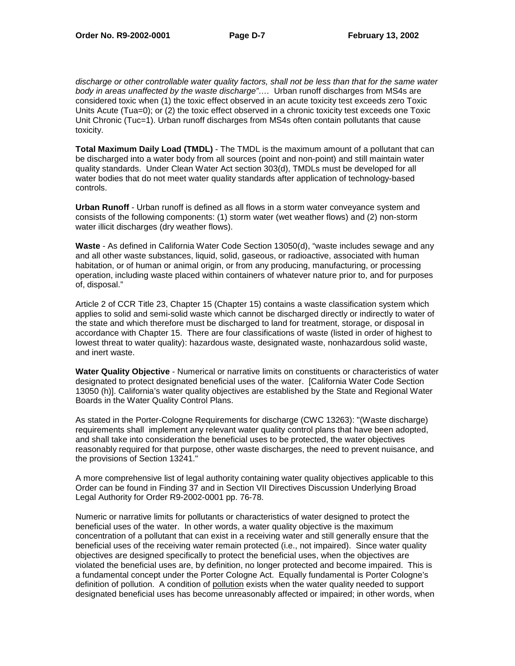discharge or other controllable water quality factors, shall not be less than that for the same water body in areas unaffected by the waste discharge"…. Urban runoff discharges from MS4s are considered toxic when (1) the toxic effect observed in an acute toxicity test exceeds zero Toxic Units Acute (Tua=0); or (2) the toxic effect observed in a chronic toxicity test exceeds one Toxic Unit Chronic (Tuc=1). Urban runoff discharges from MS4s often contain pollutants that cause toxicity.

**Total Maximum Daily Load (TMDL)** - The TMDL is the maximum amount of a pollutant that can be discharged into a water body from all sources (point and non-point) and still maintain water quality standards. Under Clean Water Act section 303(d), TMDLs must be developed for all water bodies that do not meet water quality standards after application of technology-based controls.

**Urban Runoff** - Urban runoff is defined as all flows in a storm water conveyance system and consists of the following components: (1) storm water (wet weather flows) and (2) non-storm water illicit discharges (dry weather flows).

**Waste** - As defined in California Water Code Section 13050(d), "waste includes sewage and any and all other waste substances, liquid, solid, gaseous, or radioactive, associated with human habitation, or of human or animal origin, or from any producing, manufacturing, or processing operation, including waste placed within containers of whatever nature prior to, and for purposes of, disposal."

Article 2 of CCR Title 23, Chapter 15 (Chapter 15) contains a waste classification system which applies to solid and semi-solid waste which cannot be discharged directly or indirectly to water of the state and which therefore must be discharged to land for treatment, storage, or disposal in accordance with Chapter 15. There are four classifications of waste (listed in order of highest to lowest threat to water quality): hazardous waste, designated waste, nonhazardous solid waste, and inert waste.

**Water Quality Objective** - Numerical or narrative limits on constituents or characteristics of water designated to protect designated beneficial uses of the water. [California Water Code Section 13050 (h)]. California's water quality objectives are established by the State and Regional Water Boards in the Water Quality Control Plans.

As stated in the Porter-Cologne Requirements for discharge (CWC 13263): "(Waste discharge) requirements shall implement any relevant water quality control plans that have been adopted, and shall take into consideration the beneficial uses to be protected, the water objectives reasonably required for that purpose, other waste discharges, the need to prevent nuisance, and the provisions of Section 13241."

A more comprehensive list of legal authority containing water quality objectives applicable to this Order can be found in Finding 37 and in Section VII Directives Discussion Underlying Broad Legal Authority for Order R9-2002-0001 pp. 76-78.

Numeric or narrative limits for pollutants or characteristics of water designed to protect the beneficial uses of the water. In other words, a water quality objective is the maximum concentration of a pollutant that can exist in a receiving water and still generally ensure that the beneficial uses of the receiving water remain protected (i.e., not impaired). Since water quality objectives are designed specifically to protect the beneficial uses, when the objectives are violated the beneficial uses are, by definition, no longer protected and become impaired. This is a fundamental concept under the Porter Cologne Act. Equally fundamental is Porter Cologne's definition of pollution. A condition of pollution exists when the water quality needed to support designated beneficial uses has become unreasonably affected or impaired; in other words, when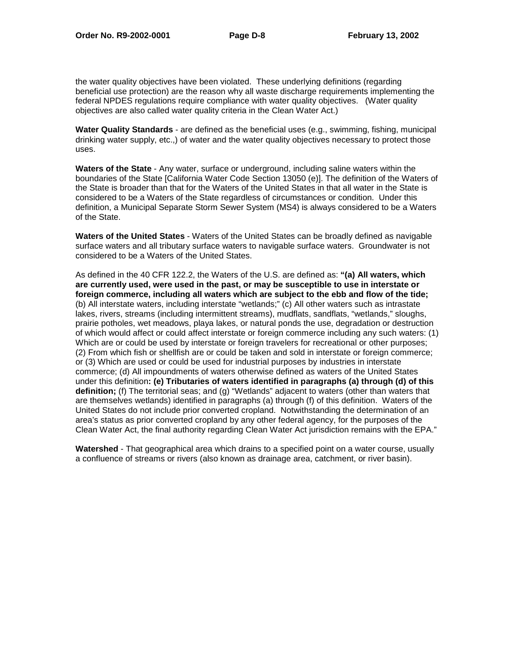the water quality objectives have been violated. These underlying definitions (regarding beneficial use protection) are the reason why all waste discharge requirements implementing the federal NPDES regulations require compliance with water quality objectives. (Water quality objectives are also called water quality criteria in the Clean Water Act.)

**Water Quality Standards** - are defined as the beneficial uses (e.g., swimming, fishing, municipal drinking water supply, etc.,) of water and the water quality objectives necessary to protect those uses.

**Waters of the State** - Any water, surface or underground, including saline waters within the boundaries of the State [California Water Code Section 13050 (e)]. The definition of the Waters of the State is broader than that for the Waters of the United States in that all water in the State is considered to be a Waters of the State regardless of circumstances or condition. Under this definition, a Municipal Separate Storm Sewer System (MS4) is always considered to be a Waters of the State.

**Waters of the United States** - Waters of the United States can be broadly defined as navigable surface waters and all tributary surface waters to navigable surface waters. Groundwater is not considered to be a Waters of the United States.

As defined in the 40 CFR 122.2, the Waters of the U.S. are defined as: **"(a) All waters, which are currently used, were used in the past, or may be susceptible to use in interstate or foreign commerce, including all waters which are subject to the ebb and flow of the tide;** (b) All interstate waters, including interstate "wetlands;" (c) All other waters such as intrastate lakes, rivers, streams (including intermittent streams), mudflats, sandflats, "wetlands," sloughs, prairie potholes, wet meadows, playa lakes, or natural ponds the use, degradation or destruction of which would affect or could affect interstate or foreign commerce including any such waters: (1) Which are or could be used by interstate or foreign travelers for recreational or other purposes; (2) From which fish or shellfish are or could be taken and sold in interstate or foreign commerce; or (3) Which are used or could be used for industrial purposes by industries in interstate commerce; (d) All impoundments of waters otherwise defined as waters of the United States under this definition**: (e) Tributaries of waters identified in paragraphs (a) through (d) of this definition;** (f) The territorial seas; and (g) "Wetlands" adjacent to waters (other than waters that are themselves wetlands) identified in paragraphs (a) through (f) of this definition. Waters of the United States do not include prior converted cropland. Notwithstanding the determination of an area's status as prior converted cropland by any other federal agency, for the purposes of the Clean Water Act, the final authority regarding Clean Water Act jurisdiction remains with the EPA."

**Watershed** - That geographical area which drains to a specified point on a water course, usually a confluence of streams or rivers (also known as drainage area, catchment, or river basin).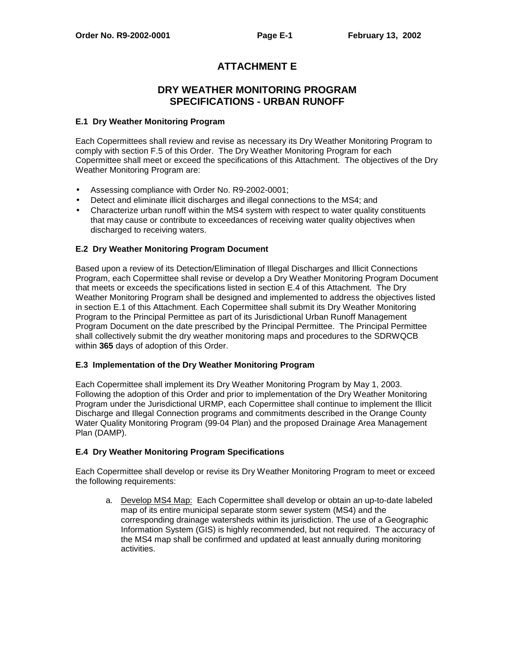# **ATTACHMENT E**

# **DRY WEATHER MONITORING PROGRAM SPECIFICATIONS - URBAN RUNOFF**

# **E.1 Dry Weather Monitoring Program**

Each Copermittees shall review and revise as necessary its Dry Weather Monitoring Program to comply with section F.5 of this Order. The Dry Weather Monitoring Program for each Copermittee shall meet or exceed the specifications of this Attachment. The objectives of the Dry Weather Monitoring Program are:

- Assessing compliance with Order No. R9-2002-0001;
- Detect and eliminate illicit discharges and illegal connections to the MS4; and
- Characterize urban runoff within the MS4 system with respect to water quality constituents that may cause or contribute to exceedances of receiving water quality objectives when discharged to receiving waters.

#### **E.2 Dry Weather Monitoring Program Document**

Based upon a review of its Detection/Elimination of Illegal Discharges and Illicit Connections Program, each Copermittee shall revise or develop a Dry Weather Monitoring Program Document that meets or exceeds the specifications listed in section E.4 of this Attachment. The Dry Weather Monitoring Program shall be designed and implemented to address the objectives listed in section E.1 of this Attachment. Each Copermittee shall submit its Dry Weather Monitoring Program to the Principal Permittee as part of its Jurisdictional Urban Runoff Management Program Document on the date prescribed by the Principal Permittee. The Principal Permittee shall collectively submit the dry weather monitoring maps and procedures to the SDRWQCB within **365** days of adoption of this Order.

## **E.3 Implementation of the Dry Weather Monitoring Program**

Each Copermittee shall implement its Dry Weather Monitoring Program by May 1, 2003. Following the adoption of this Order and prior to implementation of the Dry Weather Monitoring Program under the Jurisdictional URMP, each Copermittee shall continue to implement the Illicit Discharge and Illegal Connection programs and commitments described in the Orange County Water Quality Monitoring Program (99-04 Plan) and the proposed Drainage Area Management Plan (DAMP).

# **E.4 Dry Weather Monitoring Program Specifications**

Each Copermittee shall develop or revise its Dry Weather Monitoring Program to meet or exceed the following requirements:

a. Develop MS4 Map: Each Copermittee shall develop or obtain an up-to-date labeled map of its entire municipal separate storm sewer system (MS4) and the corresponding drainage watersheds within its jurisdiction. The use of a Geographic Information System (GIS) is highly recommended, but not required. The accuracy of the MS4 map shall be confirmed and updated at least annually during monitoring activities.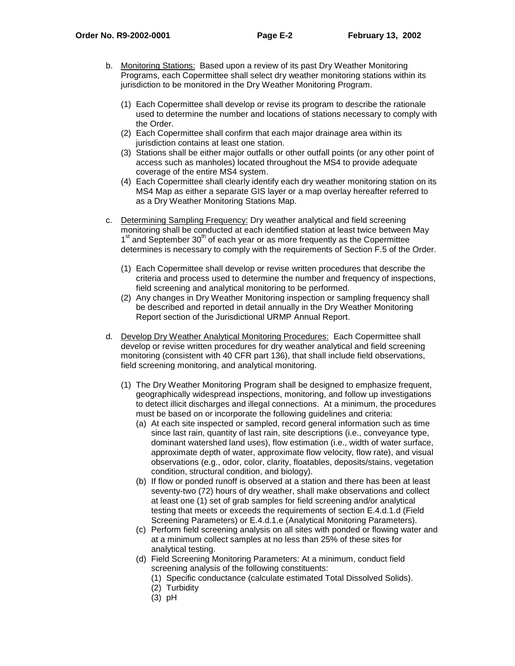- b. Monitoring Stations: Based upon a review of its past Dry Weather Monitoring Programs, each Copermittee shall select dry weather monitoring stations within its jurisdiction to be monitored in the Dry Weather Monitoring Program.
	- (1) Each Copermittee shall develop or revise its program to describe the rationale used to determine the number and locations of stations necessary to comply with the Order.
	- (2) Each Copermittee shall confirm that each major drainage area within its jurisdiction contains at least one station.
	- (3) Stations shall be either major outfalls or other outfall points (or any other point of access such as manholes) located throughout the MS4 to provide adequate coverage of the entire MS4 system.
	- (4) Each Copermittee shall clearly identify each dry weather monitoring station on its MS4 Map as either a separate GIS layer or a map overlay hereafter referred to as a Dry Weather Monitoring Stations Map.
- c. Determining Sampling Frequency: Dry weather analytical and field screening monitoring shall be conducted at each identified station at least twice between May  $1<sup>st</sup>$  and September  $30<sup>th</sup>$  of each year or as more frequently as the Copermittee determines is necessary to comply with the requirements of Section F.5 of the Order.
	- (1) Each Copermittee shall develop or revise written procedures that describe the criteria and process used to determine the number and frequency of inspections, field screening and analytical monitoring to be performed.
	- (2) Any changes in Dry Weather Monitoring inspection or sampling frequency shall be described and reported in detail annually in the Dry Weather Monitoring Report section of the Jurisdictional URMP Annual Report.
- d. Develop Dry Weather Analytical Monitoring Procedures: Each Copermittee shall develop or revise written procedures for dry weather analytical and field screening monitoring (consistent with 40 CFR part 136), that shall include field observations, field screening monitoring, and analytical monitoring.
	- (1) The Dry Weather Monitoring Program shall be designed to emphasize frequent, geographically widespread inspections, monitoring, and follow up investigations to detect illicit discharges and illegal connections. At a minimum, the procedures must be based on or incorporate the following guidelines and criteria:
		- (a) At each site inspected or sampled, record general information such as time since last rain, quantity of last rain, site descriptions (i.e., conveyance type, dominant watershed land uses), flow estimation (i.e., width of water surface, approximate depth of water, approximate flow velocity, flow rate), and visual observations (e.g., odor, color, clarity, floatables, deposits/stains, vegetation condition, structural condition, and biology).
		- (b) If flow or ponded runoff is observed at a station and there has been at least seventy-two (72) hours of dry weather, shall make observations and collect at least one (1) set of grab samples for field screening and/or analytical testing that meets or exceeds the requirements of section E.4.d.1.d (Field Screening Parameters) or E.4.d.1.e (Analytical Monitoring Parameters).
		- (c) Perform field screening analysis on all sites with ponded or flowing water and at a minimum collect samples at no less than 25% of these sites for analytical testing.
		- (d) Field Screening Monitoring Parameters: At a minimum, conduct field screening analysis of the following constituents:
			- (1) Specific conductance (calculate estimated Total Dissolved Solids).
			- (2) Turbidity
			- (3) pH